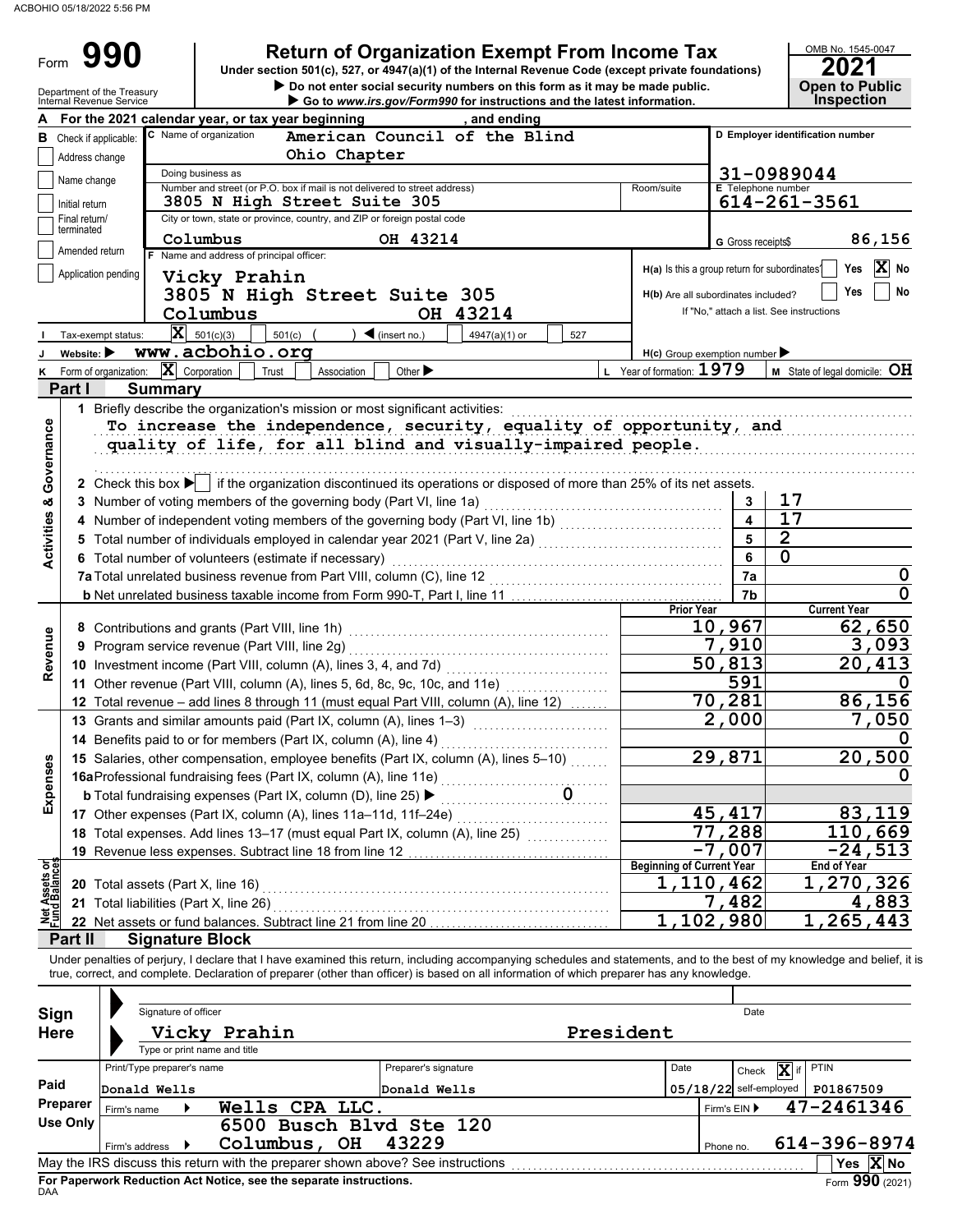Form

## **990** | Return of Organization Exempt From Income Tax

**Under section 501(c), 527, or 4947(a)(1) of the Internal Revenue Code (except private foundations)**

# OMB No. 1545-0047

|  | <b>Open to Public<br/>Inspection</b> |  |
|--|--------------------------------------|--|
|  |                                      |  |

|                                | Department of the Treasury<br>Internal Revenue Service |                                        |                                                                                          | Do not enter social security numbers on this form as it may be made public.<br>Go to www.irs.gov/Form990 for instructions and the latest information.                     |                           |                                                     | <b>Open to Public</b><br><b>Inspection</b>           |  |  |  |  |  |  |
|--------------------------------|--------------------------------------------------------|----------------------------------------|------------------------------------------------------------------------------------------|---------------------------------------------------------------------------------------------------------------------------------------------------------------------------|---------------------------|-----------------------------------------------------|------------------------------------------------------|--|--|--|--|--|--|
|                                |                                                        |                                        | For the 2021 calendar year, or tax year beginning                                        | and ending                                                                                                                                                                |                           |                                                     |                                                      |  |  |  |  |  |  |
| в                              | Check if applicable:                                   |                                        | C Name of organization                                                                   | American Council of the Blind                                                                                                                                             |                           |                                                     | D Employer identification number                     |  |  |  |  |  |  |
|                                | Address change                                         |                                        | Ohio Chapter                                                                             |                                                                                                                                                                           |                           |                                                     |                                                      |  |  |  |  |  |  |
|                                |                                                        |                                        | 31-0989044<br>Doing business as                                                          |                                                                                                                                                                           |                           |                                                     |                                                      |  |  |  |  |  |  |
|                                | Name change                                            |                                        | Number and street (or P.O. box if mail is not delivered to street address)               |                                                                                                                                                                           | Room/suite                |                                                     | <b>E</b> Telephone number                            |  |  |  |  |  |  |
|                                | Initial return                                         |                                        | 3805 N High Street Suite 305                                                             |                                                                                                                                                                           |                           |                                                     | 614-261-3561                                         |  |  |  |  |  |  |
|                                | Final return/<br>terminated                            |                                        | City or town, state or province, country, and ZIP or foreign postal code                 |                                                                                                                                                                           |                           |                                                     |                                                      |  |  |  |  |  |  |
|                                |                                                        |                                        | Columbus                                                                                 | OH 43214                                                                                                                                                                  |                           |                                                     | 86,156<br>G Gross receipts\$                         |  |  |  |  |  |  |
|                                | Amended return                                         |                                        | Name and address of principal officer:                                                   |                                                                                                                                                                           |                           |                                                     | $\overline{\mathbf{X}}$ No                           |  |  |  |  |  |  |
|                                | Application pending                                    |                                        | Vicky Prahin                                                                             |                                                                                                                                                                           |                           |                                                     | Yes<br>H(a) Is this a group return for subordinates? |  |  |  |  |  |  |
|                                |                                                        |                                        | 3805 N High Street Suite 305                                                             |                                                                                                                                                                           |                           | H(b) Are all subordinates included?                 | No<br>Yes                                            |  |  |  |  |  |  |
|                                |                                                        |                                        | Columbus                                                                                 | OH 43214                                                                                                                                                                  |                           |                                                     | If "No," attach a list. See instructions             |  |  |  |  |  |  |
|                                | Tax-exempt status:                                     |                                        | $\mathbf{X}$ 501(c)(3)<br>501(c)                                                         | $\blacktriangleleft$ (insert no.)<br>4947(a)(1) or<br>527                                                                                                                 |                           |                                                     |                                                      |  |  |  |  |  |  |
| J                              | Website: $\blacktriangleright$                         |                                        | www.acbohio.org                                                                          |                                                                                                                                                                           |                           | $H(c)$ Group exemption number $\blacktriangleright$ |                                                      |  |  |  |  |  |  |
| κ                              | Form of organization:                                  |                                        | $ \mathbf{X} $ Corporation<br>Trust<br>Association                                       | Other $\blacktriangleright$                                                                                                                                               | L Year of formation: 1979 |                                                     | <b>M</b> State of legal domicile: $OH$               |  |  |  |  |  |  |
|                                | Part I                                                 | <b>Summary</b>                         |                                                                                          |                                                                                                                                                                           |                           |                                                     |                                                      |  |  |  |  |  |  |
|                                |                                                        |                                        | 1 Briefly describe the organization's mission or most significant activities:            |                                                                                                                                                                           |                           |                                                     |                                                      |  |  |  |  |  |  |
|                                |                                                        |                                        |                                                                                          | To increase the independence, security, equality of opportunity, and                                                                                                      |                           |                                                     |                                                      |  |  |  |  |  |  |
|                                |                                                        |                                        |                                                                                          | quality of life, for all blind and visually-impaired people.                                                                                                              |                           |                                                     |                                                      |  |  |  |  |  |  |
|                                |                                                        |                                        |                                                                                          |                                                                                                                                                                           |                           |                                                     |                                                      |  |  |  |  |  |  |
| Governance                     |                                                        |                                        |                                                                                          |                                                                                                                                                                           |                           |                                                     |                                                      |  |  |  |  |  |  |
|                                |                                                        |                                        |                                                                                          | 2 Check this box $\blacktriangleright$ if the organization discontinued its operations or disposed of more than 25% of its net assets.                                    |                           |                                                     |                                                      |  |  |  |  |  |  |
|                                |                                                        |                                        | 3 Number of voting members of the governing body (Part VI, line 1a)                      |                                                                                                                                                                           |                           | 3                                                   | 17                                                   |  |  |  |  |  |  |
|                                |                                                        |                                        |                                                                                          | 4 Number of independent voting members of the governing body (Part VI, line 1b) [[[[[[[[[[[[[[[[[[[[[[[[[[[[[                                                             |                           | $\overline{\mathbf{A}}$                             | $\overline{17}$                                      |  |  |  |  |  |  |
| <b>Activities &amp;</b>        |                                                        |                                        |                                                                                          |                                                                                                                                                                           |                           | 5                                                   | $\overline{\mathbf{2}}$                              |  |  |  |  |  |  |
|                                |                                                        |                                        | 6 Total number of volunteers (estimate if necessary)                                     |                                                                                                                                                                           |                           | 6                                                   | $\mathbf 0$                                          |  |  |  |  |  |  |
|                                |                                                        |                                        |                                                                                          |                                                                                                                                                                           | 7a                        | 0                                                   |                                                      |  |  |  |  |  |  |
|                                |                                                        |                                        |                                                                                          |                                                                                                                                                                           |                           | 7b                                                  | 0                                                    |  |  |  |  |  |  |
|                                |                                                        |                                        |                                                                                          |                                                                                                                                                                           |                           | <b>Prior Year</b>                                   | <b>Current Year</b>                                  |  |  |  |  |  |  |
|                                |                                                        |                                        |                                                                                          |                                                                                                                                                                           |                           | 10,967                                              | 62,650                                               |  |  |  |  |  |  |
| Revenue                        |                                                        |                                        | 9 Program service revenue (Part VIII, line 2g)                                           |                                                                                                                                                                           |                           | 7,910                                               | 3,093                                                |  |  |  |  |  |  |
|                                |                                                        |                                        |                                                                                          |                                                                                                                                                                           |                           | 50, 813                                             | 20,413                                               |  |  |  |  |  |  |
|                                |                                                        |                                        | 11 Other revenue (Part VIII, column (A), lines 5, 6d, 8c, 9c, 10c, and 11e)              |                                                                                                                                                                           |                           | 591                                                 |                                                      |  |  |  |  |  |  |
|                                |                                                        |                                        |                                                                                          | 12 Total revenue - add lines 8 through 11 (must equal Part VIII, column (A), line 12)                                                                                     |                           | 70,281                                              | 86,156                                               |  |  |  |  |  |  |
|                                |                                                        |                                        | 13 Grants and similar amounts paid (Part IX, column (A), lines 1-3)                      |                                                                                                                                                                           |                           | 2,000                                               | 7,050                                                |  |  |  |  |  |  |
|                                |                                                        |                                        | 14 Benefits paid to or for members (Part IX, column (A), line 4)                         |                                                                                                                                                                           |                           |                                                     |                                                      |  |  |  |  |  |  |
| <b>Ses</b>                     |                                                        |                                        |                                                                                          | 15 Salaries, other compensation, employee benefits (Part IX, column (A), lines 5-10)                                                                                      |                           | 29,871                                              | 20,500                                               |  |  |  |  |  |  |
|                                |                                                        |                                        |                                                                                          |                                                                                                                                                                           |                           |                                                     |                                                      |  |  |  |  |  |  |
| Expen                          |                                                        |                                        | <b>b</b> Total fundraising expenses (Part IX, column (D), line 25) $\blacktriangleright$ |                                                                                                                                                                           |                           |                                                     |                                                      |  |  |  |  |  |  |
|                                |                                                        |                                        | 17 Other expenses (Part IX, column (A), lines 11a-11d, 11f-24e)                          |                                                                                                                                                                           |                           | 45,417                                              | 83,119                                               |  |  |  |  |  |  |
|                                |                                                        |                                        |                                                                                          | 18 Total expenses. Add lines 13-17 (must equal Part IX, column (A), line 25) [11, 12, 12, 12, 12, 12, 12, 12, 1                                                           |                           | 77,288                                              | 110,669                                              |  |  |  |  |  |  |
|                                |                                                        |                                        |                                                                                          |                                                                                                                                                                           |                           | $-7,007$                                            | $-24,513$                                            |  |  |  |  |  |  |
| Net Assets or<br>Fund Balances |                                                        |                                        |                                                                                          |                                                                                                                                                                           |                           | <b>Beginning of Current Year</b>                    | <b>End of Year</b>                                   |  |  |  |  |  |  |
|                                |                                                        | 20 Total assets (Part X, line 16)      |                                                                                          |                                                                                                                                                                           |                           | 1,110,462                                           | 1,270,326                                            |  |  |  |  |  |  |
|                                |                                                        | 21 Total liabilities (Part X, line 26) |                                                                                          |                                                                                                                                                                           |                           | 7,482                                               | 4,883                                                |  |  |  |  |  |  |
|                                |                                                        |                                        |                                                                                          | 22 Net assets or fund balances. Subtract line 21 from line 20                                                                                                             |                           | 1,102,980                                           | 1,265,443                                            |  |  |  |  |  |  |
|                                | Part II                                                | <b>Signature Block</b>                 |                                                                                          |                                                                                                                                                                           |                           |                                                     |                                                      |  |  |  |  |  |  |
|                                |                                                        |                                        |                                                                                          | Under penalties of perjury, I declare that I have examined this return, including accompanying schedules and statements, and to the best of my knowledge and belief, it i |                           |                                                     |                                                      |  |  |  |  |  |  |
|                                |                                                        |                                        |                                                                                          | true, correct, and complete. Declaration of preparer (other than officer) is based on all information of which preparer has any knowledge.                                |                           |                                                     |                                                      |  |  |  |  |  |  |
|                                |                                                        |                                        |                                                                                          |                                                                                                                                                                           |                           |                                                     |                                                      |  |  |  |  |  |  |
| Sign                           |                                                        | Signature of officer                   |                                                                                          |                                                                                                                                                                           |                           |                                                     | Date                                                 |  |  |  |  |  |  |
| <b>Here</b>                    |                                                        |                                        | Vicky Prahin                                                                             |                                                                                                                                                                           | President                 |                                                     |                                                      |  |  |  |  |  |  |
|                                |                                                        |                                        | Type or print name and title                                                             |                                                                                                                                                                           |                           |                                                     |                                                      |  |  |  |  |  |  |
|                                |                                                        | Print/Type preparer's name             |                                                                                          | Preparer's signature                                                                                                                                                      | Date                      |                                                     | PTIN<br>X if<br>Check                                |  |  |  |  |  |  |
| Paid                           |                                                        | Donald Wells                           |                                                                                          | Donald Wells                                                                                                                                                              |                           | $05/18/22$ self-employed                            | P01867509                                            |  |  |  |  |  |  |
|                                | Preparer                                               | Firm's name                            | Wells CPA LLC.                                                                           |                                                                                                                                                                           |                           | Firm's EIN ▶                                        | 47-2461346                                           |  |  |  |  |  |  |
|                                | <b>Use Only</b>                                        |                                        | 6500 Busch Blvd Ste 120                                                                  |                                                                                                                                                                           |                           |                                                     |                                                      |  |  |  |  |  |  |
|                                |                                                        | Firm's address ▶                       | Columbus, OH                                                                             | 43229                                                                                                                                                                     |                           | Phone no.                                           | 614-396-8974                                         |  |  |  |  |  |  |
|                                |                                                        |                                        |                                                                                          |                                                                                                                                                                           |                           |                                                     | Yes $ X $ No                                         |  |  |  |  |  |  |
|                                |                                                        |                                        |                                                                                          |                                                                                                                                                                           |                           |                                                     |                                                      |  |  |  |  |  |  |

| Sign<br><b>Here</b> | Signature of officer       | Vicky Prahin<br>Type or print name and title                                    |                      | President |                      | Date                     |                       |
|---------------------|----------------------------|---------------------------------------------------------------------------------|----------------------|-----------|----------------------|--------------------------|-----------------------|
|                     | Print/Type preparer's name |                                                                                 | Preparer's signature | Date      | $\mathbf x$<br>Check | PTIN                     |                       |
| Paid                | Donald Wells               |                                                                                 | Donald Wells         |           |                      | $05/18/22$ self-employed | P01867509             |
| Preparer            | Firm's name                | Wells CPA LLC.                                                                  |                      |           |                      | Firm's $EIN$             | 47-2461346            |
| Use Only            |                            | 6500 Busch Blvd Ste 120                                                         |                      |           |                      |                          |                       |
|                     | Firm's address             | Columbus,<br>OH                                                                 | 43229                |           |                      | Phone no.                | 614-396-8974          |
|                     |                            | May the IRS discuss this return with the preparer shown above? See instructions |                      |           |                      |                          | Yes $\overline{X}$ No |
|                     |                            | For Paperwork Reduction Act Notice, see the separate instructions.              |                      |           |                      |                          | Form $990(2021)$      |

DAA **For Paperwork Reduction Act Notice, see the separate instructions.**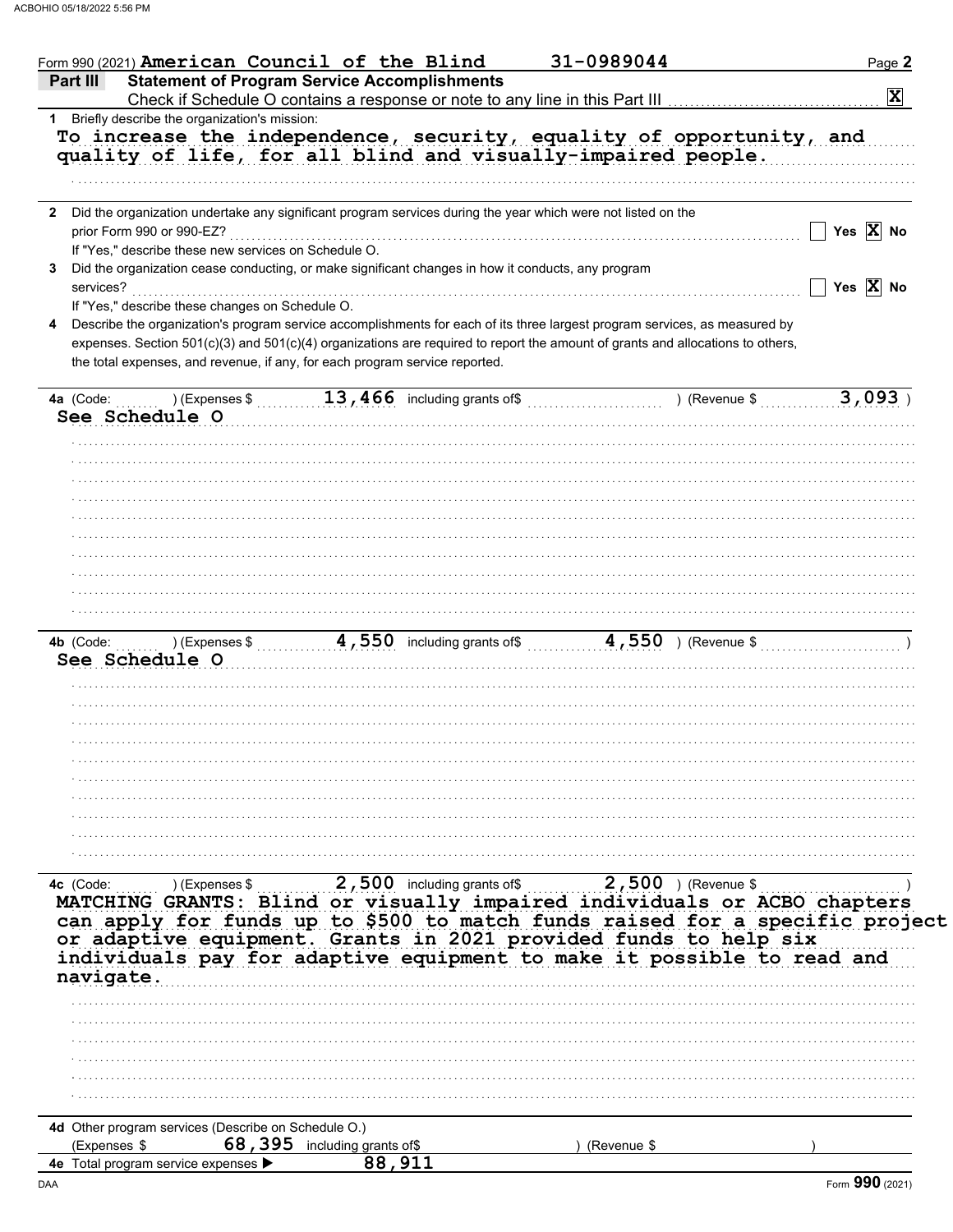| Form 990 (2021) American Council of the Blind                                                                                                                                                                                                                                                                                                                                                  | 31-0989044            | Page 2                |
|------------------------------------------------------------------------------------------------------------------------------------------------------------------------------------------------------------------------------------------------------------------------------------------------------------------------------------------------------------------------------------------------|-----------------------|-----------------------|
| <b>Statement of Program Service Accomplishments</b><br>Part III<br>Check if Schedule O contains a response or note to any line in this Part III                                                                                                                                                                                                                                                |                       | $ \mathbf{x} $        |
| Briefly describe the organization's mission:<br>1<br>To increase the independence, security, equality of opportunity, and<br>quality of life, for all blind and visually-impaired people.                                                                                                                                                                                                      |                       |                       |
|                                                                                                                                                                                                                                                                                                                                                                                                |                       |                       |
| Did the organization undertake any significant program services during the year which were not listed on the<br>$\mathbf{2}$<br>prior Form 990 or 990-EZ?<br>If "Yes," describe these new services on Schedule O.                                                                                                                                                                              |                       | Yes $X$ No            |
| Did the organization cease conducting, or make significant changes in how it conducts, any program<br>3<br>services?                                                                                                                                                                                                                                                                           |                       | Yes $\overline{X}$ No |
| If "Yes," describe these changes on Schedule O.<br>Describe the organization's program service accomplishments for each of its three largest program services, as measured by<br>expenses. Section 501(c)(3) and 501(c)(4) organizations are required to report the amount of grants and allocations to others,<br>the total expenses, and revenue, if any, for each program service reported. |                       |                       |
| $13,466$ including grants of\$<br>4a (Code:<br>$\ldots$ ) (Expenses \$                                                                                                                                                                                                                                                                                                                         | ) (Revenue \$         | 3,093                 |
| See Schedule O                                                                                                                                                                                                                                                                                                                                                                                 |                       |                       |
|                                                                                                                                                                                                                                                                                                                                                                                                |                       |                       |
|                                                                                                                                                                                                                                                                                                                                                                                                |                       |                       |
|                                                                                                                                                                                                                                                                                                                                                                                                |                       |                       |
|                                                                                                                                                                                                                                                                                                                                                                                                |                       |                       |
|                                                                                                                                                                                                                                                                                                                                                                                                |                       |                       |
|                                                                                                                                                                                                                                                                                                                                                                                                |                       |                       |
|                                                                                                                                                                                                                                                                                                                                                                                                |                       |                       |
| $4,550$ including grants of\$<br>4b (Code:<br>$\ldots$ ) (Expenses \$<br>See Schedule O                                                                                                                                                                                                                                                                                                        | $4,550$ ) (Revenue \$ |                       |
|                                                                                                                                                                                                                                                                                                                                                                                                |                       |                       |
|                                                                                                                                                                                                                                                                                                                                                                                                |                       |                       |
|                                                                                                                                                                                                                                                                                                                                                                                                |                       |                       |
|                                                                                                                                                                                                                                                                                                                                                                                                |                       |                       |
|                                                                                                                                                                                                                                                                                                                                                                                                |                       |                       |
|                                                                                                                                                                                                                                                                                                                                                                                                |                       |                       |
|                                                                                                                                                                                                                                                                                                                                                                                                |                       |                       |
|                                                                                                                                                                                                                                                                                                                                                                                                |                       |                       |
| k (Code: ) (Expenses \$2,500 including grants of \$2,500 ) (Revenue \$1,000 ) (Revenue \$1,000 ) (Revenue \$1,000 ) (Revenue \$1,000 ) (Revenue \$1,000 ) (Revenue \$1,000 ) (Revenue \$1,000 ) (Revenue \$1,000 ) (Revenue \$1,000 ) (Re<br>4c (Code:                                                                                                                                         |                       |                       |
| can apply for funds up to \$500 to match funds raised for a specific project                                                                                                                                                                                                                                                                                                                   |                       |                       |
| or adaptive equipment. Grants in 2021 provided funds to help six                                                                                                                                                                                                                                                                                                                               |                       |                       |
| individuals pay for adaptive equipment to make it possible to read and                                                                                                                                                                                                                                                                                                                         |                       |                       |
| navigate.                                                                                                                                                                                                                                                                                                                                                                                      |                       |                       |
|                                                                                                                                                                                                                                                                                                                                                                                                |                       |                       |
|                                                                                                                                                                                                                                                                                                                                                                                                |                       |                       |
|                                                                                                                                                                                                                                                                                                                                                                                                |                       |                       |
|                                                                                                                                                                                                                                                                                                                                                                                                |                       |                       |
|                                                                                                                                                                                                                                                                                                                                                                                                |                       |                       |
| 4d Other program services (Describe on Schedule O.)<br>68, 395 including grants of\$<br>(Expenses \$                                                                                                                                                                                                                                                                                           | (Revenue \$           |                       |
| 88,911<br>4e Total program service expenses >                                                                                                                                                                                                                                                                                                                                                  |                       |                       |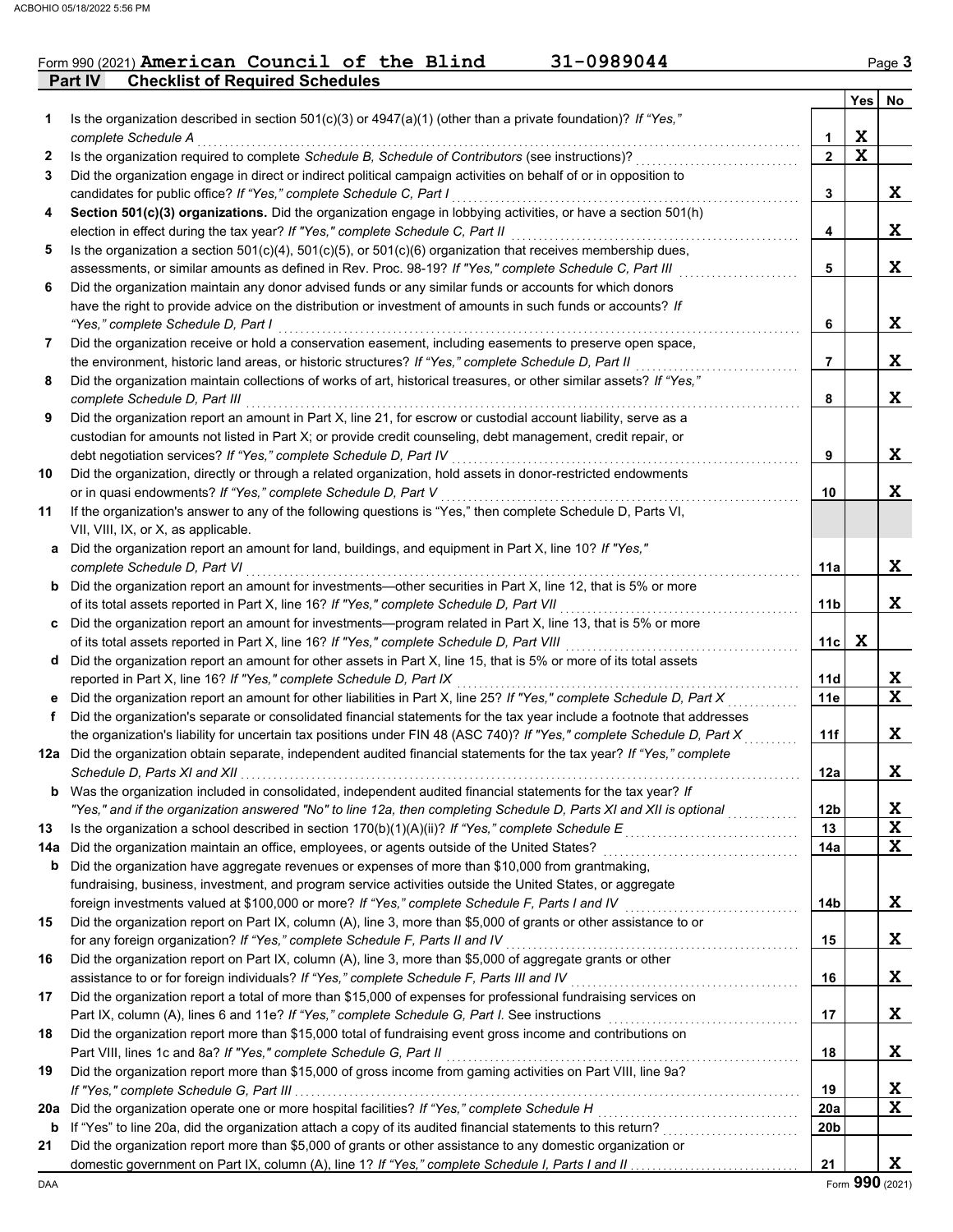### Form 990 (2021) American Council of the Blind 31-0989044 Page 3

**Part IV Checklist of Required Schedules**

|     |                                                                                                                                                                                                                                 |                 | Yes         | No          |
|-----|---------------------------------------------------------------------------------------------------------------------------------------------------------------------------------------------------------------------------------|-----------------|-------------|-------------|
| 1   | Is the organization described in section $501(c)(3)$ or $4947(a)(1)$ (other than a private foundation)? If "Yes,"                                                                                                               |                 |             |             |
|     | complete Schedule A                                                                                                                                                                                                             | 1               | X           |             |
| 2   | Is the organization required to complete Schedule B, Schedule of Contributors (see instructions)?                                                                                                                               | $\overline{2}$  | X           |             |
| 3   | Did the organization engage in direct or indirect political campaign activities on behalf of or in opposition to                                                                                                                |                 |             |             |
|     | candidates for public office? If "Yes," complete Schedule C, Part I                                                                                                                                                             | 3               |             | X           |
| 4   | Section 501(c)(3) organizations. Did the organization engage in lobbying activities, or have a section 501(h)                                                                                                                   |                 |             |             |
|     | election in effect during the tax year? If "Yes," complete Schedule C, Part II                                                                                                                                                  | 4               |             | X           |
| 5   | Is the organization a section $501(c)(4)$ , $501(c)(5)$ , or $501(c)(6)$ organization that receives membership dues,<br>assessments, or similar amounts as defined in Rev. Proc. 98-19? If "Yes," complete Schedule C, Part III | 5               |             | X           |
| 6   | Did the organization maintain any donor advised funds or any similar funds or accounts for which donors                                                                                                                         |                 |             |             |
|     | have the right to provide advice on the distribution or investment of amounts in such funds or accounts? If                                                                                                                     |                 |             |             |
|     | "Yes," complete Schedule D, Part I                                                                                                                                                                                              | 6               |             | X           |
| 7   | Did the organization receive or hold a conservation easement, including easements to preserve open space,                                                                                                                       |                 |             |             |
|     | the environment, historic land areas, or historic structures? If "Yes," complete Schedule D, Part II                                                                                                                            | 7               |             | X           |
| 8   | Did the organization maintain collections of works of art, historical treasures, or other similar assets? If "Yes,"                                                                                                             |                 |             |             |
|     | complete Schedule D, Part III                                                                                                                                                                                                   | 8               |             | X           |
| 9   | Did the organization report an amount in Part X, line 21, for escrow or custodial account liability, serve as a                                                                                                                 |                 |             |             |
|     | custodian for amounts not listed in Part X; or provide credit counseling, debt management, credit repair, or                                                                                                                    |                 |             |             |
|     | debt negotiation services? If "Yes," complete Schedule D, Part IV                                                                                                                                                               | 9               |             | X           |
| 10  | Did the organization, directly or through a related organization, hold assets in donor-restricted endowments                                                                                                                    |                 |             |             |
|     | or in quasi endowments? If "Yes," complete Schedule D, Part V                                                                                                                                                                   | 10              |             | X           |
| 11  | If the organization's answer to any of the following questions is "Yes," then complete Schedule D, Parts VI,                                                                                                                    |                 |             |             |
|     | VII, VIII, IX, or X, as applicable.                                                                                                                                                                                             |                 |             |             |
|     | a Did the organization report an amount for land, buildings, and equipment in Part X, line 10? If "Yes,"                                                                                                                        |                 |             |             |
|     | complete Schedule D, Part VI                                                                                                                                                                                                    | 11a             |             | X           |
|     | <b>b</b> Did the organization report an amount for investments-other securities in Part X, line 12, that is 5% or more                                                                                                          |                 |             |             |
|     | of its total assets reported in Part X, line 16? If "Yes," complete Schedule D, Part VII                                                                                                                                        | 11 <sub>b</sub> |             | X           |
|     | c Did the organization report an amount for investments—program related in Part X, line 13, that is 5% or more<br>of its total assets reported in Part X, line 16? If "Yes," complete Schedule D, Part VIII                     | 11c             | $\mathbf x$ |             |
|     | d Did the organization report an amount for other assets in Part X, line 15, that is 5% or more of its total assets                                                                                                             |                 |             |             |
|     | reported in Part X, line 16? If "Yes," complete Schedule D, Part IX                                                                                                                                                             | 11d             |             | X           |
|     | e Did the organization report an amount for other liabilities in Part X, line 25? If "Yes," complete Schedule D, Part X                                                                                                         | 11e             |             | $\mathbf x$ |
| f   | Did the organization's separate or consolidated financial statements for the tax year include a footnote that addresses                                                                                                         |                 |             |             |
|     | the organization's liability for uncertain tax positions under FIN 48 (ASC 740)? If "Yes," complete Schedule D, Part X                                                                                                          | 11f             |             | X           |
|     | 12a Did the organization obtain separate, independent audited financial statements for the tax year? If "Yes," complete                                                                                                         |                 |             |             |
|     |                                                                                                                                                                                                                                 | 12a             |             | X           |
|     | Was the organization included in consolidated, independent audited financial statements for the tax year? If                                                                                                                    |                 |             |             |
|     | "Yes," and if the organization answered "No" to line 12a, then completing Schedule D, Parts XI and XII is optional                                                                                                              | 12 <sub>b</sub> |             | X           |
| 13  | Is the organization a school described in section $170(b)(1)(A)(ii)?$ If "Yes," complete Schedule E                                                                                                                             | 13              |             | $\mathbf x$ |
| 14a |                                                                                                                                                                                                                                 | 14a             |             | $\mathbf x$ |
| b   | Did the organization have aggregate revenues or expenses of more than \$10,000 from grantmaking,                                                                                                                                |                 |             |             |
|     | fundraising, business, investment, and program service activities outside the United States, or aggregate                                                                                                                       |                 |             |             |
|     | foreign investments valued at \$100,000 or more? If "Yes," complete Schedule F, Parts I and IV                                                                                                                                  | 14b             |             | X           |
| 15  | Did the organization report on Part IX, column (A), line 3, more than \$5,000 of grants or other assistance to or                                                                                                               |                 |             |             |
|     | for any foreign organization? If "Yes," complete Schedule F, Parts II and IV                                                                                                                                                    | 15              |             | X           |
| 16  | Did the organization report on Part IX, column (A), line 3, more than \$5,000 of aggregate grants or other                                                                                                                      |                 |             | X           |
| 17  | assistance to or for foreign individuals? If "Yes," complete Schedule F, Parts III and IV<br>Did the organization report a total of more than \$15,000 of expenses for professional fundraising services on                     | 16              |             |             |
|     | Part IX, column (A), lines 6 and 11e? If "Yes," complete Schedule G, Part I. See instructions                                                                                                                                   | 17              |             | X           |
| 18  | Did the organization report more than \$15,000 total of fundraising event gross income and contributions on                                                                                                                     |                 |             |             |
|     | Part VIII, lines 1c and 8a? If "Yes," complete Schedule G, Part II                                                                                                                                                              | 18              |             | X           |
| 19  | Did the organization report more than \$15,000 of gross income from gaming activities on Part VIII, line 9a?                                                                                                                    |                 |             |             |
|     |                                                                                                                                                                                                                                 | 19              |             | X           |
| 20a | Did the organization operate one or more hospital facilities? If "Yes," complete Schedule H                                                                                                                                     | <b>20a</b>      |             | $\mathbf x$ |
| b   |                                                                                                                                                                                                                                 | 20b             |             |             |
| 21  | Did the organization report more than \$5,000 of grants or other assistance to any domestic organization or                                                                                                                     |                 |             |             |
|     |                                                                                                                                                                                                                                 | 21              |             | X           |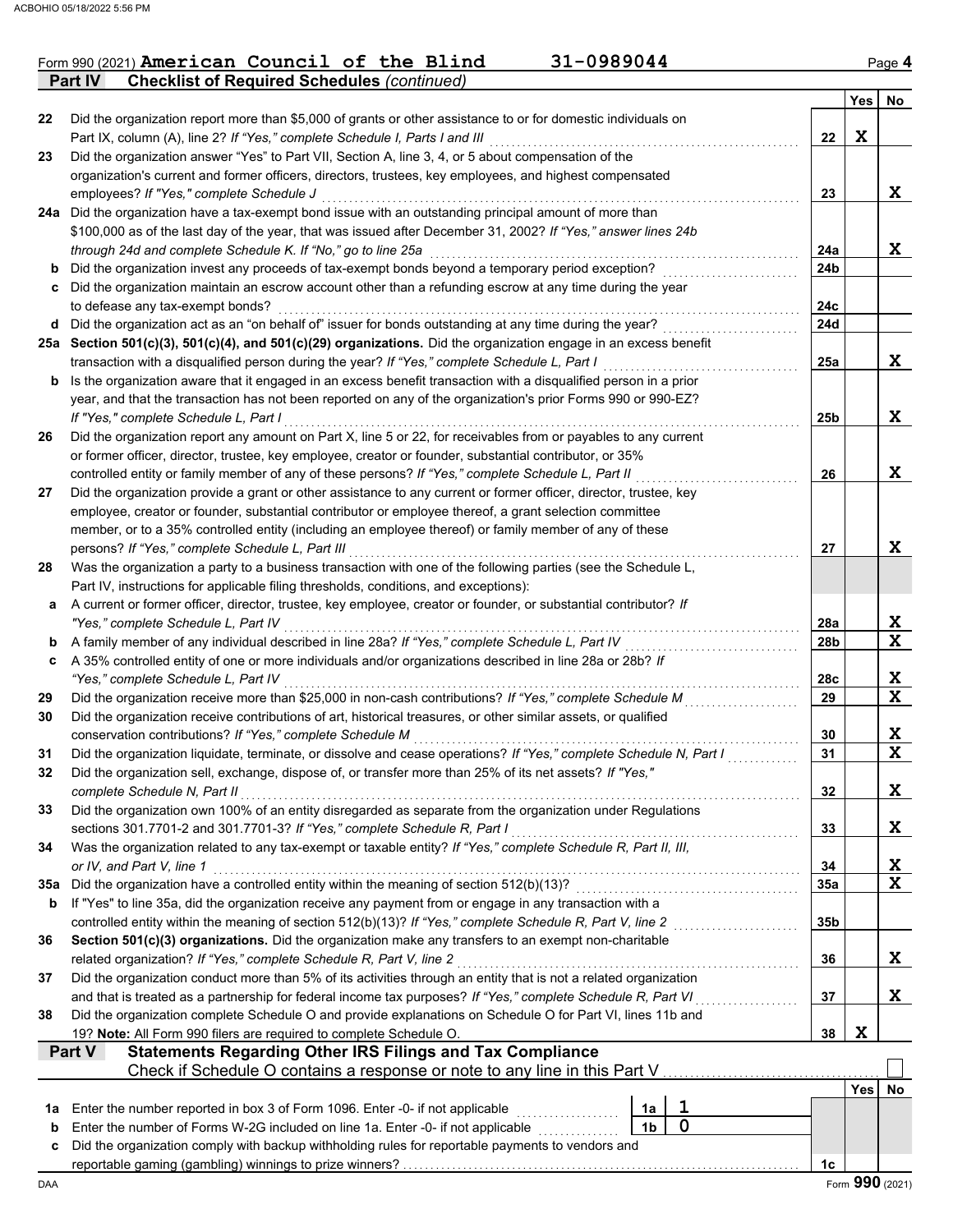| Form 990 (2021) American Council of the Blind              |  |  | $31 - 0989044$ | Page <b>4</b> |
|------------------------------------------------------------|--|--|----------------|---------------|
| <b>Part IV</b> Checklist of Required Schedules (continued) |  |  |                |               |

**Yes No**

| 22      | Did the organization report more than \$5,000 of grants or other assistance to or for domestic individuals on                                                                                                    |                 |             |    |
|---------|------------------------------------------------------------------------------------------------------------------------------------------------------------------------------------------------------------------|-----------------|-------------|----|
|         | Part IX, column (A), line 2? If "Yes," complete Schedule I, Parts I and III                                                                                                                                      | 22              | $\mathbf x$ |    |
| 23      | Did the organization answer "Yes" to Part VII, Section A, line 3, 4, or 5 about compensation of the                                                                                                              |                 |             |    |
|         | organization's current and former officers, directors, trustees, key employees, and highest compensated                                                                                                          |                 |             |    |
|         | employees? If "Yes," complete Schedule J<br>24a Did the organization have a tax-exempt bond issue with an outstanding principal amount of more than                                                              | 23              |             | X  |
|         | \$100,000 as of the last day of the year, that was issued after December 31, 2002? If "Yes," answer lines 24b                                                                                                    |                 |             |    |
|         | through 24d and complete Schedule K. If "No," go to line 25a                                                                                                                                                     | 24a             |             | X  |
| b       | Did the organization invest any proceeds of tax-exempt bonds beyond a temporary period exception?                                                                                                                | 24b             |             |    |
|         | Did the organization maintain an escrow account other than a refunding escrow at any time during the year                                                                                                        |                 |             |    |
|         | to defease any tax-exempt bonds?                                                                                                                                                                                 | 24c             |             |    |
| d       | Did the organization act as an "on behalf of" issuer for bonds outstanding at any time during the year?                                                                                                          | <b>24d</b>      |             |    |
|         | 25a Section 501(c)(3), 501(c)(4), and 501(c)(29) organizations. Did the organization engage in an excess benefit                                                                                                 |                 |             |    |
|         | transaction with a disqualified person during the year? If "Yes," complete Schedule L, Part I                                                                                                                    | 25a             |             | X  |
| b       | Is the organization aware that it engaged in an excess benefit transaction with a disqualified person in a prior                                                                                                 |                 |             |    |
|         | year, and that the transaction has not been reported on any of the organization's prior Forms 990 or 990-EZ?                                                                                                     |                 |             |    |
|         | If "Yes." complete Schedule L. Part I                                                                                                                                                                            | 25b             |             | X  |
| 26      | Did the organization report any amount on Part X, line 5 or 22, for receivables from or payables to any current                                                                                                  |                 |             |    |
|         | or former officer, director, trustee, key employee, creator or founder, substantial contributor, or 35%                                                                                                          |                 |             |    |
|         | controlled entity or family member of any of these persons? If "Yes," complete Schedule L, Part II                                                                                                               | 26              |             | X  |
| 27      | Did the organization provide a grant or other assistance to any current or former officer, director, trustee, key                                                                                                |                 |             |    |
|         | employee, creator or founder, substantial contributor or employee thereof, a grant selection committee<br>member, or to a 35% controlled entity (including an employee thereof) or family member of any of these |                 |             |    |
|         | persons? If "Yes," complete Schedule L, Part III                                                                                                                                                                 | 27              |             | X  |
| 28      | Was the organization a party to a business transaction with one of the following parties (see the Schedule L,                                                                                                    |                 |             |    |
|         | Part IV, instructions for applicable filing thresholds, conditions, and exceptions):                                                                                                                             |                 |             |    |
| a       | A current or former officer, director, trustee, key employee, creator or founder, or substantial contributor? If                                                                                                 |                 |             |    |
|         | "Yes," complete Schedule L, Part IV                                                                                                                                                                              | 28a             |             | X  |
| b       | A family member of any individual described in line 28a? If "Yes," complete Schedule L, Part IV                                                                                                                  | 28 <sub>b</sub> |             | X  |
| c       | A 35% controlled entity of one or more individuals and/or organizations described in line 28a or 28b? If                                                                                                         |                 |             |    |
|         | "Yes," complete Schedule L, Part IV                                                                                                                                                                              | 28c             |             | X  |
| 29      | Did the organization receive more than \$25,000 in non-cash contributions? If "Yes," complete Schedule M                                                                                                         | 29              |             | X  |
| 30      | Did the organization receive contributions of art, historical treasures, or other similar assets, or qualified                                                                                                   |                 |             |    |
|         | conservation contributions? If "Yes," complete Schedule M                                                                                                                                                        | 30              |             | X  |
| 31      | Did the organization liquidate, terminate, or dissolve and cease operations? If "Yes," complete Schedule N, Part I                                                                                               | 31              |             | X  |
| 32      | Did the organization sell, exchange, dispose of, or transfer more than 25% of its net assets? If "Yes,"                                                                                                          |                 |             |    |
|         | complete Schedule N, Part II                                                                                                                                                                                     | 32              |             | X  |
| 33      | Did the organization own 100% of an entity disregarded as separate from the organization under Regulations<br>sections 301.7701-2 and 301.7701-3? If "Yes," complete Schedule R, Part I                          | 33              |             | X  |
| 34      | Was the organization related to any tax-exempt or taxable entity? If "Yes," complete Schedule R, Part II, III,                                                                                                   |                 |             |    |
|         | or IV, and Part V, line 1                                                                                                                                                                                        | 34              |             | X  |
| 35a     | Did the organization have a controlled entity within the meaning of section 512(b)(13)?                                                                                                                          | 35a             |             | X  |
| b       | If "Yes" to line 35a, did the organization receive any payment from or engage in any transaction with a                                                                                                          |                 |             |    |
|         | controlled entity within the meaning of section 512(b)(13)? If "Yes," complete Schedule R, Part V, line 2                                                                                                        | 35b             |             |    |
| 36      | Section 501(c)(3) organizations. Did the organization make any transfers to an exempt non-charitable                                                                                                             |                 |             |    |
|         | related organization? If "Yes," complete Schedule R, Part V, line 2                                                                                                                                              | 36              |             | X  |
| 37      | Did the organization conduct more than 5% of its activities through an entity that is not a related organization                                                                                                 |                 |             |    |
|         | and that is treated as a partnership for federal income tax purposes? If "Yes," complete Schedule R, Part VI                                                                                                     | 37              |             | X  |
| 38      | Did the organization complete Schedule O and provide explanations on Schedule O for Part VI, lines 11b and                                                                                                       |                 |             |    |
|         | 19? Note: All Form 990 filers are required to complete Schedule O.                                                                                                                                               | 38              | X           |    |
|         | <b>Statements Regarding Other IRS Filings and Tax Compliance</b><br>Part V                                                                                                                                       |                 |             |    |
|         | Check if Schedule O contains a response or note to any line in this Part V                                                                                                                                       |                 |             |    |
|         | 1                                                                                                                                                                                                                |                 | Yes         | No |
| 1a<br>b | Enter the number reported in box 3 of Form 1096. Enter -0- if not applicable<br>1a<br>$\mathbf 0$<br>1 <sub>b</sub><br>Enter the number of Forms W-2G included on line 1a. Enter -0- if not applicable           |                 |             |    |
| c       | Did the organization comply with backup withholding rules for reportable payments to vendors and                                                                                                                 |                 |             |    |
|         |                                                                                                                                                                                                                  | 1c              |             |    |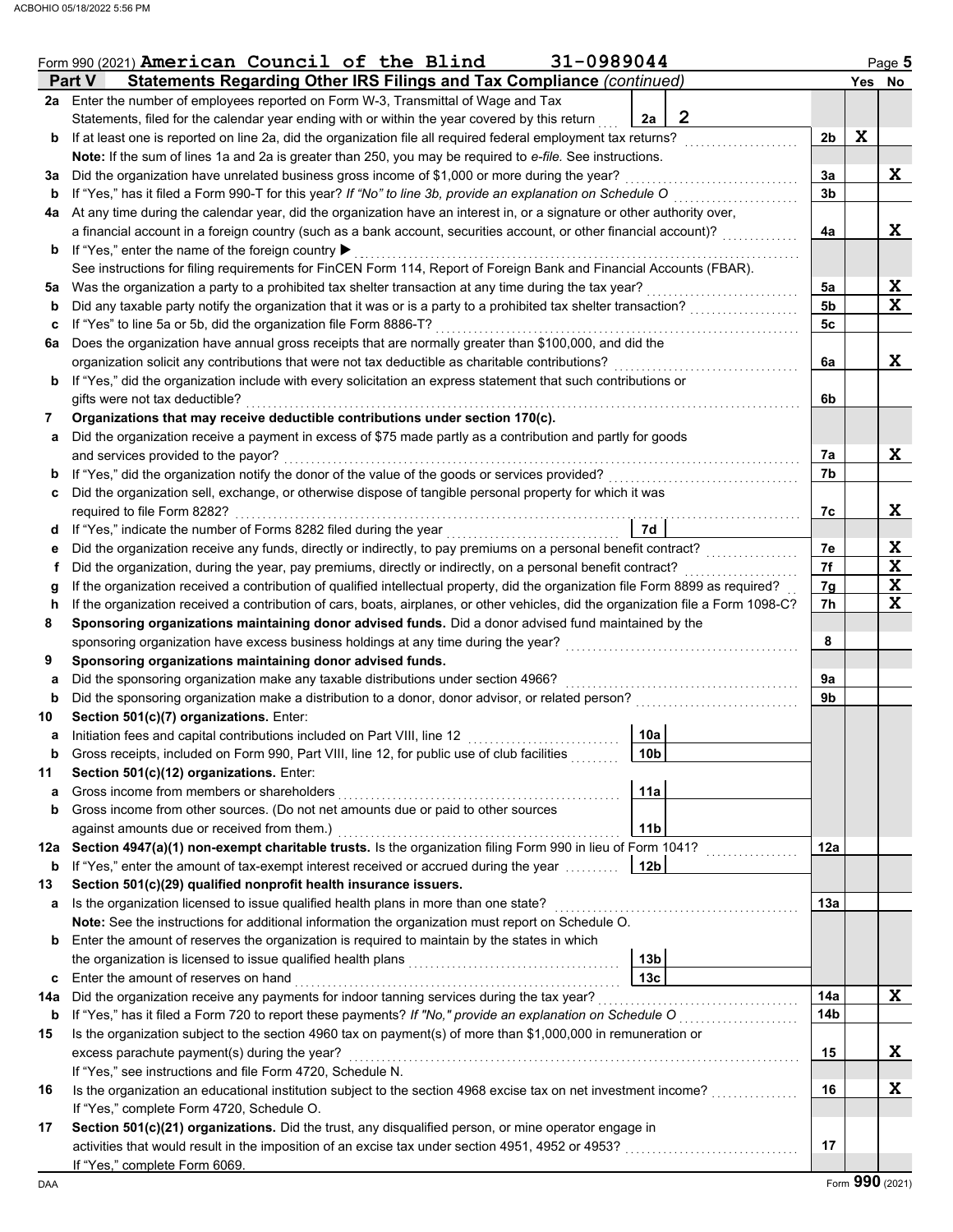| Form 990 (2021) American Council of the Blind<br>31-0989044 |                                                                                                                                                                                                                                                  |                 |                |     |             |  |  |  |  |
|-------------------------------------------------------------|--------------------------------------------------------------------------------------------------------------------------------------------------------------------------------------------------------------------------------------------------|-----------------|----------------|-----|-------------|--|--|--|--|
|                                                             | Statements Regarding Other IRS Filings and Tax Compliance (continued)<br><b>Part V</b>                                                                                                                                                           |                 |                | Yes | No          |  |  |  |  |
|                                                             | 2a Enter the number of employees reported on Form W-3, Transmittal of Wage and Tax                                                                                                                                                               |                 |                |     |             |  |  |  |  |
|                                                             | Statements, filed for the calendar year ending with or within the year covered by this return                                                                                                                                                    | 2<br>2a         |                |     |             |  |  |  |  |
| b                                                           | If at least one is reported on line 2a, did the organization file all required federal employment tax returns?                                                                                                                                   |                 | 2 <sub>b</sub> | X   |             |  |  |  |  |
|                                                             | Note: If the sum of lines 1a and 2a is greater than 250, you may be required to e-file. See instructions.                                                                                                                                        |                 |                |     |             |  |  |  |  |
| За                                                          | Did the organization have unrelated business gross income of \$1,000 or more during the year?                                                                                                                                                    |                 | 3a             |     | X           |  |  |  |  |
| b                                                           | If "Yes," has it filed a Form 990-T for this year? If "No" to line 3b, provide an explanation on Schedule O                                                                                                                                      |                 | 3b             |     |             |  |  |  |  |
| 4a                                                          | At any time during the calendar year, did the organization have an interest in, or a signature or other authority over,                                                                                                                          |                 |                |     |             |  |  |  |  |
|                                                             | a financial account in a foreign country (such as a bank account, securities account, or other financial account)?                                                                                                                               |                 | 4a             |     | X           |  |  |  |  |
| b                                                           | If "Yes," enter the name of the foreign country ▶                                                                                                                                                                                                |                 |                |     |             |  |  |  |  |
|                                                             | See instructions for filing requirements for FinCEN Form 114, Report of Foreign Bank and Financial Accounts (FBAR).                                                                                                                              |                 |                |     |             |  |  |  |  |
| 5a                                                          | Was the organization a party to a prohibited tax shelter transaction at any time during the tax year?                                                                                                                                            |                 | 5a             |     | X           |  |  |  |  |
| b                                                           | Did any taxable party notify the organization that it was or is a party to a prohibited tax shelter transaction?                                                                                                                                 |                 | 5 <sub>b</sub> |     | $\mathbf x$ |  |  |  |  |
| c                                                           | If "Yes" to line 5a or 5b, did the organization file Form 8886-T?                                                                                                                                                                                |                 | 5c             |     |             |  |  |  |  |
| 6a                                                          | Does the organization have annual gross receipts that are normally greater than \$100,000, and did the                                                                                                                                           |                 |                |     |             |  |  |  |  |
|                                                             | organization solicit any contributions that were not tax deductible as charitable contributions?                                                                                                                                                 |                 | 6a             |     | X.          |  |  |  |  |
| b                                                           | If "Yes," did the organization include with every solicitation an express statement that such contributions or                                                                                                                                   |                 |                |     |             |  |  |  |  |
|                                                             | gifts were not tax deductible?                                                                                                                                                                                                                   |                 | 6b             |     |             |  |  |  |  |
| 7                                                           | Organizations that may receive deductible contributions under section 170(c).                                                                                                                                                                    |                 |                |     |             |  |  |  |  |
| а                                                           | Did the organization receive a payment in excess of \$75 made partly as a contribution and partly for goods                                                                                                                                      |                 |                |     |             |  |  |  |  |
|                                                             | and services provided to the payor?                                                                                                                                                                                                              |                 | 7a             |     | X           |  |  |  |  |
| b                                                           | If "Yes," did the organization notify the donor of the value of the goods or services provided?                                                                                                                                                  |                 | 7b             |     |             |  |  |  |  |
| c                                                           | Did the organization sell, exchange, or otherwise dispose of tangible personal property for which it was                                                                                                                                         |                 |                |     |             |  |  |  |  |
|                                                             | required to file Form 8282?                                                                                                                                                                                                                      | 7d              | 7c             |     | x           |  |  |  |  |
| d                                                           | If "Yes," indicate the number of Forms 8282 filed during the year                                                                                                                                                                                |                 |                |     | X           |  |  |  |  |
| е                                                           | Did the organization receive any funds, directly or indirectly, to pay premiums on a personal benefit contract?                                                                                                                                  |                 | 7e<br>7f       |     | X           |  |  |  |  |
| Ť.                                                          | Did the organization, during the year, pay premiums, directly or indirectly, on a personal benefit contract?<br>If the organization received a contribution of qualified intellectual property, did the organization file Form 8899 as required? |                 | 7g             |     | X           |  |  |  |  |
| g<br>h                                                      | If the organization received a contribution of cars, boats, airplanes, or other vehicles, did the organization file a Form 1098-C?                                                                                                               |                 | 7h             |     | X           |  |  |  |  |
| 8                                                           | Sponsoring organizations maintaining donor advised funds. Did a donor advised fund maintained by the                                                                                                                                             |                 |                |     |             |  |  |  |  |
|                                                             | sponsoring organization have excess business holdings at any time during the year?                                                                                                                                                               |                 | 8              |     |             |  |  |  |  |
| 9                                                           | Sponsoring organizations maintaining donor advised funds.                                                                                                                                                                                        |                 |                |     |             |  |  |  |  |
| а                                                           | Did the sponsoring organization make any taxable distributions under section 4966?                                                                                                                                                               |                 | 9а             |     |             |  |  |  |  |
| b                                                           | Did the sponsoring organization make a distribution to a donor, donor advisor, or related person?                                                                                                                                                |                 | 9b             |     |             |  |  |  |  |
| 10                                                          | Section 501(c)(7) organizations. Enter:                                                                                                                                                                                                          |                 |                |     |             |  |  |  |  |
| а                                                           | Initiation fees and capital contributions included on Part VIII, line 12                                                                                                                                                                         | 10a             |                |     |             |  |  |  |  |
| b                                                           | Gross receipts, included on Form 990, Part VIII, line 12, for public use of club facilities                                                                                                                                                      | 10b             |                |     |             |  |  |  |  |
| 11                                                          | Section 501(c)(12) organizations. Enter:                                                                                                                                                                                                         |                 |                |     |             |  |  |  |  |
| а                                                           | Gross income from members or shareholders                                                                                                                                                                                                        | 11a             |                |     |             |  |  |  |  |
| b                                                           | Gross income from other sources. (Do not net amounts due or paid to other sources                                                                                                                                                                |                 |                |     |             |  |  |  |  |
|                                                             | against amounts due or received from them.)                                                                                                                                                                                                      | <b>11b</b>      |                |     |             |  |  |  |  |
| 12a                                                         | Section 4947(a)(1) non-exempt charitable trusts. Is the organization filing Form 990 in lieu of Form 1041?                                                                                                                                       |                 | 12a            |     |             |  |  |  |  |
| b                                                           | If "Yes," enter the amount of tax-exempt interest received or accrued during the year                                                                                                                                                            | 12 <sub>b</sub> |                |     |             |  |  |  |  |
| 13                                                          | Section 501(c)(29) qualified nonprofit health insurance issuers.                                                                                                                                                                                 |                 |                |     |             |  |  |  |  |
| а                                                           | Is the organization licensed to issue qualified health plans in more than one state?                                                                                                                                                             |                 | 13a            |     |             |  |  |  |  |
|                                                             | Note: See the instructions for additional information the organization must report on Schedule O.                                                                                                                                                |                 |                |     |             |  |  |  |  |
| b                                                           | Enter the amount of reserves the organization is required to maintain by the states in which                                                                                                                                                     |                 |                |     |             |  |  |  |  |
|                                                             |                                                                                                                                                                                                                                                  | 13 <sub>b</sub> |                |     |             |  |  |  |  |
| c                                                           | Enter the amount of reserves on hand                                                                                                                                                                                                             | 13c             |                |     |             |  |  |  |  |
| 14a                                                         | Did the organization receive any payments for indoor tanning services during the tax year?                                                                                                                                                       |                 | 14a            |     | X           |  |  |  |  |
| b                                                           |                                                                                                                                                                                                                                                  |                 | 14b            |     |             |  |  |  |  |
| 15                                                          | Is the organization subject to the section 4960 tax on payment(s) of more than \$1,000,000 in remuneration or                                                                                                                                    |                 |                |     |             |  |  |  |  |
| excess parachute payment(s) during the year?                |                                                                                                                                                                                                                                                  |                 |                |     |             |  |  |  |  |
|                                                             | If "Yes," see instructions and file Form 4720, Schedule N.                                                                                                                                                                                       |                 |                |     |             |  |  |  |  |
| 16                                                          |                                                                                                                                                                                                                                                  |                 | 16             |     | X           |  |  |  |  |
|                                                             | If "Yes," complete Form 4720, Schedule O.                                                                                                                                                                                                        |                 |                |     |             |  |  |  |  |
| 17                                                          | Section 501(c)(21) organizations. Did the trust, any disqualified person, or mine operator engage in                                                                                                                                             |                 |                |     |             |  |  |  |  |
|                                                             |                                                                                                                                                                                                                                                  |                 | 17             |     |             |  |  |  |  |
|                                                             | If "Yes," complete Form 6069.                                                                                                                                                                                                                    |                 |                |     |             |  |  |  |  |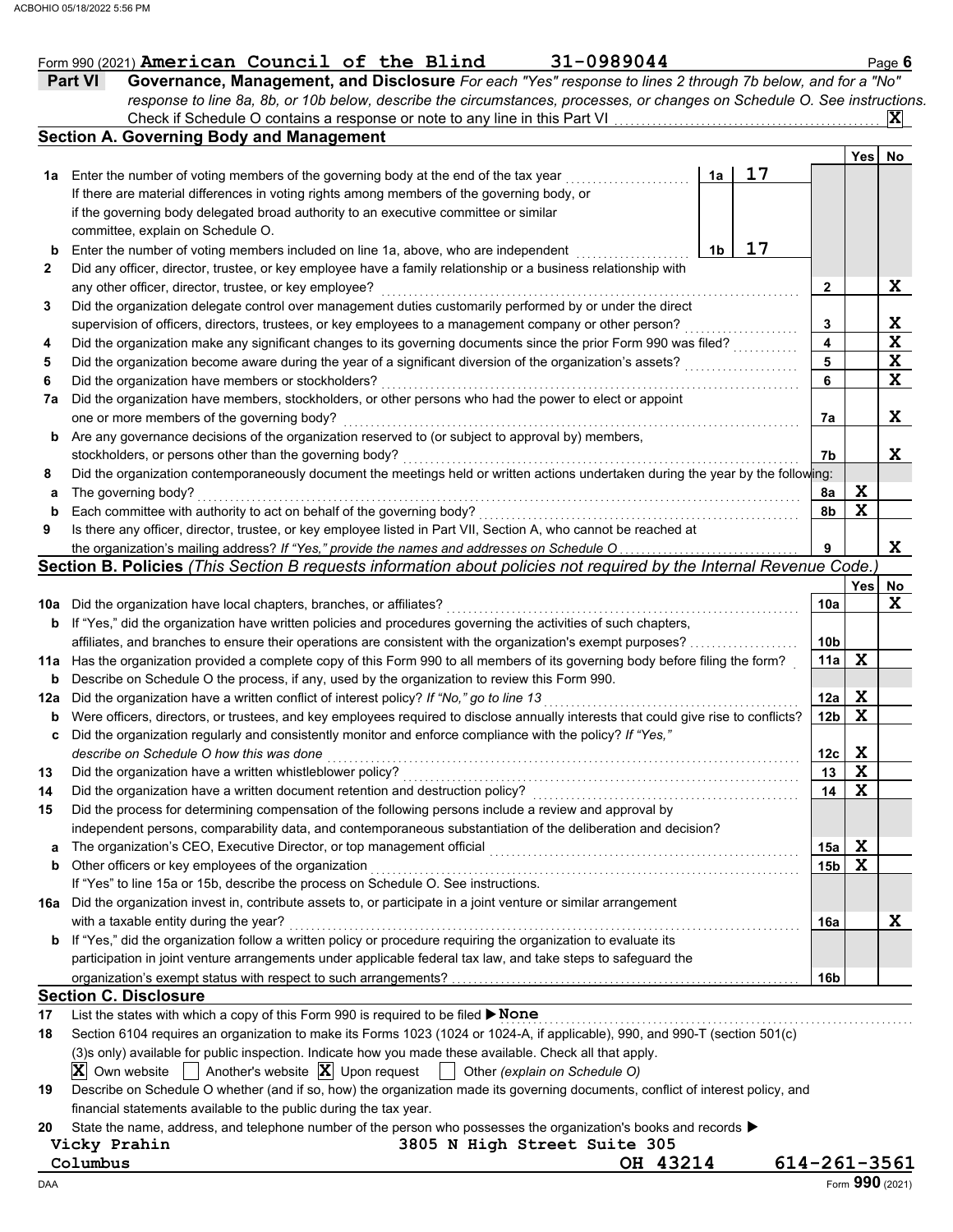| Form 990 (2021) American Council of the Blind |  | $31 - 0989044$ | Page <b>b</b> |
|-----------------------------------------------|--|----------------|---------------|
|                                               |  |                |               |

*response to line 8a, 8b, or 10b below, describe the circumstances, processes, or changes on Schedule O. See instructions.*

|     | Check if Schedule O contains a response or note to any line in this Part VI                                                         |                |    |  |                 |                  | X           |  |
|-----|-------------------------------------------------------------------------------------------------------------------------------------|----------------|----|--|-----------------|------------------|-------------|--|
|     | <b>Section A. Governing Body and Management</b>                                                                                     |                |    |  |                 |                  |             |  |
|     |                                                                                                                                     |                |    |  |                 | Yes              | No          |  |
| 1a  | Enter the number of voting members of the governing body at the end of the tax year                                                 | 1a             | 17 |  |                 |                  |             |  |
|     | If there are material differences in voting rights among members of the governing body, or                                          |                |    |  |                 |                  |             |  |
|     | if the governing body delegated broad authority to an executive committee or similar                                                |                |    |  |                 |                  |             |  |
|     | committee, explain on Schedule O.                                                                                                   |                |    |  |                 |                  |             |  |
| b   | Enter the number of voting members included on line 1a, above, who are independent                                                  | 1 <sub>b</sub> | 17 |  |                 |                  |             |  |
| 2   | Did any officer, director, trustee, or key employee have a family relationship or a business relationship with                      |                |    |  |                 |                  |             |  |
|     | any other officer, director, trustee, or key employee?                                                                              |                |    |  | $\mathbf{2}$    |                  | X           |  |
| 3   | Did the organization delegate control over management duties customarily performed by or under the direct                           |                |    |  |                 |                  |             |  |
|     | supervision of officers, directors, trustees, or key employees to a management company or other person?                             |                |    |  | 3               |                  | X           |  |
| 4   | Did the organization make any significant changes to its governing documents since the prior Form 990 was filed?                    |                |    |  | 4               |                  | $\mathbf x$ |  |
| 5   | Did the organization become aware during the year of a significant diversion of the organization's assets?                          |                |    |  | 5               |                  | X           |  |
| 6   | Did the organization have members or stockholders?                                                                                  |                |    |  | 6               |                  | $\mathbf x$ |  |
| 7a  | Did the organization have members, stockholders, or other persons who had the power to elect or appoint                             |                |    |  |                 |                  |             |  |
|     | one or more members of the governing body?                                                                                          |                |    |  | 7a              |                  | X           |  |
|     | Are any governance decisions of the organization reserved to (or subject to approval by) members,                                   |                |    |  |                 |                  |             |  |
| b   |                                                                                                                                     |                |    |  | 7b              |                  | X           |  |
|     | stockholders, or persons other than the governing body?                                                                             |                |    |  |                 |                  |             |  |
| 8   | Did the organization contemporaneously document the meetings held or written actions undertaken during the year by the following:   |                |    |  |                 |                  |             |  |
| a   | The governing body?                                                                                                                 |                |    |  | 8a              | X<br>$\mathbf x$ |             |  |
| b   | Each committee with authority to act on behalf of the governing body?                                                               |                |    |  | 8b              |                  |             |  |
| 9   | Is there any officer, director, trustee, or key employee listed in Part VII, Section A, who cannot be reached at                    |                |    |  |                 |                  |             |  |
|     | the organization's mailing address? If "Yes," provide the names and addresses on Schedule O                                         |                |    |  | 9               |                  | X           |  |
|     | Section B. Policies (This Section B requests information about policies not required by the Internal Revenue Code.)                 |                |    |  |                 |                  |             |  |
|     |                                                                                                                                     |                |    |  |                 | Yes              | No          |  |
|     | 10a Did the organization have local chapters, branches, or affiliates?                                                              |                |    |  | 10a             |                  | X           |  |
| b   | If "Yes," did the organization have written policies and procedures governing the activities of such chapters,                      |                |    |  |                 |                  |             |  |
|     | affiliates, and branches to ensure their operations are consistent with the organization's exempt purposes?                         |                |    |  | 10 <sub>b</sub> |                  |             |  |
|     | 11a Has the organization provided a complete copy of this Form 990 to all members of its governing body before filing the form?     |                |    |  | 11a             | X                |             |  |
| b   | Describe on Schedule O the process, if any, used by the organization to review this Form 990.                                       |                |    |  |                 |                  |             |  |
| 12a | Did the organization have a written conflict of interest policy? If "No," go to line 13                                             |                |    |  | 12a             | X                |             |  |
| b   | Were officers, directors, or trustees, and key employees required to disclose annually interests that could give rise to conflicts? |                |    |  | 12 <sub>b</sub> | X                |             |  |
| c   | Did the organization regularly and consistently monitor and enforce compliance with the policy? If "Yes,"                           |                |    |  |                 |                  |             |  |
|     | describe on Schedule O how this was done                                                                                            |                |    |  | 12c             | X                |             |  |
| 13  | Did the organization have a written whistleblower policy?                                                                           |                |    |  | 13              | $\mathbf x$      |             |  |
| 14  | Did the organization have a written document retention and destruction policy?                                                      |                |    |  | 14              | $\mathbf x$      |             |  |
|     | Did the process for determining compensation of the following persons include a review and approval by                              |                |    |  |                 |                  |             |  |
|     | independent persons, comparability data, and contemporaneous substantiation of the deliberation and decision?                       |                |    |  |                 |                  |             |  |
| a   | The organization's CEO, Executive Director, or top management official                                                              |                |    |  | 15a             | X                |             |  |
| b   | Other officers or key employees of the organization                                                                                 |                |    |  | 15 <sub>b</sub> | $\mathbf x$      |             |  |
|     | If "Yes" to line 15a or 15b, describe the process on Schedule O. See instructions.                                                  |                |    |  |                 |                  |             |  |
|     | 16a Did the organization invest in, contribute assets to, or participate in a joint venture or similar arrangement                  |                |    |  |                 |                  |             |  |
|     | with a taxable entity during the year?                                                                                              |                |    |  | 16a             |                  | X           |  |
| b   | If "Yes," did the organization follow a written policy or procedure requiring the organization to evaluate its                      |                |    |  |                 |                  |             |  |
|     | participation in joint venture arrangements under applicable federal tax law, and take steps to safeguard the                       |                |    |  |                 |                  |             |  |
|     |                                                                                                                                     |                |    |  | 16b             |                  |             |  |
|     | <b>Section C. Disclosure</b>                                                                                                        |                |    |  |                 |                  |             |  |
| 17  | List the states with which a copy of this Form 990 is required to be filed > None                                                   |                |    |  |                 |                  |             |  |
| 18  | Section 6104 requires an organization to make its Forms 1023 (1024 or 1024-A, if applicable), 990, and 990-T (section 501(c)        |                |    |  |                 |                  |             |  |
|     | (3)s only) available for public inspection. Indicate how you made these available. Check all that apply.                            |                |    |  |                 |                  |             |  |
|     | Another's website $ \mathbf{X} $ Upon request<br>IXI<br>Own website $\ $<br>Other (explain on Schedule O)                           |                |    |  |                 |                  |             |  |
| 19  | Describe on Schedule O whether (and if so, how) the organization made its governing documents, conflict of interest policy, and     |                |    |  |                 |                  |             |  |
|     | financial statements available to the public during the tax year.                                                                   |                |    |  |                 |                  |             |  |
|     |                                                                                                                                     |                |    |  |                 |                  |             |  |

**20** State the name, address, and telephone number of the person who possesses the organization's books and records ▶

**Vicky Prahin 3805 N High Street Suite 305**

**Columbus OH 43214 614-261-3561**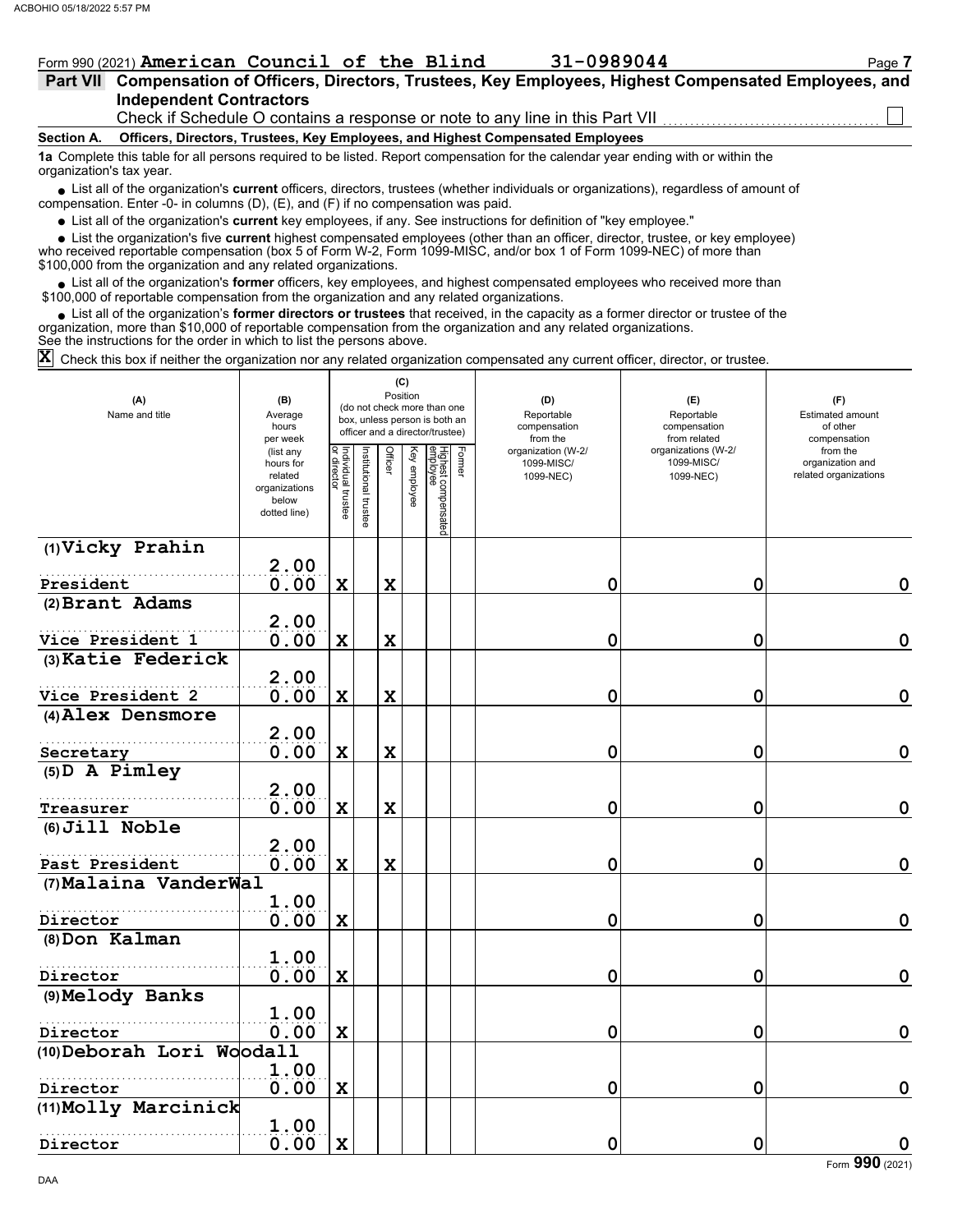### Form 990 (2021) **American Council of the Blind 31-0989044** Page 7

|  |  |                                |  |                                                                                                                                                                                                                                   | Part VII Compensation of Officers, Directors, Trustees, Key Employees, Highest Compensated Employees, and |  |
|--|--|--------------------------------|--|-----------------------------------------------------------------------------------------------------------------------------------------------------------------------------------------------------------------------------------|-----------------------------------------------------------------------------------------------------------|--|
|  |  | <b>Independent Contractors</b> |  |                                                                                                                                                                                                                                   |                                                                                                           |  |
|  |  |                                |  | $\Omega$ . The state of the state of the state of the state of the state of the state of the state of the state of the state of the state of the state of the state of the state of the state of the state of the state of the st |                                                                                                           |  |

Check if Schedule O contains a response or note to any line in this Part VII

**Section A. Officers, Directors, Trustees, Key Employees, and Highest Compensated Employees**

**1a** Complete this table for all persons required to be listed. Report compensation for the calendar year ending with or within the organization's tax year.

■ List all of the organization's **current** officers, directors, trustees (whether individuals or organizations), regardless of amount of compensation. Enter -0- in columns (D), (E), and (F) if no compensation was paid.

List all of the organization's **current** key employees, if any. See instructions for definition of "key employee."

■ List all of the organization's **current** key employees, if any. See instructions for definition of "key employee."<br>■ List the organization's five **current** highest compensated employees (other than an officer, director,

who received reportable compensation (box 5 of Form W-2, Form 1099-MISC, and/or box 1 of Form 1099-NEC) of more than \$100,000 from the organization and any related organizations.

• List all of the organization's **former** officers, key employees, and highest compensated employees who received more than<br>00,000 of reportable compensation from the organization and any related erganizations. \$100,000 of reportable compensation from the organization and any related organizations.

• List all of the organization's **former directors or trustees** that received, in the capacity as a former director or trustee of the anization more than \$10,000 of reportable compensation from the organization and any rel organization, more than \$10,000 of reportable compensation from the organization and any related organizations. See the instructions for the order in which to list the persons above.

 $\bar{\bm{\mathsf{X}}}$  Check this box if neither the organization nor any related organization compensated any current officer, director, or trustee.

| (A)<br>Name and title     | (B)<br>Average<br>hours<br>per week                                         |                                   |                             |             | (C)<br>Position<br>(do not check more than one<br>box, unless person is both an<br>officer and a director/trustee) |                                 |        | (D)<br>Reportable<br>compensation<br>from the | (E)<br>Reportable<br>compensation<br>from related | (F)<br>Estimated amount<br>of other<br>compensation   |
|---------------------------|-----------------------------------------------------------------------------|-----------------------------------|-----------------------------|-------------|--------------------------------------------------------------------------------------------------------------------|---------------------------------|--------|-----------------------------------------------|---------------------------------------------------|-------------------------------------------------------|
|                           | (list any<br>hours for<br>related<br>organizations<br>below<br>dotted line) | Individual trustee<br>or director | <b>assitutional trustee</b> | Officer     | Key employee                                                                                                       | Highest compensated<br>employee | Former | organization (W-2/<br>1099-MISC/<br>1099-NEC) | organizations (W-2/<br>1099-MISC/<br>1099-NEC)    | from the<br>organization and<br>related organizations |
| (1) Vicky Prahin          |                                                                             |                                   |                             |             |                                                                                                                    |                                 |        |                                               |                                                   |                                                       |
| President                 | 2.00<br>0.00                                                                | $\mathbf X$                       |                             | X           |                                                                                                                    |                                 |        | 0                                             | 0                                                 | 0                                                     |
| (2) Brant Adams           |                                                                             |                                   |                             |             |                                                                                                                    |                                 |        |                                               |                                                   |                                                       |
| Vice President 1          | 2.00<br>0.00                                                                | $\mathbf x$                       |                             | X           |                                                                                                                    |                                 |        | $\mathbf 0$                                   | 0                                                 | $\mathbf 0$                                           |
| (3) Katie Federick        |                                                                             |                                   |                             |             |                                                                                                                    |                                 |        |                                               |                                                   |                                                       |
|                           | 2.00                                                                        |                                   |                             |             |                                                                                                                    |                                 |        |                                               |                                                   |                                                       |
| Vice President 2          | 0.00                                                                        | $\mathbf X$                       |                             | $\mathbf x$ |                                                                                                                    |                                 |        | $\mathbf 0$                                   | 0                                                 | $\mathbf 0$                                           |
| (4) Alex Densmore         |                                                                             |                                   |                             |             |                                                                                                                    |                                 |        |                                               |                                                   |                                                       |
|                           | 2.00                                                                        |                                   |                             |             |                                                                                                                    |                                 |        |                                               |                                                   |                                                       |
| Secretary                 | 0.00                                                                        | X                                 |                             | $\mathbf x$ |                                                                                                                    |                                 |        | 0                                             | 0                                                 | $\mathbf 0$                                           |
| $(5)$ D A Pimley          | 2.00                                                                        |                                   |                             |             |                                                                                                                    |                                 |        |                                               |                                                   |                                                       |
| Treasurer                 | 0.00                                                                        | $\mathbf x$                       |                             | X           |                                                                                                                    |                                 |        | 0                                             | 0                                                 | $\mathbf 0$                                           |
| $(6)$ Jill Noble          |                                                                             |                                   |                             |             |                                                                                                                    |                                 |        |                                               |                                                   |                                                       |
| Past President            | 2.00<br>0.00                                                                | $\mathbf X$                       |                             | $\mathbf x$ |                                                                                                                    |                                 |        | 0                                             | 0                                                 | $\mathbf 0$                                           |
| (7) Malaina VanderWal     |                                                                             |                                   |                             |             |                                                                                                                    |                                 |        |                                               |                                                   |                                                       |
|                           | 1.00                                                                        |                                   |                             |             |                                                                                                                    |                                 |        |                                               |                                                   |                                                       |
| Director                  | 0.00                                                                        | X                                 |                             |             |                                                                                                                    |                                 |        | 0                                             | 0                                                 | $\mathbf 0$                                           |
| (8) Don Kalman            |                                                                             |                                   |                             |             |                                                                                                                    |                                 |        |                                               |                                                   |                                                       |
|                           | 1.00                                                                        |                                   |                             |             |                                                                                                                    |                                 |        |                                               |                                                   |                                                       |
| Director                  | 0.00                                                                        | $\mathbf x$                       |                             |             |                                                                                                                    |                                 |        | 0                                             | 0                                                 | $\mathbf 0$                                           |
| (9) Melody Banks          | 1.00                                                                        |                                   |                             |             |                                                                                                                    |                                 |        |                                               |                                                   |                                                       |
| Director                  | 0.00                                                                        | $\mathbf x$                       |                             |             |                                                                                                                    |                                 |        | 0                                             | 0                                                 | $\mathbf 0$                                           |
| (10) Deborah Lori Woodall |                                                                             |                                   |                             |             |                                                                                                                    |                                 |        |                                               |                                                   |                                                       |
|                           | 1.00                                                                        |                                   |                             |             |                                                                                                                    |                                 |        |                                               |                                                   |                                                       |
| Director                  | 0.00                                                                        | X                                 |                             |             |                                                                                                                    |                                 |        | 0                                             | 0                                                 | $\mathbf 0$                                           |
| (11) Molly Marcinick      |                                                                             |                                   |                             |             |                                                                                                                    |                                 |        |                                               |                                                   |                                                       |
|                           | 1.00                                                                        |                                   |                             |             |                                                                                                                    |                                 |        |                                               |                                                   |                                                       |
| Director                  | 0.00                                                                        | $\mathbf x$                       |                             |             |                                                                                                                    |                                 |        | 0                                             | 0                                                 | $\mathbf 0$                                           |

Form **990** (2021)

DAA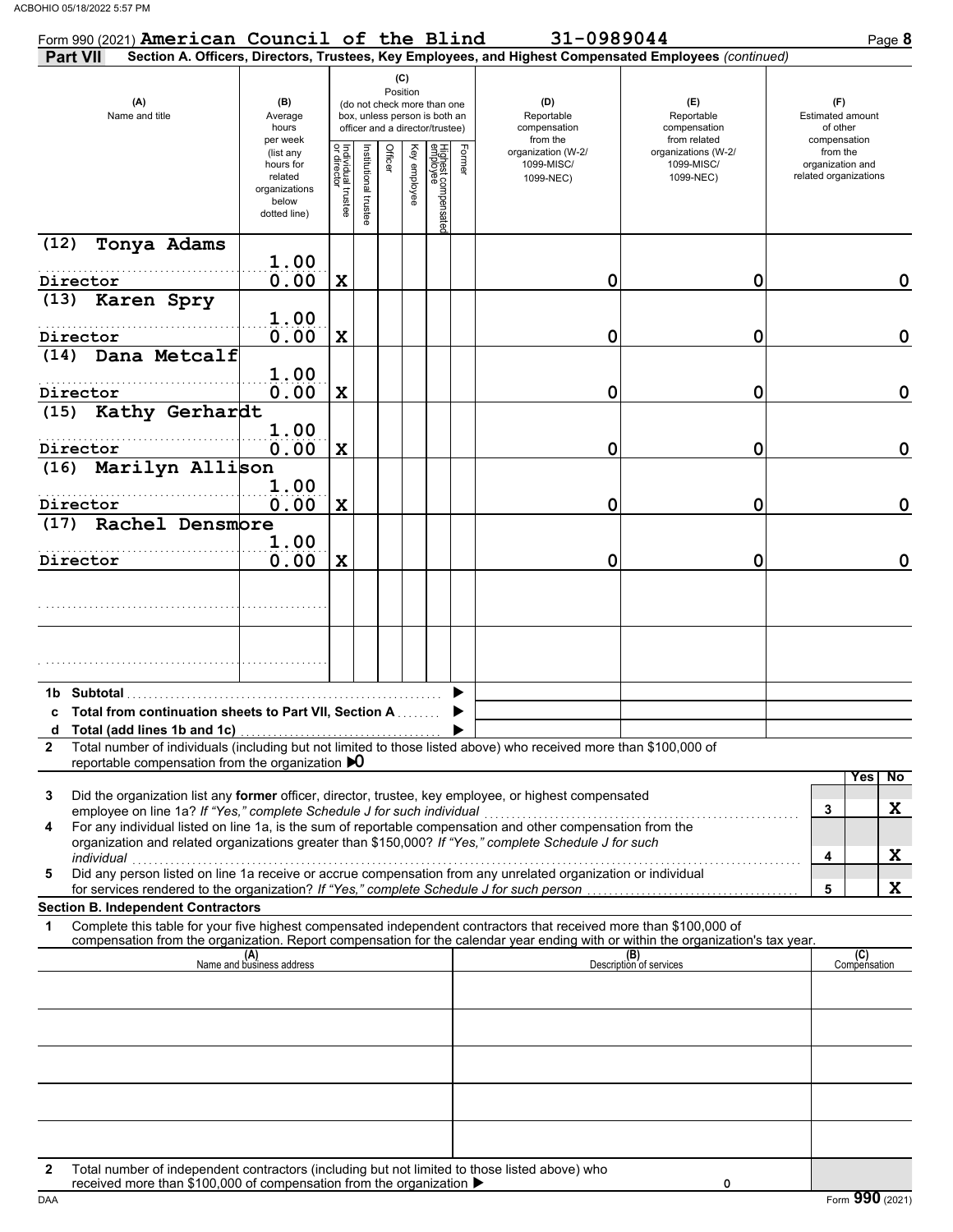| Form 990 (2021) American Council of the Blind                                                                                                                                                                                                                                                                                                                                                                                                                                                                                                                                                                                                                                                                                |                                                                             |                                   |                       |                                                                                                                    |              |                                 |        | 31-0989044                                                                                             |                                                   | Page 8                                                     |
|------------------------------------------------------------------------------------------------------------------------------------------------------------------------------------------------------------------------------------------------------------------------------------------------------------------------------------------------------------------------------------------------------------------------------------------------------------------------------------------------------------------------------------------------------------------------------------------------------------------------------------------------------------------------------------------------------------------------------|-----------------------------------------------------------------------------|-----------------------------------|-----------------------|--------------------------------------------------------------------------------------------------------------------|--------------|---------------------------------|--------|--------------------------------------------------------------------------------------------------------|---------------------------------------------------|------------------------------------------------------------|
| <b>Part VII</b>                                                                                                                                                                                                                                                                                                                                                                                                                                                                                                                                                                                                                                                                                                              |                                                                             |                                   |                       |                                                                                                                    |              |                                 |        | Section A. Officers, Directors, Trustees, Key Employees, and Highest Compensated Employees (continued) |                                                   |                                                            |
| (A)<br>Name and title                                                                                                                                                                                                                                                                                                                                                                                                                                                                                                                                                                                                                                                                                                        | (B)<br>Average<br>hours<br>per week                                         |                                   |                       | (C)<br>Position<br>(do not check more than one<br>box, unless person is both an<br>officer and a director/trustee) |              |                                 |        | (D)<br>Reportable<br>compensation<br>from the                                                          | (E)<br>Reportable<br>compensation<br>from related | (F)<br><b>Estimated amount</b><br>of other<br>compensation |
|                                                                                                                                                                                                                                                                                                                                                                                                                                                                                                                                                                                                                                                                                                                              | (list any<br>hours for<br>related<br>organizations<br>below<br>dotted line) | Individual trustee<br>or director | Institutional trustee | Officer                                                                                                            | Key employee | Highest compensatec<br>employee | Former | organization (W-2/<br>1099-MISC/<br>1099-NEC)                                                          | organizations (W-2/<br>1099-MISC/<br>1099-NEC)    | from the<br>organization and<br>related organizations      |
| (12)<br>Tonya Adams                                                                                                                                                                                                                                                                                                                                                                                                                                                                                                                                                                                                                                                                                                          |                                                                             |                                   |                       |                                                                                                                    |              |                                 |        |                                                                                                        |                                                   |                                                            |
| Director                                                                                                                                                                                                                                                                                                                                                                                                                                                                                                                                                                                                                                                                                                                     | 1.00<br>0.00                                                                | $\mathbf X$                       |                       |                                                                                                                    |              |                                 |        | 0                                                                                                      | 0                                                 | 0                                                          |
| Karen Spry<br>(13)                                                                                                                                                                                                                                                                                                                                                                                                                                                                                                                                                                                                                                                                                                           |                                                                             |                                   |                       |                                                                                                                    |              |                                 |        |                                                                                                        |                                                   |                                                            |
|                                                                                                                                                                                                                                                                                                                                                                                                                                                                                                                                                                                                                                                                                                                              | 1.00                                                                        |                                   |                       |                                                                                                                    |              |                                 |        |                                                                                                        |                                                   |                                                            |
| Director<br>Dana Metcalf<br>(14)                                                                                                                                                                                                                                                                                                                                                                                                                                                                                                                                                                                                                                                                                             | 0.00                                                                        | $\mathbf X$                       |                       |                                                                                                                    |              |                                 |        | 0                                                                                                      | 0                                                 | $\mathbf 0$                                                |
|                                                                                                                                                                                                                                                                                                                                                                                                                                                                                                                                                                                                                                                                                                                              | 1.00                                                                        |                                   |                       |                                                                                                                    |              |                                 |        |                                                                                                        |                                                   |                                                            |
| Director                                                                                                                                                                                                                                                                                                                                                                                                                                                                                                                                                                                                                                                                                                                     | 0.00                                                                        | $\mathbf x$                       |                       |                                                                                                                    |              |                                 |        | 0                                                                                                      | 0                                                 | $\mathbf 0$                                                |
| Kathy Gerhardt<br>(15)                                                                                                                                                                                                                                                                                                                                                                                                                                                                                                                                                                                                                                                                                                       | 1.00                                                                        |                                   |                       |                                                                                                                    |              |                                 |        |                                                                                                        |                                                   |                                                            |
| Director                                                                                                                                                                                                                                                                                                                                                                                                                                                                                                                                                                                                                                                                                                                     | 0.00                                                                        | $\mathbf x$                       |                       |                                                                                                                    |              |                                 |        | 0                                                                                                      | 0                                                 | $\mathbf 0$                                                |
| Marilyn Allison<br>(16)                                                                                                                                                                                                                                                                                                                                                                                                                                                                                                                                                                                                                                                                                                      |                                                                             |                                   |                       |                                                                                                                    |              |                                 |        |                                                                                                        |                                                   |                                                            |
|                                                                                                                                                                                                                                                                                                                                                                                                                                                                                                                                                                                                                                                                                                                              | 1.00                                                                        |                                   |                       |                                                                                                                    |              |                                 |        |                                                                                                        |                                                   | $\mathbf 0$                                                |
| Director<br>Rachel Densmore<br>(17)                                                                                                                                                                                                                                                                                                                                                                                                                                                                                                                                                                                                                                                                                          | 0.00                                                                        | $\mathbf x$                       |                       |                                                                                                                    |              |                                 |        | 0                                                                                                      | 0                                                 |                                                            |
|                                                                                                                                                                                                                                                                                                                                                                                                                                                                                                                                                                                                                                                                                                                              | 1.00                                                                        |                                   |                       |                                                                                                                    |              |                                 |        |                                                                                                        |                                                   |                                                            |
| Director                                                                                                                                                                                                                                                                                                                                                                                                                                                                                                                                                                                                                                                                                                                     | 0.00                                                                        | $\mathbf x$                       |                       |                                                                                                                    |              |                                 |        | 0                                                                                                      | 0                                                 | $\mathbf 0$                                                |
|                                                                                                                                                                                                                                                                                                                                                                                                                                                                                                                                                                                                                                                                                                                              |                                                                             |                                   |                       |                                                                                                                    |              |                                 |        |                                                                                                        |                                                   |                                                            |
| 1b Subtotal<br>c Total from continuation sheets to Part VII, Section A<br>Total number of individuals (including but not limited to those listed above) who received more than \$100,000 of<br>2                                                                                                                                                                                                                                                                                                                                                                                                                                                                                                                             |                                                                             |                                   |                       |                                                                                                                    |              |                                 |        |                                                                                                        |                                                   |                                                            |
| reportable compensation from the organization $\mathbf{D}$<br>Did the organization list any former officer, director, trustee, key employee, or highest compensated<br>3<br>employee on line 1a? If "Yes," complete Schedule J for such individual<br>For any individual listed on line 1a, is the sum of reportable compensation and other compensation from the<br>4<br>organization and related organizations greater than \$150,000? If "Yes," complete Schedule J for such<br>individual<br>marviauar<br>Did any person listed on line 1a receive or accrue compensation from any unrelated organization or individual<br>5<br>for services rendered to the organization? If "Yes," complete Schedule J for such person |                                                                             |                                   |                       |                                                                                                                    |              |                                 |        |                                                                                                        |                                                   | Yes<br>No<br>X<br>3<br>X<br>4<br>X<br>5                    |
| <b>Section B. Independent Contractors</b><br>Complete this table for your five highest compensated independent contractors that received more than \$100,000 of<br>1                                                                                                                                                                                                                                                                                                                                                                                                                                                                                                                                                         |                                                                             |                                   |                       |                                                                                                                    |              |                                 |        |                                                                                                        |                                                   |                                                            |
| compensation from the organization. Report compensation for the calendar year ending with or within the organization's tax year.                                                                                                                                                                                                                                                                                                                                                                                                                                                                                                                                                                                             |                                                                             |                                   |                       |                                                                                                                    |              |                                 |        |                                                                                                        |                                                   |                                                            |
|                                                                                                                                                                                                                                                                                                                                                                                                                                                                                                                                                                                                                                                                                                                              | (A)<br>Name and business address                                            |                                   |                       |                                                                                                                    |              |                                 |        |                                                                                                        | (B)<br>Description of services                    | (C)<br>Compensation                                        |
|                                                                                                                                                                                                                                                                                                                                                                                                                                                                                                                                                                                                                                                                                                                              |                                                                             |                                   |                       |                                                                                                                    |              |                                 |        |                                                                                                        |                                                   |                                                            |
|                                                                                                                                                                                                                                                                                                                                                                                                                                                                                                                                                                                                                                                                                                                              |                                                                             |                                   |                       |                                                                                                                    |              |                                 |        |                                                                                                        |                                                   |                                                            |
|                                                                                                                                                                                                                                                                                                                                                                                                                                                                                                                                                                                                                                                                                                                              |                                                                             |                                   |                       |                                                                                                                    |              |                                 |        |                                                                                                        |                                                   |                                                            |
|                                                                                                                                                                                                                                                                                                                                                                                                                                                                                                                                                                                                                                                                                                                              |                                                                             |                                   |                       |                                                                                                                    |              |                                 |        |                                                                                                        |                                                   |                                                            |
|                                                                                                                                                                                                                                                                                                                                                                                                                                                                                                                                                                                                                                                                                                                              |                                                                             |                                   |                       |                                                                                                                    |              |                                 |        |                                                                                                        |                                                   |                                                            |
|                                                                                                                                                                                                                                                                                                                                                                                                                                                                                                                                                                                                                                                                                                                              |                                                                             |                                   |                       |                                                                                                                    |              |                                 |        |                                                                                                        |                                                   |                                                            |
|                                                                                                                                                                                                                                                                                                                                                                                                                                                                                                                                                                                                                                                                                                                              |                                                                             |                                   |                       |                                                                                                                    |              |                                 |        |                                                                                                        |                                                   |                                                            |
| Total number of independent contractors (including but not limited to those listed above) who<br>2<br>received more than \$100,000 of compensation from the organization ▶                                                                                                                                                                                                                                                                                                                                                                                                                                                                                                                                                   |                                                                             |                                   |                       |                                                                                                                    |              |                                 |        |                                                                                                        | 0                                                 |                                                            |

DAA Form 990 (2021)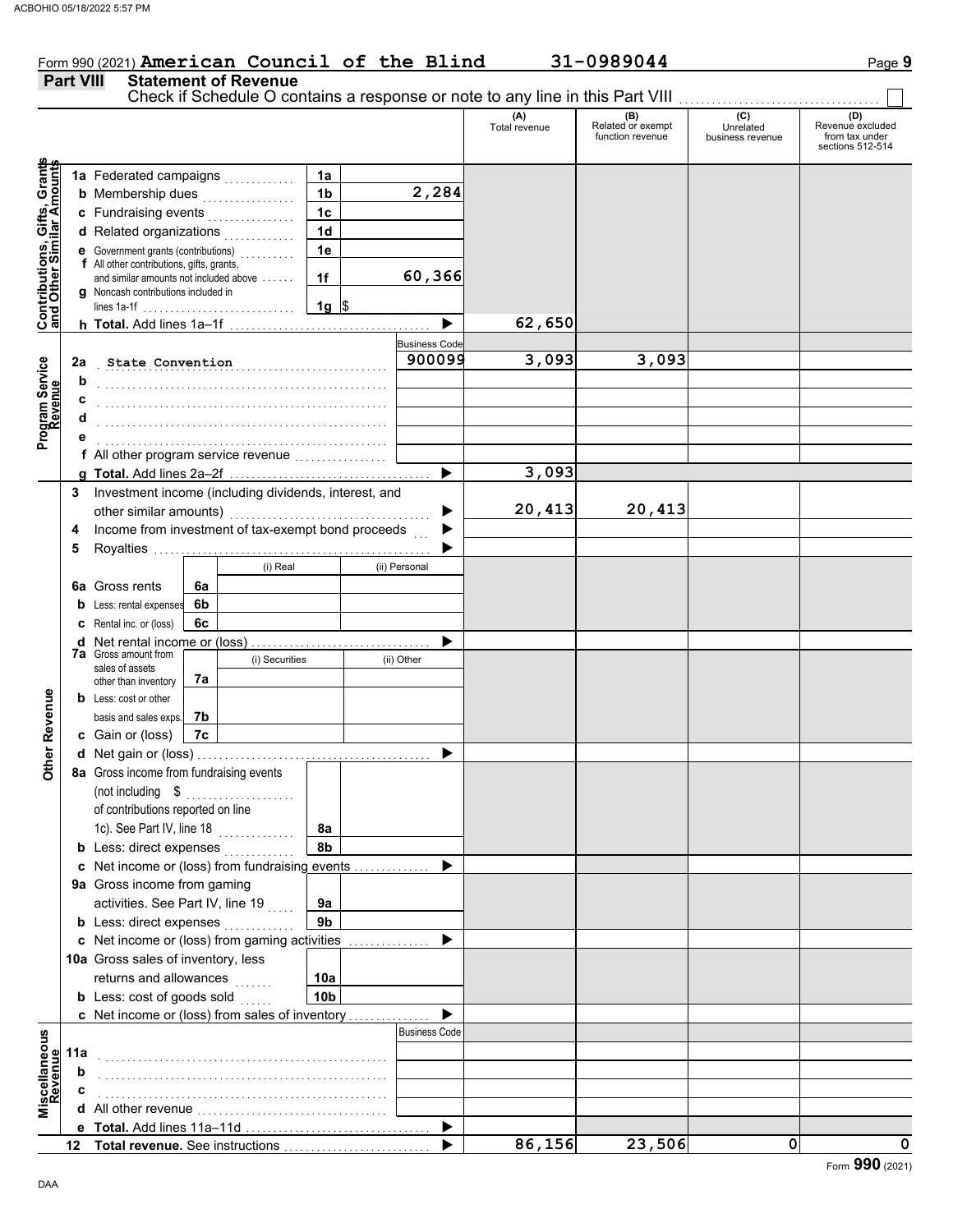### Form 990 (2021) **American Council of the Blind 31-0989044** Page 9 **Part VIII Statement of Revenue**

#### Check if Schedule O contains a response or note to any line in this Part VIII. **(A) (B) (C) (D)** Total revenue Related or exempt Unrelated Revenue excluded function revenue business revenue from tax under sections 512-514 **Contributions, Gifts, Grants and Other Similar Amounts** Grant **1a 1a** Federated campaigns . . . . . . . . . . . , Gifts, Gra<br>illar Amou **2,284 1b b** Membership dues  $\ldots$  . . . . . . . . . . . . **1c c** Fundraising events . . . . . . . . . . . . . . . . **1d d** Related organizations <sub>.</sub> . . . . . . . . . . **Contributions,<br>and Other Simi 1e e** Government grants (contributions) . . . . . . . . . . **f** All other contributions, gifts, grants, **60,366 1f** and similar amounts not included above . . . . . . **g** Noncash contributions included in lines 1a-1f . . . . . . . . . . . . . . . . . . . . . . . . . . . . **1g**  $\frac{1}{2}$ **62,650**  $\blacktriangleright$ **h Total.** Add lines 1a–1f . . . . . . . . . . . . . . . . . . . . . . . . . . . . . . . . . . . . . **Business Code** Program Service<br>Revenue . . . . . . . . . . . . . . . . . . . . . . . . . . . . . . . . . . . . . . . . . . . . . . . . . . . . . **State Convention 900099 3,093 3,093 Program Service 2a b** . . . . . . . . . . . . . . . . . . . . . . . . . . . . . . . . . . . . . . . . . . . . . . . . . . . . . **c** . . . . . . . . . . . . . . . . . . . . . . . . . . . . . . . . . . . . . . . . . . . . . . . . . . . . . **d** . . . . . . . . . . . . . . . . . . . . . . . . . . . . . . . . . . . . . . . . . . . . . . . . . . . . . **e** . . . . . . . . . . . . . . . . . . . . . . . . . . . . . . . . . . . . . . . . . . . . . . . . . . . . . **f** All other program service revenue . . . . . . . . . . . . . . . . . **3,093 g Total.** Add lines 2a–2f . . . . . . . . . . . . . . . . . . . . . . . . . . . . . . . . . . . . . **3** Investment income (including dividends, interest, and other similar amounts) .......... **20,413 20,413** ь Income from investment of tax-exempt bond proceeds **4**  $\blacktriangleright$ **5** Royalties .... ▶ (i) Real (ii) Personal **6a** Gross rents **6a 6b b** Less: rental expenses **c** Rental inc. or (loss) **6c** ь **d** Net rental income or (loss) . . . . . . . . . . . . . . . . . . . . . . . . . . . . . . . . . **7a** Gross amount from (i) Securities (ii) Other sales of assets **7a** other than inventory **Other Revenue Other Revenue b** Less: cost or other **7b** basis and sales exps. **7c c** Gain or (loss) **d** Net gain or (loss) . . . . . . . . . . . . . . . . . . . . . . . . . . . . . . . . . . . . . . . . . . . **8a** Gross income from fundraising events (not including \$ . . . . . . . . . . . . . . . . . . . . of contributions reported on line 1c). See Part IV, line 18 **8a 8b b** Less: direct expenses <sub>.</sub> . . . . . . . . . . **c** Net income or (loss) from fundraising events . . . . . . . . . . . . . . ▶ **9a** Gross income from gaming activities. See Part IV, line 19 **9a 9b b** Less: direct expenses  $\ldots$  $\blacktriangleright$ Net income or (loss) from gaming activities . . . . . . . . . . . . . . . **c** 10a Gross sales of inventory, less returns and allowances **10a 10b b** Less:  $\cosh$  of goods  $\sinh$  $\blacktriangleright$ Net income or (loss) from sales of inventory . . . . . . . . . . . . . . . **c** Miscellaneous<br>Revenue Business Code **Miscellaneous 11a Revenue** . . . . . . . . . . . . . . . . . . . . . . . . . . . . . . . . . . . . . . . . . . . . . . . . . . . . . **b** . . . . . . . . . . . . . . . . . . . . . . . . . . . . . . . . . . . . . . . . . . . . . . . . . . . . . **c** . . . . . . . . . . . . . . . . . . . . . . . . . . . . . . . . . . . . . . . . . . . . . . . . . . . . . **d** All other revenue . . . . . . . . . . . . . . . . . . . . . . . . . . . . . . . . . . . ь **Total.** Add lines 11a-11d **e 86,156 23,506 0 0 Total revenue.** See instructions  $\blacktriangleright$

**12**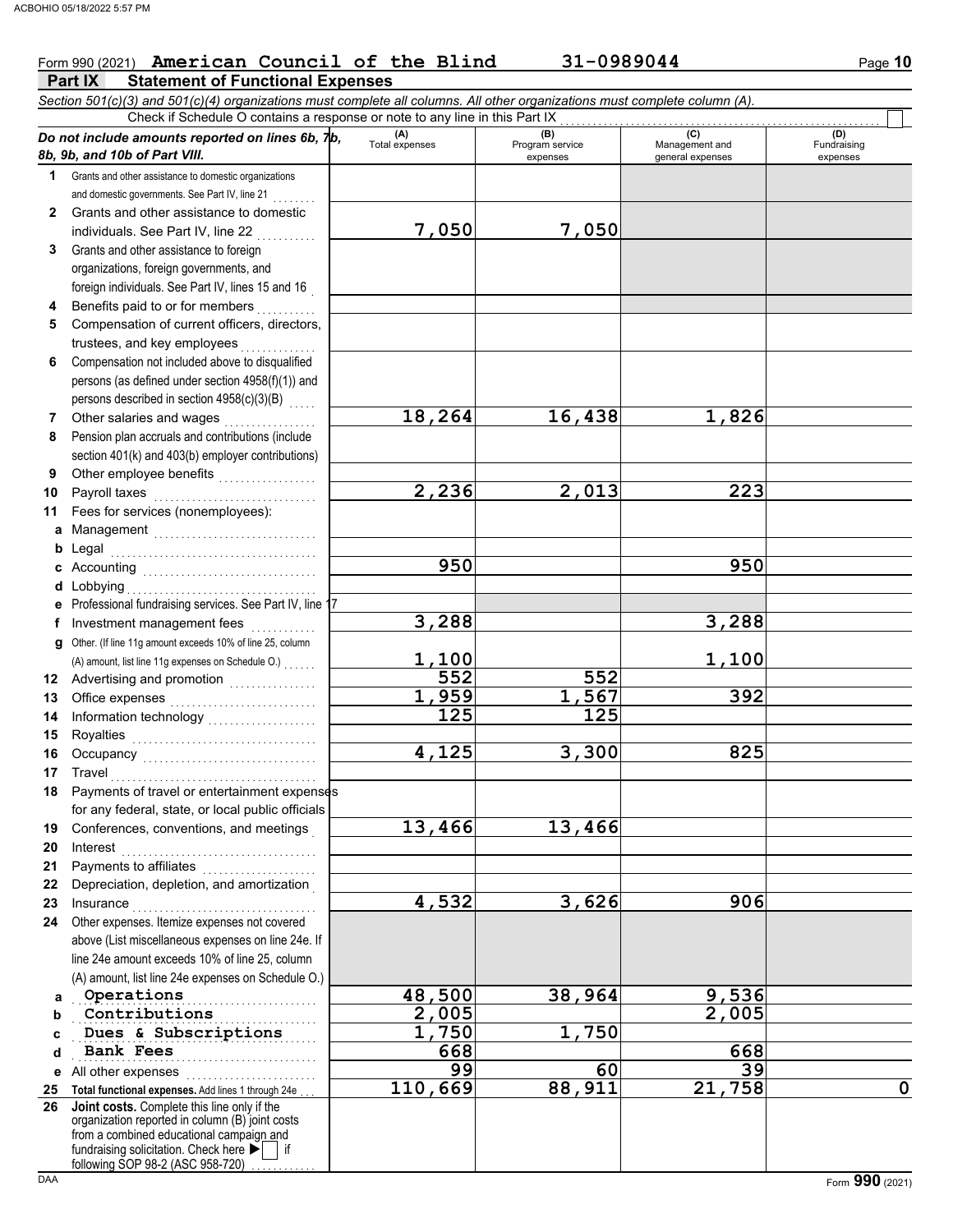### Form 990 (2021) **American Council of the Blind 31-0989044** Page 10

**Part IX Statement of Functional Expenses**

*Section 501(c)(3) and 501(c)(4) organizations must complete all columns. All other organizations must complete column (A). Do not include amounts reported on lines 6b, 7b, 8b, 9b, and 10b of Part VIII.* **1 2 3 4 5 6 7 8 9 10 11 a** Management .............................. **b** Legal **c** Accounting . . . . . . . . . . . . . . . . . . . . . . . . . . . . . . . . **d** Lobbying . . . . . . . . . . . . . . . . . . . . . . . . . . . . . . . . . . . **e** Professional fundraising services. See Part IV, line 17 **f g** Other. (If line 11g amount exceeds 10% of line 25, column **12** Advertising and promotion **. . . . . . . . . . . .** . . **13 14 15 16 17 18 19 20 21 22 23 24 a b c d e** All other expenses . . . . . . . . . . . . . . . . . . . . . . . . **25 Total functional expenses.** Add lines 1 through 24e . . . **26** Grants and other assistance to domestic organizations and domestic governments. See Part IV, line 21 Grants and other assistance to domestic individuals. See Part IV, line 22 Grants and other assistance to foreign organizations, foreign governments, and foreign individuals. See Part IV, lines 15 and 16 Benefits paid to or for members . . . . . . . . . . Compensation of current officers, directors, trustees, and key employees Compensation not included above to disqualified persons (as defined under section 4958(f)(1)) and persons described in section 4958(c)(3)(B) Other salaries and wages .................. Pension plan accruals and contributions (include section 401(k) and 403(b) employer contributions) Other employee benefits ................... Payroll taxes . . . . . . . . . . . . . . . . . . . . . . . . . . . . . . Fees for services (nonemployees): Legal . . . . . . . . . . . . . . . . . . . . . . . . . . . . . . . . . . . . . . Investment management fees ............. Office expenses . . . . . . . . . . . . . . . . . . . . . . . . . . . Information technology . . . . . . . . . . . . . . . . . . . . Royalties . . . . . . . . . . . . . . . . . . . . . . . . . . . . . . . . . . Occupancy . . . . . . . . . . . . . . . . . . . . . . . . . . . . . . . . Travel . . . . . . . . . . . . . . . . . . . . . . . . . . . . . . . . . . . . . . Payments of travel or entertainment expenses for any federal, state, or local public officials Conferences, conventions, and meetings . Interest . . . . . . . . . . . . . . . . . . . . . . . . . . . . . . . . . . . . Payments to affiliates . . . . . . . . . . . . . . . Depreciation, depletion, and amortization . Insurance . . . . . . . . . . . . . . . . . . . . . . . . . . . . . . . . . . Other expenses. Itemize expenses not covered above (List miscellaneous expenses on line 24e. If line 24e amount exceeds 10% of line 25, column (A) amount, list line 24e expenses on Schedule O.) fundraising solicitation. Check here  $\blacktriangleright$  | if organization reported in column (B) joint costs from a combined educational campaign and following SOP 98-2 (ASC 958-720) **(A) (B)** (B) (B) (C) (C) (A) (D)<br>Total expenses Program service Management and Fundrai expenses and general expenses (D)<br>Fundraising expenses . . . . . . . . . . . . . . . . . . . . . . . . . . . . . . . . . . . . . . . . . . . . . . . . . . . . . . . . . . . . . . . . . . . . . . . . . . . . . . . . . . . . . . . . . . **Contributions 2,005 2,005 Dues & Subscriptions 1,750 1,750** <u>. Daiin fees</u> Check if Schedule O contains a response or note to any line in this Part IX **Joint costs.** Complete this line only if the (A) amount, list line 11g expenses on Schedule O.) . . . . . . . **7,050 7,050 18,264 16,438 1,826 2,236 2,013 223 950 950 3,288 3,288 1,100 1,100 552 552 1,959 1,567 392 125 125 4,125 3,300 825 13,466 13,466 4,532 3,626 906 Operations**<br> **48,500 38,964 9,536**<br> **2,005 2,005 Bank Fees** 668 **668 668 668 99 60 39 110,669 88,911 21,758 0**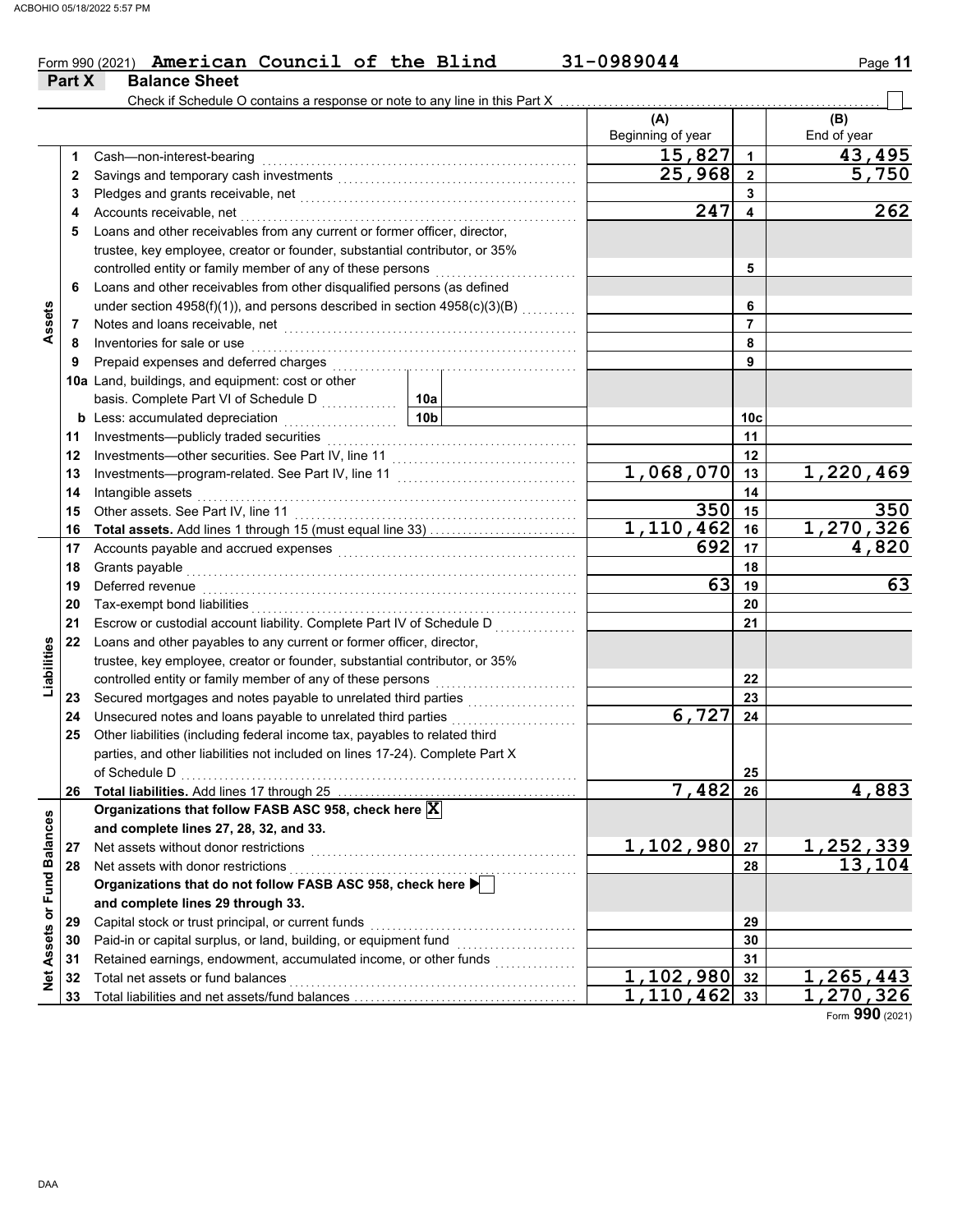#### Form 990 (2021) **American Council of the Blind 31-0989044** Page **11 American Council of the Blind 31-0989044**

|                             | Part X | <b>Balance Sheet</b>                                                                                                                                                                                                                                               |                 |                          |                |                        |
|-----------------------------|--------|--------------------------------------------------------------------------------------------------------------------------------------------------------------------------------------------------------------------------------------------------------------------|-----------------|--------------------------|----------------|------------------------|
|                             |        | Check if Schedule O contains a response or note to any line in this Part X                                                                                                                                                                                         |                 |                          |                |                        |
|                             |        |                                                                                                                                                                                                                                                                    |                 | (A)<br>Beginning of year |                | (B)<br>End of year     |
|                             |        |                                                                                                                                                                                                                                                                    |                 | 15,827                   | $\mathbf{1}$   | 43,495                 |
|                             | 1.     | Cash-non-interest-bearing                                                                                                                                                                                                                                          |                 | 25,968                   | $\overline{2}$ | 5,750                  |
|                             | 2      |                                                                                                                                                                                                                                                                    |                 |                          | 3              |                        |
|                             | 3      |                                                                                                                                                                                                                                                                    |                 | 247                      | 4              | 262                    |
|                             | 4      | Accounts receivable, net<br>Loans and other receivables from any current or former officer, director,                                                                                                                                                              |                 |                          |                |                        |
|                             | 5      | trustee, key employee, creator or founder, substantial contributor, or 35%                                                                                                                                                                                         |                 |                          |                |                        |
|                             |        | controlled entity or family member of any of these persons                                                                                                                                                                                                         |                 |                          | 5              |                        |
|                             | 6      | Loans and other receivables from other disqualified persons (as defined                                                                                                                                                                                            |                 |                          |                |                        |
| Assets                      |        | under section 4958(f)(1)), and persons described in section 4958(c)(3)(B)                                                                                                                                                                                          |                 | 6                        |                |                        |
|                             | 7      |                                                                                                                                                                                                                                                                    |                 |                          | $\overline{7}$ |                        |
|                             | 8      | Notes and loans receivable, net <b>construction</b> and construction of the set of the set of the set of the set of the set of the set of the set of the set of the set of the set of the set of the set of the set of the set of t<br>Inventories for sale or use |                 | 8                        |                |                        |
|                             | 9      | Prepaid expenses and deferred charges                                                                                                                                                                                                                              |                 | 9                        |                |                        |
|                             |        | 10a Land, buildings, and equipment: cost or other                                                                                                                                                                                                                  |                 |                          |                |                        |
|                             |        | basis. Complete Part VI of Schedule D                                                                                                                                                                                                                              | 10a             |                          |                |                        |
|                             |        | <b>b</b> Less: accumulated depreciation                                                                                                                                                                                                                            | 10 <sub>b</sub> |                          | 10c            |                        |
|                             | 11     | .<br>Investments-publicly traded securities                                                                                                                                                                                                                        |                 |                          | 11             |                        |
|                             | 12     |                                                                                                                                                                                                                                                                    |                 | 12                       |                |                        |
|                             | 13     |                                                                                                                                                                                                                                                                    |                 | 1,068,070                | 13             | $\overline{1,220,469}$ |
|                             | 14     | Intangible assets                                                                                                                                                                                                                                                  |                 | 14                       |                |                        |
|                             | 15     | Other assets. See Part IV. line 11                                                                                                                                                                                                                                 |                 | 350                      | 15             | 350                    |
|                             | 16     |                                                                                                                                                                                                                                                                    |                 | 1,110,462                | 16             | 1,270,326              |
|                             | 17     | Accounts payable and accrued expenses [[11] matter contracts and accrued a series and accrued a series and accrued a series and accrued a series and accrued a series and accrued a series and accrued a series and accrued a                                      |                 | 692                      | 17             | 4,820                  |
|                             | 18     | Grants payable                                                                                                                                                                                                                                                     |                 |                          | 18             |                        |
|                             | 19     | Deferred revenue                                                                                                                                                                                                                                                   |                 | 63                       | 19             | 63                     |
|                             | 20     | Tax-exempt bond liabilities                                                                                                                                                                                                                                        |                 |                          | 20             |                        |
|                             | 21     | Escrow or custodial account liability. Complete Part IV of Schedule D                                                                                                                                                                                              |                 | 21                       |                |                        |
|                             | 22     | Loans and other payables to any current or former officer, director,                                                                                                                                                                                               |                 |                          |                |                        |
| Liabilities                 |        | trustee, key employee, creator or founder, substantial contributor, or 35%                                                                                                                                                                                         |                 |                          |                |                        |
|                             |        | controlled entity or family member of any of these persons                                                                                                                                                                                                         |                 |                          | 22             |                        |
|                             | 23     | Secured mortgages and notes payable to unrelated third parties                                                                                                                                                                                                     |                 |                          | 23             |                        |
|                             | 24     | Unsecured notes and loans payable to unrelated third parties                                                                                                                                                                                                       |                 | 6,727                    | 24             |                        |
|                             | 25     | Other liabilities (including federal income tax, payables to related third                                                                                                                                                                                         |                 |                          |                |                        |
|                             |        | parties, and other liabilities not included on lines 17-24). Complete Part X                                                                                                                                                                                       |                 |                          |                |                        |
|                             |        | of Schedule D                                                                                                                                                                                                                                                      |                 |                          | 25             |                        |
|                             | 26     |                                                                                                                                                                                                                                                                    |                 | 7,482                    | 26             | 4,883                  |
|                             |        | Organizations that follow FASB ASC 958, check here X                                                                                                                                                                                                               |                 |                          |                |                        |
|                             |        | and complete lines 27, 28, 32, and 33.                                                                                                                                                                                                                             |                 |                          |                |                        |
|                             | 27     | Net assets without donor restrictions                                                                                                                                                                                                                              |                 | 1,102,980                | 27             | 1, 252, 339            |
|                             | 28     | Net assets with donor restrictions                                                                                                                                                                                                                                 |                 |                          | 28             | 13,104                 |
|                             |        | Organizations that do not follow FASB ASC 958, check here ▶                                                                                                                                                                                                        |                 |                          |                |                        |
|                             |        | and complete lines 29 through 33.                                                                                                                                                                                                                                  |                 |                          |                |                        |
|                             | 29     | Capital stock or trust principal, or current funds                                                                                                                                                                                                                 |                 |                          | 29             |                        |
|                             | 30     | Paid-in or capital surplus, or land, building, or equipment fund                                                                                                                                                                                                   |                 |                          | 30             |                        |
|                             | 31     | Retained earnings, endowment, accumulated income, or other funds                                                                                                                                                                                                   | .               |                          | 31             |                        |
| Net Assets or Fund Balances | 32     | Total net assets or fund balances                                                                                                                                                                                                                                  |                 | $\overline{1,102,980}$   | 32             | 1,265,443              |
|                             | 33     |                                                                                                                                                                                                                                                                    | 1,110,462       | 33                       | 1,270,326      |                        |

Form **990** (2021)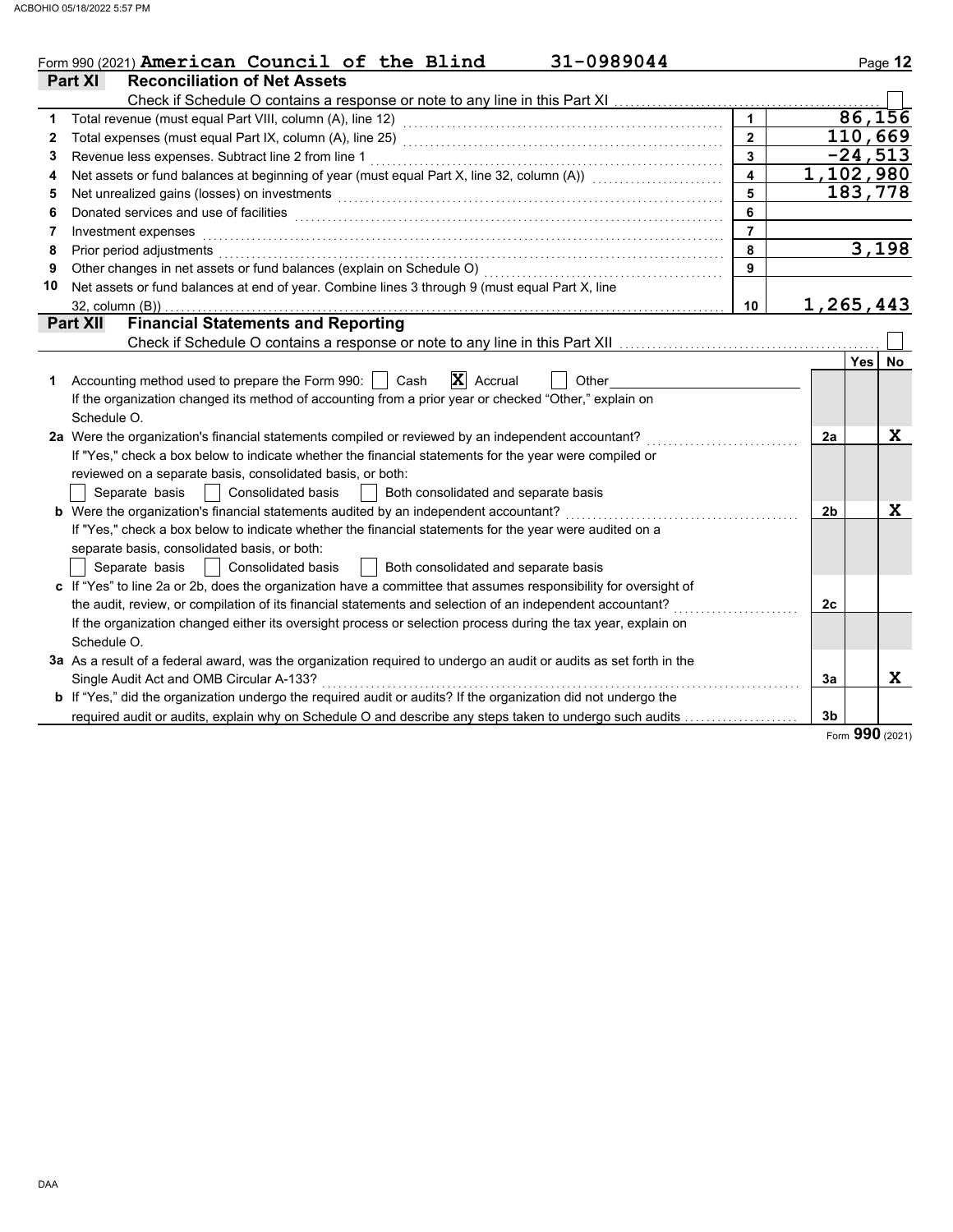|    | Form 990 (2021) American Council of the Blind<br>31-0989044                                                                                                                                                                    |                         |                | Page 12     |
|----|--------------------------------------------------------------------------------------------------------------------------------------------------------------------------------------------------------------------------------|-------------------------|----------------|-------------|
|    | <b>Part XI</b><br><b>Reconciliation of Net Assets</b>                                                                                                                                                                          |                         |                |             |
|    |                                                                                                                                                                                                                                |                         |                |             |
| 1  |                                                                                                                                                                                                                                | $\overline{1}$          |                | 86,156      |
| 2  |                                                                                                                                                                                                                                | $\overline{2}$          |                | 110,669     |
| 3  | Revenue less expenses. Subtract line 2 from line 1                                                                                                                                                                             | $\overline{\mathbf{3}}$ |                | $-24,513$   |
| 4  | Net assets or fund balances at beginning of year (must equal Part X, line 32, column (A)) [[[[[[[[[[[[[[[[[[[                                                                                                                  | $\overline{\mathbf{4}}$ |                | 1,102,980   |
| 5  | Net unrealized gains (losses) on investments [11] with the content of the content of the content of the content of the content of the content of the content of the content of the content of the content of the content of th | 5                       |                | 183,778     |
| 6  | Donated services and use of facilities <b>constructs</b> and the service of the service of the services and use of facilities                                                                                                  | 6                       |                |             |
| 7  | Investment expenses                                                                                                                                                                                                            | $\overline{7}$          |                |             |
| 8  | Prior period adjustments entertainments and a series of the contract of the contract of the contract of the contract of the contract of the contract of the contract of the contract of the contract of the contract of the co | 8                       |                | 3,198       |
| 9  |                                                                                                                                                                                                                                | $\mathbf{9}$            |                |             |
| 10 | Net assets or fund balances at end of year. Combine lines 3 through 9 (must equal Part X, line                                                                                                                                 |                         |                |             |
|    | $32$ , column $(B)$ )                                                                                                                                                                                                          | 10                      |                | 1,265,443   |
|    | <b>Financial Statements and Reporting</b><br><b>Part XII</b>                                                                                                                                                                   |                         |                |             |
|    |                                                                                                                                                                                                                                |                         |                |             |
|    |                                                                                                                                                                                                                                |                         |                | Yes<br>No   |
| 1  | $ \mathbf{X} $ Accrual<br>Accounting method used to prepare the Form 990:     Cash<br>Other                                                                                                                                    |                         |                |             |
|    | If the organization changed its method of accounting from a prior year or checked "Other," explain on                                                                                                                          |                         |                |             |
|    | Schedule O.                                                                                                                                                                                                                    |                         |                |             |
|    | 2a Were the organization's financial statements compiled or reviewed by an independent accountant?                                                                                                                             |                         | 2a             | X           |
|    | If "Yes," check a box below to indicate whether the financial statements for the year were compiled or                                                                                                                         |                         |                |             |
|    | reviewed on a separate basis, consolidated basis, or both:                                                                                                                                                                     |                         |                |             |
|    | Both consolidated and separate basis<br>Separate basis<br>Consolidated basis                                                                                                                                                   |                         |                |             |
|    | b Were the organization's financial statements audited by an independent accountant?                                                                                                                                           |                         | 2 <sub>b</sub> | $\mathbf x$ |
|    | If "Yes," check a box below to indicate whether the financial statements for the year were audited on a                                                                                                                        |                         |                |             |
|    | separate basis, consolidated basis, or both:                                                                                                                                                                                   |                         |                |             |
|    | Separate basis<br><b>Consolidated basis</b><br>  Both consolidated and separate basis                                                                                                                                          |                         |                |             |
|    | c If "Yes" to line 2a or 2b, does the organization have a committee that assumes responsibility for oversight of                                                                                                               |                         |                |             |
|    | the audit, review, or compilation of its financial statements and selection of an independent accountant?                                                                                                                      |                         | 2c             |             |
|    | If the organization changed either its oversight process or selection process during the tax year, explain on                                                                                                                  |                         |                |             |
|    | Schedule O.                                                                                                                                                                                                                    |                         |                |             |
|    | 3a As a result of a federal award, was the organization required to undergo an audit or audits as set forth in the                                                                                                             |                         |                |             |
|    | Single Audit Act and OMB Circular A-133?                                                                                                                                                                                       |                         | 3a             | X           |
|    | <b>b</b> If "Yes," did the organization undergo the required audit or audits? If the organization did not undergo the                                                                                                          |                         |                |             |
|    | required audit or audits, explain why on Schedule O and describe any steps taken to undergo such audits                                                                                                                        |                         | 3 <sub>b</sub> |             |

Form **990** (2021)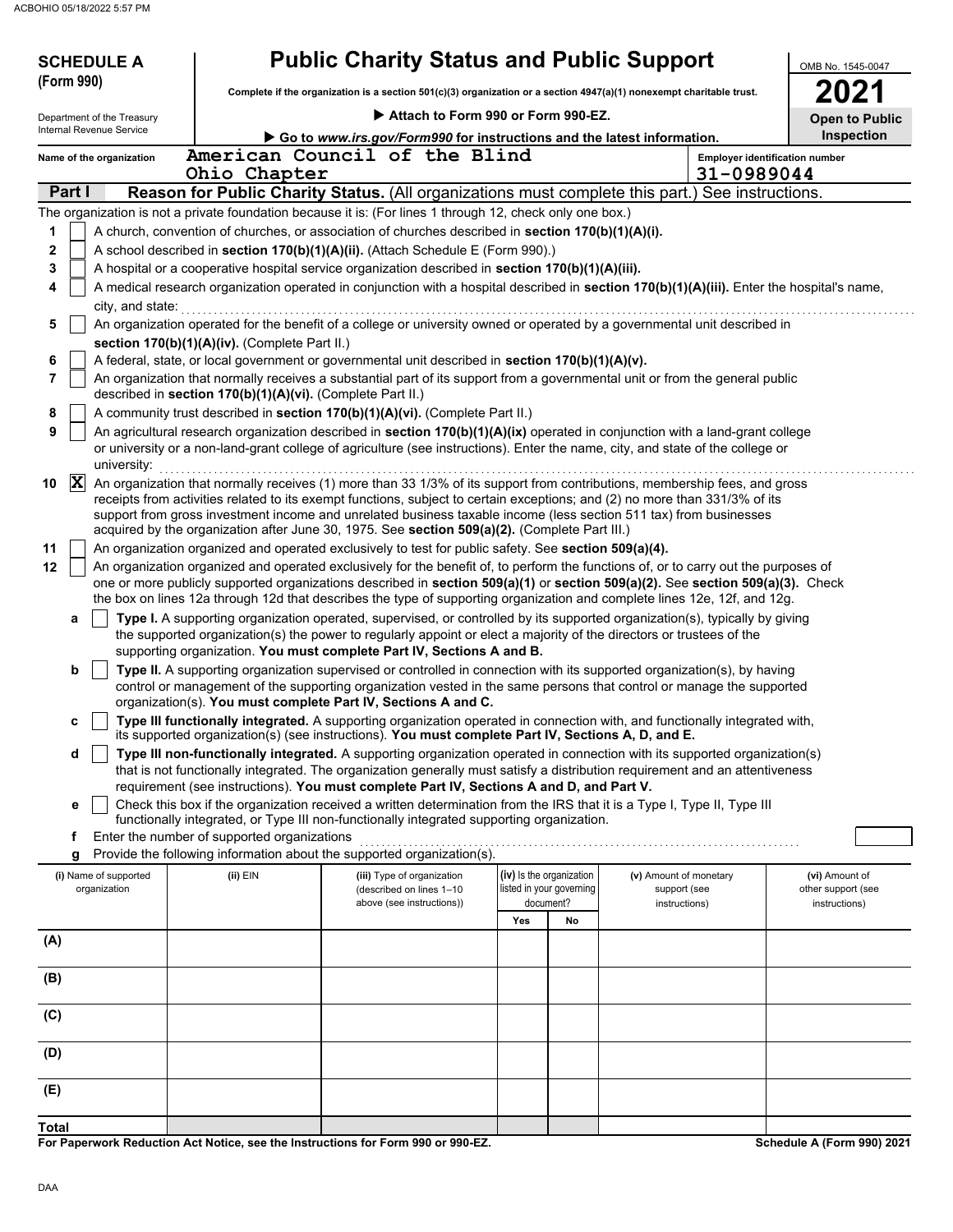| <b>SCHEDULE A</b>                                                                                         |                                                                                                      |                                                        |                                    |                                                      | <b>Public Charity Status and Public Support</b>                                                                                                                                                                                                     | OMB No. 1545-0047                     |
|-----------------------------------------------------------------------------------------------------------|------------------------------------------------------------------------------------------------------|--------------------------------------------------------|------------------------------------|------------------------------------------------------|-----------------------------------------------------------------------------------------------------------------------------------------------------------------------------------------------------------------------------------------------------|---------------------------------------|
| (Form 990)                                                                                                |                                                                                                      |                                                        |                                    |                                                      | Complete if the organization is a section 501(c)(3) organization or a section 4947(a)(1) nonexempt charitable trust.                                                                                                                                | 2021                                  |
| Department of the Treasury                                                                                |                                                                                                      |                                                        | Attach to Form 990 or Form 990-EZ. |                                                      |                                                                                                                                                                                                                                                     |                                       |
| <b>Internal Revenue Service</b>                                                                           |                                                                                                      |                                                        |                                    |                                                      | Go to www.irs.gov/Form990 for instructions and the latest information.                                                                                                                                                                              | <b>Open to Public</b><br>Inspection   |
| Name of the organization                                                                                  | American Council of the Blind                                                                        |                                                        |                                    |                                                      |                                                                                                                                                                                                                                                     | <b>Employer identification number</b> |
|                                                                                                           | Ohio Chapter                                                                                         |                                                        |                                    |                                                      | 31-0989044                                                                                                                                                                                                                                          |                                       |
| Part I                                                                                                    |                                                                                                      |                                                        |                                    |                                                      | Reason for Public Charity Status. (All organizations must complete this part.) See instructions.                                                                                                                                                    |                                       |
| The organization is not a private foundation because it is: (For lines 1 through 12, check only one box.) |                                                                                                      |                                                        |                                    |                                                      |                                                                                                                                                                                                                                                     |                                       |
| 1                                                                                                         | A church, convention of churches, or association of churches described in section 170(b)(1)(A)(i).   |                                                        |                                    |                                                      |                                                                                                                                                                                                                                                     |                                       |
| 2                                                                                                         | A school described in section 170(b)(1)(A)(ii). (Attach Schedule E (Form 990).)                      |                                                        |                                    |                                                      |                                                                                                                                                                                                                                                     |                                       |
| 3                                                                                                         | A hospital or a cooperative hospital service organization described in section 170(b)(1)(A)(iii).    |                                                        |                                    |                                                      |                                                                                                                                                                                                                                                     |                                       |
| 4<br>city, and state:                                                                                     |                                                                                                      |                                                        |                                    |                                                      | A medical research organization operated in conjunction with a hospital described in section 170(b)(1)(A)(iii). Enter the hospital's name,                                                                                                          |                                       |
| 5                                                                                                         |                                                                                                      |                                                        |                                    |                                                      | An organization operated for the benefit of a college or university owned or operated by a governmental unit described in                                                                                                                           |                                       |
|                                                                                                           | section 170(b)(1)(A)(iv). (Complete Part II.)                                                        |                                                        |                                    |                                                      |                                                                                                                                                                                                                                                     |                                       |
| 6                                                                                                         | A federal, state, or local government or governmental unit described in section 170(b)(1)(A)(v).     |                                                        |                                    |                                                      |                                                                                                                                                                                                                                                     |                                       |
| 7                                                                                                         | described in section 170(b)(1)(A)(vi). (Complete Part II.)                                           |                                                        |                                    |                                                      | An organization that normally receives a substantial part of its support from a governmental unit or from the general public                                                                                                                        |                                       |
| 8                                                                                                         | A community trust described in section 170(b)(1)(A)(vi). (Complete Part II.)                         |                                                        |                                    |                                                      |                                                                                                                                                                                                                                                     |                                       |
| 9                                                                                                         |                                                                                                      |                                                        |                                    |                                                      | An agricultural research organization described in section 170(b)(1)(A)(ix) operated in conjunction with a land-grant college                                                                                                                       |                                       |
| university:                                                                                               |                                                                                                      |                                                        |                                    |                                                      | or university or a non-land-grant college of agriculture (see instructions). Enter the name, city, and state of the college or                                                                                                                      |                                       |
| $ \mathbf{X} $<br>10                                                                                      |                                                                                                      |                                                        |                                    |                                                      | An organization that normally receives (1) more than 33 1/3% of its support from contributions, membership fees, and gross                                                                                                                          |                                       |
|                                                                                                           |                                                                                                      |                                                        |                                    |                                                      | receipts from activities related to its exempt functions, subject to certain exceptions; and (2) no more than 331/3% of its                                                                                                                         |                                       |
|                                                                                                           | acquired by the organization after June 30, 1975. See section 509(a)(2). (Complete Part III.)        |                                                        |                                    |                                                      | support from gross investment income and unrelated business taxable income (less section 511 tax) from businesses                                                                                                                                   |                                       |
| 11                                                                                                        | An organization organized and operated exclusively to test for public safety. See section 509(a)(4). |                                                        |                                    |                                                      |                                                                                                                                                                                                                                                     |                                       |
| 12                                                                                                        |                                                                                                      |                                                        |                                    |                                                      | An organization organized and operated exclusively for the benefit of, to perform the functions of, or to carry out the purposes of                                                                                                                 |                                       |
|                                                                                                           |                                                                                                      |                                                        |                                    |                                                      | one or more publicly supported organizations described in section 509(a)(1) or section 509(a)(2). See section 509(a)(3). Check                                                                                                                      |                                       |
|                                                                                                           |                                                                                                      |                                                        |                                    |                                                      | the box on lines 12a through 12d that describes the type of supporting organization and complete lines 12e, 12f, and 12g.                                                                                                                           |                                       |
| a                                                                                                         |                                                                                                      |                                                        |                                    |                                                      | Type I. A supporting organization operated, supervised, or controlled by its supported organization(s), typically by giving<br>the supported organization(s) the power to regularly appoint or elect a majority of the directors or trustees of the |                                       |
|                                                                                                           | supporting organization. You must complete Part IV, Sections A and B.                                |                                                        |                                    |                                                      |                                                                                                                                                                                                                                                     |                                       |
| b                                                                                                         |                                                                                                      |                                                        |                                    |                                                      | Type II. A supporting organization supervised or controlled in connection with its supported organization(s), by having                                                                                                                             |                                       |
|                                                                                                           |                                                                                                      |                                                        |                                    |                                                      | control or management of the supporting organization vested in the same persons that control or manage the supported                                                                                                                                |                                       |
|                                                                                                           | organization(s). You must complete Part IV, Sections A and C.                                        |                                                        |                                    |                                                      |                                                                                                                                                                                                                                                     |                                       |
| c                                                                                                         | its supported organization(s) (see instructions). You must complete Part IV, Sections A, D, and E.   |                                                        |                                    |                                                      | Type III functionally integrated. A supporting organization operated in connection with, and functionally integrated with,                                                                                                                          |                                       |
| d                                                                                                         |                                                                                                      |                                                        |                                    |                                                      | Type III non-functionally integrated. A supporting organization operated in connection with its supported organization(s)                                                                                                                           |                                       |
|                                                                                                           |                                                                                                      |                                                        |                                    |                                                      | that is not functionally integrated. The organization generally must satisfy a distribution requirement and an attentiveness                                                                                                                        |                                       |
|                                                                                                           | requirement (see instructions). You must complete Part IV, Sections A and D, and Part V.             |                                                        |                                    |                                                      |                                                                                                                                                                                                                                                     |                                       |
| е                                                                                                         | functionally integrated, or Type III non-functionally integrated supporting organization.            |                                                        |                                    |                                                      | Check this box if the organization received a written determination from the IRS that it is a Type I, Type II, Type III                                                                                                                             |                                       |
| f                                                                                                         | Enter the number of supported organizations                                                          |                                                        |                                    |                                                      |                                                                                                                                                                                                                                                     |                                       |
| g                                                                                                         | Provide the following information about the supported organization(s).                               |                                                        |                                    |                                                      |                                                                                                                                                                                                                                                     |                                       |
| (i) Name of supported<br>organization                                                                     | (ii) EIN                                                                                             | (iii) Type of organization<br>(described on lines 1-10 |                                    | (iv) Is the organization<br>listed in your governing | (v) Amount of monetary<br>support (see                                                                                                                                                                                                              | (vi) Amount of<br>other support (see  |
|                                                                                                           |                                                                                                      | above (see instructions))                              |                                    | document?                                            | instructions)                                                                                                                                                                                                                                       | instructions)                         |
|                                                                                                           |                                                                                                      |                                                        | Yes                                | No                                                   |                                                                                                                                                                                                                                                     |                                       |
| (A)                                                                                                       |                                                                                                      |                                                        |                                    |                                                      |                                                                                                                                                                                                                                                     |                                       |
|                                                                                                           |                                                                                                      |                                                        |                                    |                                                      |                                                                                                                                                                                                                                                     |                                       |
| (B)                                                                                                       |                                                                                                      |                                                        |                                    |                                                      |                                                                                                                                                                                                                                                     |                                       |
| (C)                                                                                                       |                                                                                                      |                                                        |                                    |                                                      |                                                                                                                                                                                                                                                     |                                       |
|                                                                                                           |                                                                                                      |                                                        |                                    |                                                      |                                                                                                                                                                                                                                                     |                                       |
| (D)                                                                                                       |                                                                                                      |                                                        |                                    |                                                      |                                                                                                                                                                                                                                                     |                                       |
|                                                                                                           |                                                                                                      |                                                        |                                    |                                                      |                                                                                                                                                                                                                                                     |                                       |
| (E)                                                                                                       |                                                                                                      |                                                        |                                    |                                                      |                                                                                                                                                                                                                                                     |                                       |
| <b>Total</b>                                                                                              |                                                                                                      |                                                        |                                    |                                                      |                                                                                                                                                                                                                                                     |                                       |

**For Paperwork Reduction Act Notice, see the Instructions for Form 990 or 990-EZ.**

**Schedule A (Form 990) 2021**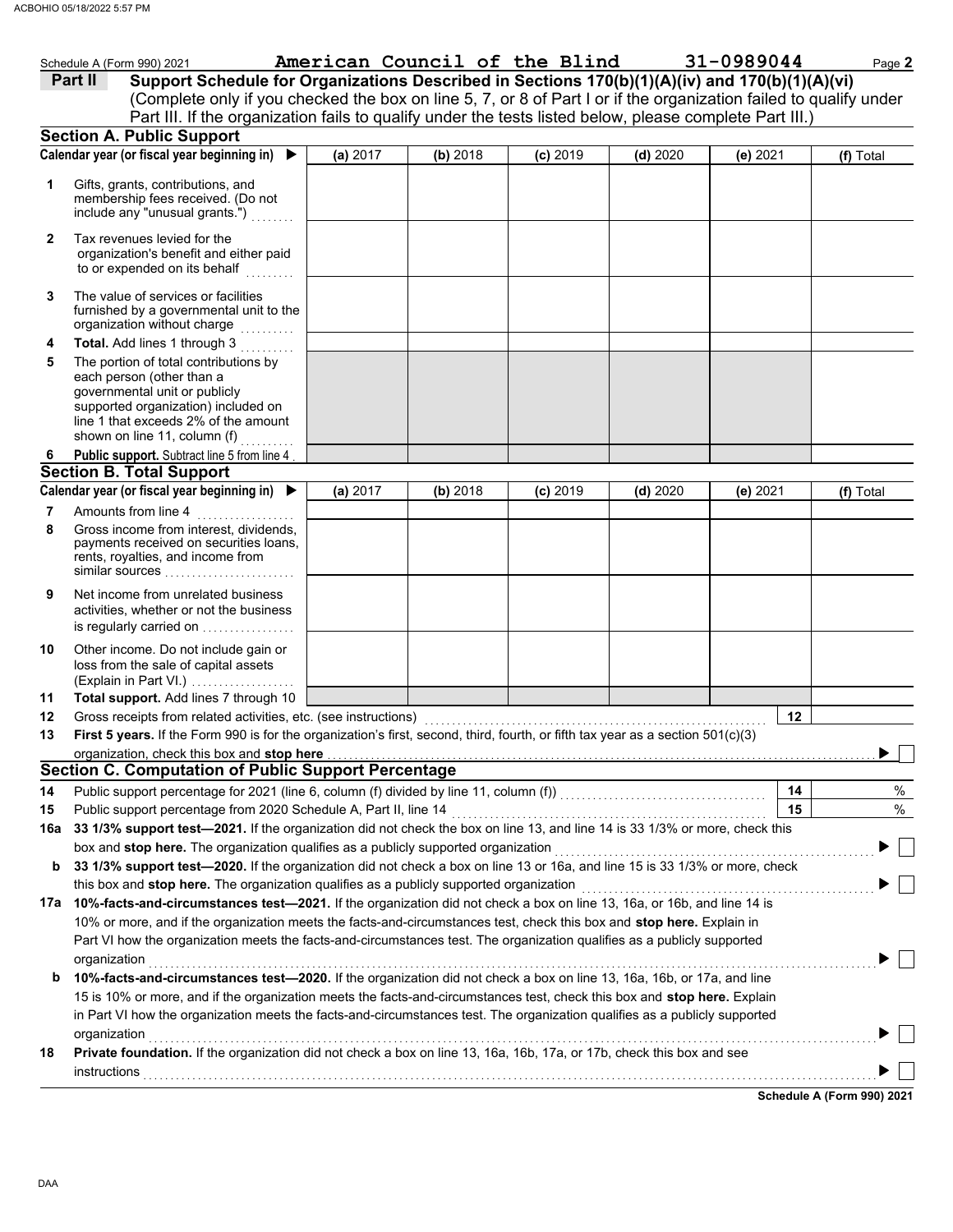|              | Schedule A (Form 990) 2021                                                                                                                                                                                                              |          |          | American Council of the Blind |          | 31-0989044 | Page 2    |  |
|--------------|-----------------------------------------------------------------------------------------------------------------------------------------------------------------------------------------------------------------------------------------|----------|----------|-------------------------------|----------|------------|-----------|--|
|              | Support Schedule for Organizations Described in Sections 170(b)(1)(A)(iv) and 170(b)(1)(A)(vi)<br>Part II                                                                                                                               |          |          |                               |          |            |           |  |
|              | (Complete only if you checked the box on line 5, 7, or 8 of Part I or if the organization failed to qualify under                                                                                                                       |          |          |                               |          |            |           |  |
|              | Part III. If the organization fails to qualify under the tests listed below, please complete Part III.)                                                                                                                                 |          |          |                               |          |            |           |  |
|              | <b>Section A. Public Support</b>                                                                                                                                                                                                        |          |          |                               |          |            |           |  |
|              | Calendar year (or fiscal year beginning in)                                                                                                                                                                                             | (a) 2017 | (b) 2018 | $(c)$ 2019                    | (d) 2020 | (e) 2021   | (f) Total |  |
| 1            | Gifts, grants, contributions, and<br>membership fees received. (Do not<br>include any "unusual grants.")                                                                                                                                |          |          |                               |          |            |           |  |
| $\mathbf{2}$ | Tax revenues levied for the<br>organization's benefit and either paid<br>to or expended on its behalf                                                                                                                                   |          |          |                               |          |            |           |  |
| 3            | The value of services or facilities<br>furnished by a governmental unit to the<br>organization without charge                                                                                                                           |          |          |                               |          |            |           |  |
| 4            | Total. Add lines 1 through 3                                                                                                                                                                                                            |          |          |                               |          |            |           |  |
| 5            | The portion of total contributions by<br>each person (other than a<br>governmental unit or publicly<br>supported organization) included on<br>line 1 that exceeds 2% of the amount<br>shown on line 11, column (f)<br>a dia a dia a dia |          |          |                               |          |            |           |  |
| 6            | Public support. Subtract line 5 from line 4                                                                                                                                                                                             |          |          |                               |          |            |           |  |
|              | <b>Section B. Total Support</b>                                                                                                                                                                                                         |          |          |                               |          |            |           |  |
|              | Calendar year (or fiscal year beginning in) $\blacktriangleright$                                                                                                                                                                       | (a) 2017 | (b) 2018 | $(c)$ 2019                    | (d) 2020 | (e) 2021   | (f) Total |  |
| 7<br>8       | Amounts from line 4<br>.<br>Gross income from interest, dividends,<br>payments received on securities loans,<br>rents, royalties, and income from<br>similar sources                                                                    |          |          |                               |          |            |           |  |
| 9            | Net income from unrelated business<br>activities, whether or not the business<br>is regularly carried on                                                                                                                                |          |          |                               |          |            |           |  |
| 10           | Other income. Do not include gain or<br>loss from the sale of capital assets<br>(Explain in Part VI.)                                                                                                                                   |          |          |                               |          |            |           |  |
| 11           | Total support. Add lines 7 through 10                                                                                                                                                                                                   |          |          |                               |          |            |           |  |
| 12           |                                                                                                                                                                                                                                         |          |          |                               |          | 12         |           |  |
| 13           | First 5 years. If the Form 990 is for the organization's first, second, third, fourth, or fifth tax year as a section 501(c)(3)                                                                                                         |          |          |                               |          |            |           |  |
|              | organization, check this box and stop here                                                                                                                                                                                              |          |          |                               |          |            |           |  |
|              | <b>Section C. Computation of Public Support Percentage</b>                                                                                                                                                                              |          |          |                               |          |            |           |  |
| 14           |                                                                                                                                                                                                                                         |          |          |                               |          | 14         | %         |  |
| 15           | Public support percentage from 2020 Schedule A, Part II, line 14                                                                                                                                                                        |          |          |                               |          | 15         | $\%$      |  |
| 16a          | 33 1/3% support test-2021. If the organization did not check the box on line 13, and line 14 is 33 1/3% or more, check this                                                                                                             |          |          |                               |          |            |           |  |
| b            | box and stop here. The organization qualifies as a publicly supported organization                                                                                                                                                      |          |          |                               |          |            |           |  |
|              | 33 1/3% support test-2020. If the organization did not check a box on line 13 or 16a, and line 15 is 33 1/3% or more, check                                                                                                             |          |          |                               |          |            |           |  |
|              | this box and stop here. The organization qualifies as a publicly supported organization<br>17a 10%-facts-and-circumstances test-2021. If the organization did not check a box on line 13, 16a, or 16b, and line 14 is                   |          |          |                               |          |            |           |  |
|              | 10% or more, and if the organization meets the facts-and-circumstances test, check this box and stop here. Explain in                                                                                                                   |          |          |                               |          |            |           |  |
|              | Part VI how the organization meets the facts-and-circumstances test. The organization qualifies as a publicly supported                                                                                                                 |          |          |                               |          |            |           |  |
|              | organization                                                                                                                                                                                                                            |          |          |                               |          |            |           |  |
| b            | 10%-facts-and-circumstances test-2020. If the organization did not check a box on line 13, 16a, 16b, or 17a, and line                                                                                                                   |          |          |                               |          |            |           |  |
|              | 15 is 10% or more, and if the organization meets the facts-and-circumstances test, check this box and stop here. Explain                                                                                                                |          |          |                               |          |            |           |  |
|              | in Part VI how the organization meets the facts-and-circumstances test. The organization qualifies as a publicly supported                                                                                                              |          |          |                               |          |            |           |  |
|              | organization                                                                                                                                                                                                                            |          |          |                               |          |            |           |  |
| 18           | Private foundation. If the organization did not check a box on line 13, 16a, 16b, 17a, or 17b, check this box and see                                                                                                                   |          |          |                               |          |            |           |  |
|              |                                                                                                                                                                                                                                         |          |          |                               |          |            |           |  |

**Schedule A (Form 990) 2021**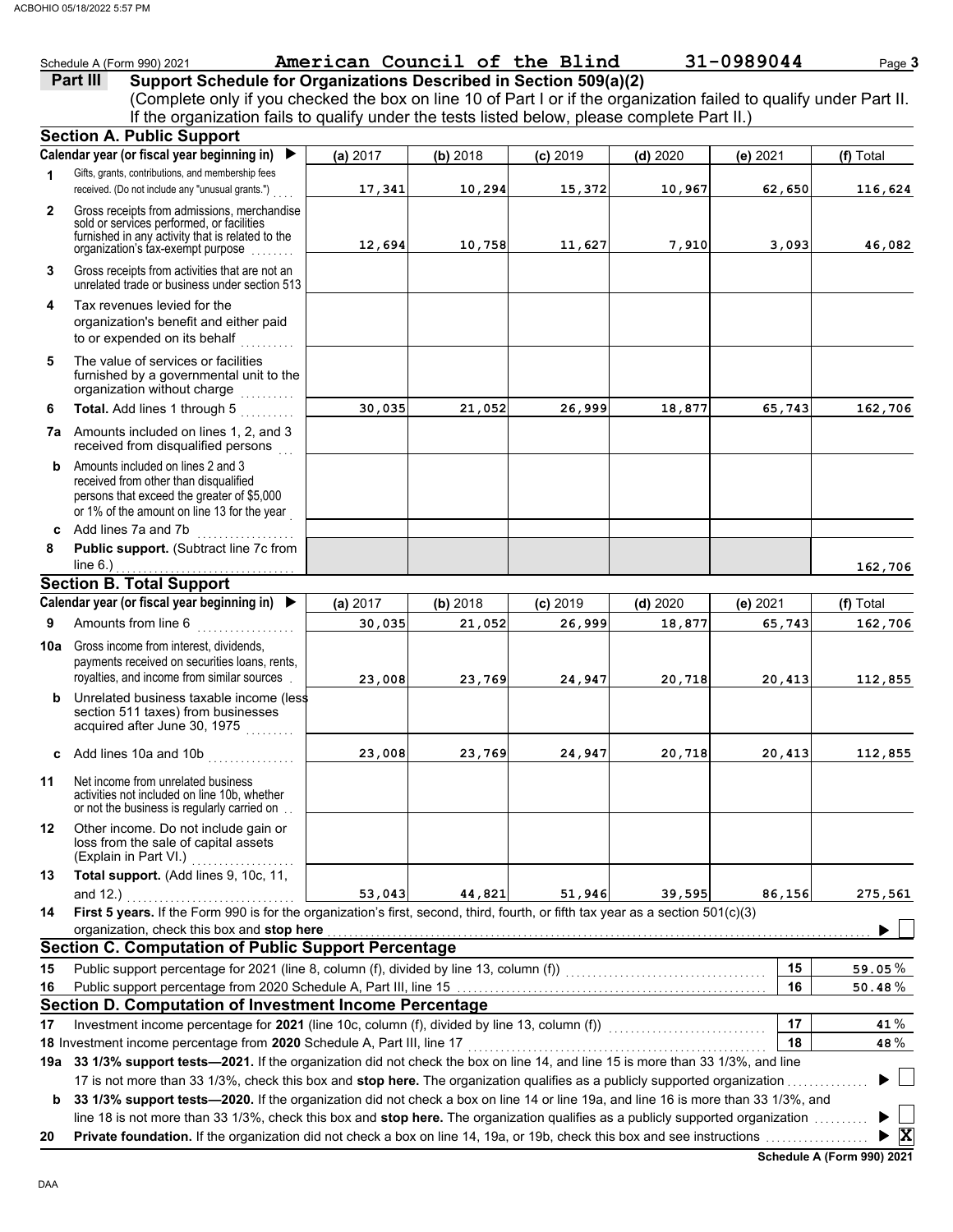|              | Schedule A (Form 990) 2021                                                                                                                                                        | American Council of the Blind |          |            |            | 31-0989044 | Page 3             |
|--------------|-----------------------------------------------------------------------------------------------------------------------------------------------------------------------------------|-------------------------------|----------|------------|------------|------------|--------------------|
|              | Support Schedule for Organizations Described in Section 509(a)(2)<br>Part III                                                                                                     |                               |          |            |            |            |                    |
|              | (Complete only if you checked the box on line 10 of Part I or if the organization failed to qualify under Part II.                                                                |                               |          |            |            |            |                    |
|              | If the organization fails to qualify under the tests listed below, please complete Part II.)                                                                                      |                               |          |            |            |            |                    |
|              | <b>Section A. Public Support</b>                                                                                                                                                  |                               |          |            |            |            |                    |
|              | Calendar year (or fiscal year beginning in)<br>▶                                                                                                                                  | (a) 2017                      | (b) 2018 | $(c)$ 2019 | $(d)$ 2020 | (e) 2021   | (f) Total          |
| 1            | Gifts, grants, contributions, and membership fees<br>received. (Do not include any "unusual grants.")                                                                             | 17,341                        | 10,294   | 15,372     | 10,967     | 62,650     | 116,624            |
| $\mathbf{2}$ | Gross receipts from admissions, merchandise<br>sold or services performed, or facilities<br>furnished in any activity that is related to the<br>organization's tax-exempt purpose | 12,694                        | 10,758   | 11,627     | 7,910      | 3,093      | 46,082             |
| 3            | Gross receipts from activities that are not an<br>unrelated trade or business under section 513                                                                                   |                               |          |            |            |            |                    |
| 4            | Tax revenues levied for the<br>organization's benefit and either paid<br>to or expended on its behalf                                                                             |                               |          |            |            |            |                    |
| 5            | The value of services or facilities<br>furnished by a governmental unit to the<br>organization without charge                                                                     |                               |          |            |            |            |                    |
| 6            | Total. Add lines 1 through 5                                                                                                                                                      | 30,035                        | 21,052   | 26,999     | 18,877     | 65,743     | 162,706            |
|              | 7a Amounts included on lines 1, 2, and 3<br>received from disqualified persons                                                                                                    |                               |          |            |            |            |                    |
| b            | Amounts included on lines 2 and 3<br>received from other than disqualified<br>persons that exceed the greater of \$5,000<br>or 1% of the amount on line 13 for the year           |                               |          |            |            |            |                    |
| C            | Add lines 7a and 7b                                                                                                                                                               |                               |          |            |            |            |                    |
| 8            | Public support. (Subtract line 7c from<br>line $6.$ )                                                                                                                             |                               |          |            |            |            | 162,706            |
|              | <b>Section B. Total Support</b>                                                                                                                                                   |                               |          |            |            |            |                    |
|              | Calendar year (or fiscal year beginning in)<br>▶                                                                                                                                  | (a) 2017                      | (b) 2018 | $(c)$ 2019 | $(d)$ 2020 | (e) 2021   | (f) Total          |
| 9            | Amounts from line 6                                                                                                                                                               | 30,035                        | 21,052   | 26,999     | 18,877     | 65,743     | 162,706            |
| 10a          | Gross income from interest, dividends,<br>payments received on securities loans, rents,<br>royalties, and income from similar sources                                             | 23,008                        | 23,769   | 24,947     | 20,718     | 20,413     | 112,855            |
|              | <b>b</b> Unrelated business taxable income (less<br>section 511 taxes) from businesses<br>acquired after June 30, 1975                                                            |                               |          |            |            |            |                    |
|              | c Add lines 10a and 10b                                                                                                                                                           | 23,008                        | 23,769   | 24,947     | 20,718     | 20,413     | 112,855            |
| 11           | Net income from unrelated business<br>activities not included on line 10b, whether<br>or not the business is regularly carried on.                                                |                               |          |            |            |            |                    |
| 12           | Other income. Do not include gain or<br>loss from the sale of capital assets<br>(Explain in Part VI.)                                                                             |                               |          |            |            |            |                    |
| 13           | Total support. (Add lines 9, 10c, 11,<br>and $12.$ )                                                                                                                              | 53,043                        | 44,821   | 51,946     | 39,595     | 86,156     | 275,561            |
| 14           | First 5 years. If the Form 990 is for the organization's first, second, third, fourth, or fifth tax year as a section 501(c)(3)<br>organization, check this box and stop here     |                               |          |            |            |            |                    |
|              | <b>Section C. Computation of Public Support Percentage</b>                                                                                                                        |                               |          |            |            |            |                    |
| 15           | Public support percentage for 2021 (line 8, column (f), divided by line 13, column (f)) [[[[[[[[[[[[[[[[[[[[[                                                                     |                               |          |            |            | 15         | 59.05 $%$          |
| 16           |                                                                                                                                                                                   |                               |          |            |            | 16         | $50.48\%$          |
|              | Section D. Computation of Investment Income Percentage                                                                                                                            |                               |          |            |            |            |                    |
| 17           | Investment income percentage for 2021 (line 10c, column (f), divided by line 13, column (f)) [[[[[[[[[[[[[[[[[                                                                    |                               |          |            |            | 17         | 41%                |
|              | 18 Investment income percentage from 2020 Schedule A, Part III, line 17                                                                                                           |                               |          |            |            | 18         | 48%                |
|              | 19a 33 1/3% support tests-2021. If the organization did not check the box on line 14, and line 15 is more than 33 1/3%, and line                                                  |                               |          |            |            |            |                    |
|              | 17 is not more than 33 1/3%, check this box and stop here. The organization qualifies as a publicly supported organization.                                                       |                               |          |            |            |            |                    |
| b            | 33 1/3% support tests-2020. If the organization did not check a box on line 14 or line 19a, and line 16 is more than 33 1/3%, and                                                 |                               |          |            |            |            |                    |
|              | line 18 is not more than 33 1/3%, check this box and stop here. The organization qualifies as a publicly supported organization                                                   |                               |          |            |            |            | $\triangleright$ X |
| 20           | Private foundation. If the organization did not check a box on line 14, 19a, or 19b, check this box and see instructions <i>community</i>                                         |                               |          |            |            |            |                    |

|  | Schedule A (Form 990) 2021 |  |  |
|--|----------------------------|--|--|
|--|----------------------------|--|--|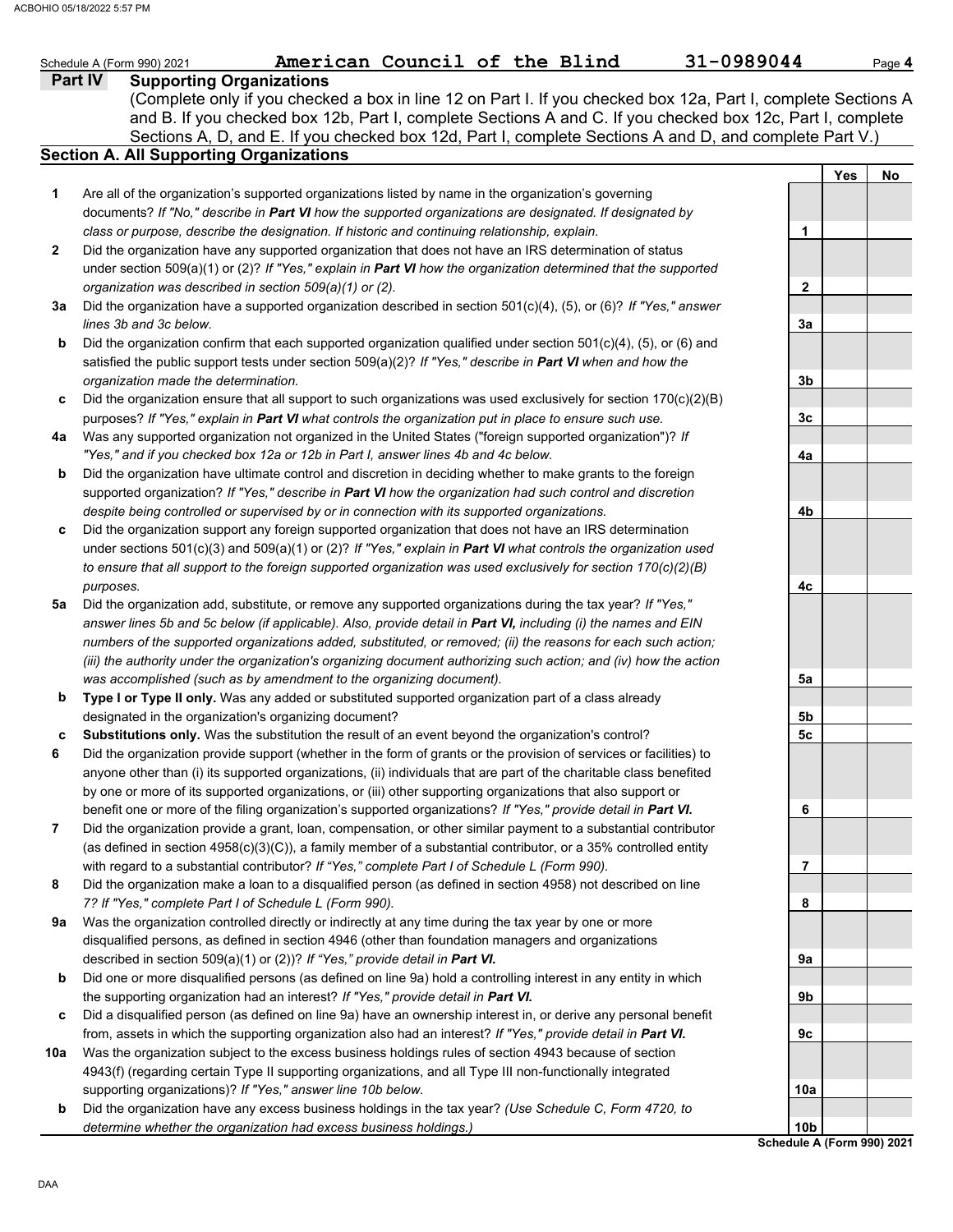|     | American Council of the Blind<br>31-0989044<br>Schedule A (Form 990) 2021                                           |                            |     | Page 4 |
|-----|---------------------------------------------------------------------------------------------------------------------|----------------------------|-----|--------|
|     | <b>Supporting Organizations</b><br><b>Part IV</b>                                                                   |                            |     |        |
|     | (Complete only if you checked a box in line 12 on Part I. If you checked box 12a, Part I, complete Sections A       |                            |     |        |
|     | and B. If you checked box 12b, Part I, complete Sections A and C. If you checked box 12c, Part I, complete          |                            |     |        |
|     | Sections A, D, and E. If you checked box 12d, Part I, complete Sections A and D, and complete Part V.)              |                            |     |        |
|     | <b>Section A. All Supporting Organizations</b>                                                                      |                            |     |        |
|     |                                                                                                                     |                            | Yes | No     |
| 1   | Are all of the organization's supported organizations listed by name in the organization's governing                |                            |     |        |
|     | documents? If "No," describe in Part VI how the supported organizations are designated. If designated by            |                            |     |        |
|     | class or purpose, describe the designation. If historic and continuing relationship, explain.                       | 1                          |     |        |
| 2   | Did the organization have any supported organization that does not have an IRS determination of status              |                            |     |        |
|     | under section 509(a)(1) or (2)? If "Yes," explain in Part VI how the organization determined that the supported     |                            |     |        |
|     | organization was described in section 509(a)(1) or (2).                                                             | $\mathbf{2}$               |     |        |
| За  | Did the organization have a supported organization described in section 501(c)(4), (5), or (6)? If "Yes," answer    |                            |     |        |
|     | lines 3b and 3c below.                                                                                              | Зa                         |     |        |
| b   | Did the organization confirm that each supported organization qualified under section 501(c)(4), (5), or (6) and    |                            |     |        |
|     | satisfied the public support tests under section $509(a)(2)$ ? If "Yes," describe in Part VI when and how the       |                            |     |        |
|     | organization made the determination.                                                                                | 3b                         |     |        |
| c   | Did the organization ensure that all support to such organizations was used exclusively for section 170(c)(2)(B)    |                            |     |        |
|     | purposes? If "Yes," explain in Part VI what controls the organization put in place to ensure such use.              | 3c                         |     |        |
| 4a  | Was any supported organization not organized in the United States ("foreign supported organization")? If            |                            |     |        |
|     | "Yes," and if you checked box 12a or 12b in Part I, answer lines 4b and 4c below.                                   | 4a                         |     |        |
| b   | Did the organization have ultimate control and discretion in deciding whether to make grants to the foreign         |                            |     |        |
|     | supported organization? If "Yes," describe in Part VI how the organization had such control and discretion          |                            |     |        |
|     | despite being controlled or supervised by or in connection with its supported organizations.                        | 4b                         |     |        |
| c   | Did the organization support any foreign supported organization that does not have an IRS determination             |                            |     |        |
|     | under sections $501(c)(3)$ and $509(a)(1)$ or (2)? If "Yes," explain in Part VI what controls the organization used |                            |     |        |
|     | to ensure that all support to the foreign supported organization was used exclusively for section 170(c)(2)(B)      |                            |     |        |
|     | purposes.                                                                                                           | 4с                         |     |        |
| 5a  | Did the organization add, substitute, or remove any supported organizations during the tax year? If "Yes,"          |                            |     |        |
|     | answer lines 5b and 5c below (if applicable). Also, provide detail in Part VI, including (i) the names and EIN      |                            |     |        |
|     | numbers of the supported organizations added, substituted, or removed; (ii) the reasons for each such action;       |                            |     |        |
|     | (iii) the authority under the organization's organizing document authorizing such action; and (iv) how the action   |                            |     |        |
|     | was accomplished (such as by amendment to the organizing document).                                                 | 5a                         |     |        |
| b   | Type I or Type II only. Was any added or substituted supported organization part of a class already                 |                            |     |        |
|     | designated in the organization's organizing document?                                                               | 5b                         |     |        |
|     | Substitutions only. Was the substitution the result of an event beyond the organization's control?                  | 5c                         |     |        |
|     | Did the organization provide support (whether in the form of grants or the provision of services or facilities) to  |                            |     |        |
|     | anyone other than (i) its supported organizations, (ii) individuals that are part of the charitable class benefited |                            |     |        |
|     | by one or more of its supported organizations, or (iii) other supporting organizations that also support or         |                            |     |        |
|     | benefit one or more of the filing organization's supported organizations? If "Yes," provide detail in Part VI.      | 6                          |     |        |
| 7   | Did the organization provide a grant, loan, compensation, or other similar payment to a substantial contributor     |                            |     |        |
|     | (as defined in section $4958(c)(3)(C)$ ), a family member of a substantial contributor, or a 35% controlled entity  |                            |     |        |
|     | with regard to a substantial contributor? If "Yes," complete Part I of Schedule L (Form 990).                       | 7                          |     |        |
| 8   | Did the organization make a loan to a disqualified person (as defined in section 4958) not described on line        |                            |     |        |
|     | 7? If "Yes," complete Part I of Schedule L (Form 990).                                                              | 8                          |     |        |
| 9а  | Was the organization controlled directly or indirectly at any time during the tax year by one or more               |                            |     |        |
|     | disqualified persons, as defined in section 4946 (other than foundation managers and organizations                  |                            |     |        |
|     | described in section 509(a)(1) or (2))? If "Yes," provide detail in Part VI.                                        | 9а                         |     |        |
| b   | Did one or more disqualified persons (as defined on line 9a) hold a controlling interest in any entity in which     |                            |     |        |
|     | the supporting organization had an interest? If "Yes," provide detail in Part VI.                                   | 9b                         |     |        |
| c   | Did a disqualified person (as defined on line 9a) have an ownership interest in, or derive any personal benefit     |                            |     |        |
|     | from, assets in which the supporting organization also had an interest? If "Yes," provide detail in Part VI.        | 9с                         |     |        |
| 10a | Was the organization subject to the excess business holdings rules of section 4943 because of section               |                            |     |        |
|     | 4943(f) (regarding certain Type II supporting organizations, and all Type III non-functionally integrated           |                            |     |        |
|     | supporting organizations)? If "Yes," answer line 10b below.                                                         | 10a                        |     |        |
| b   | Did the organization have any excess business holdings in the tax year? (Use Schedule C, Form 4720, to              |                            |     |        |
|     | determine whether the organization had excess business holdings.)                                                   | 10 <sub>b</sub>            |     |        |
|     |                                                                                                                     | Schedule A (Form 990) 2021 |     |        |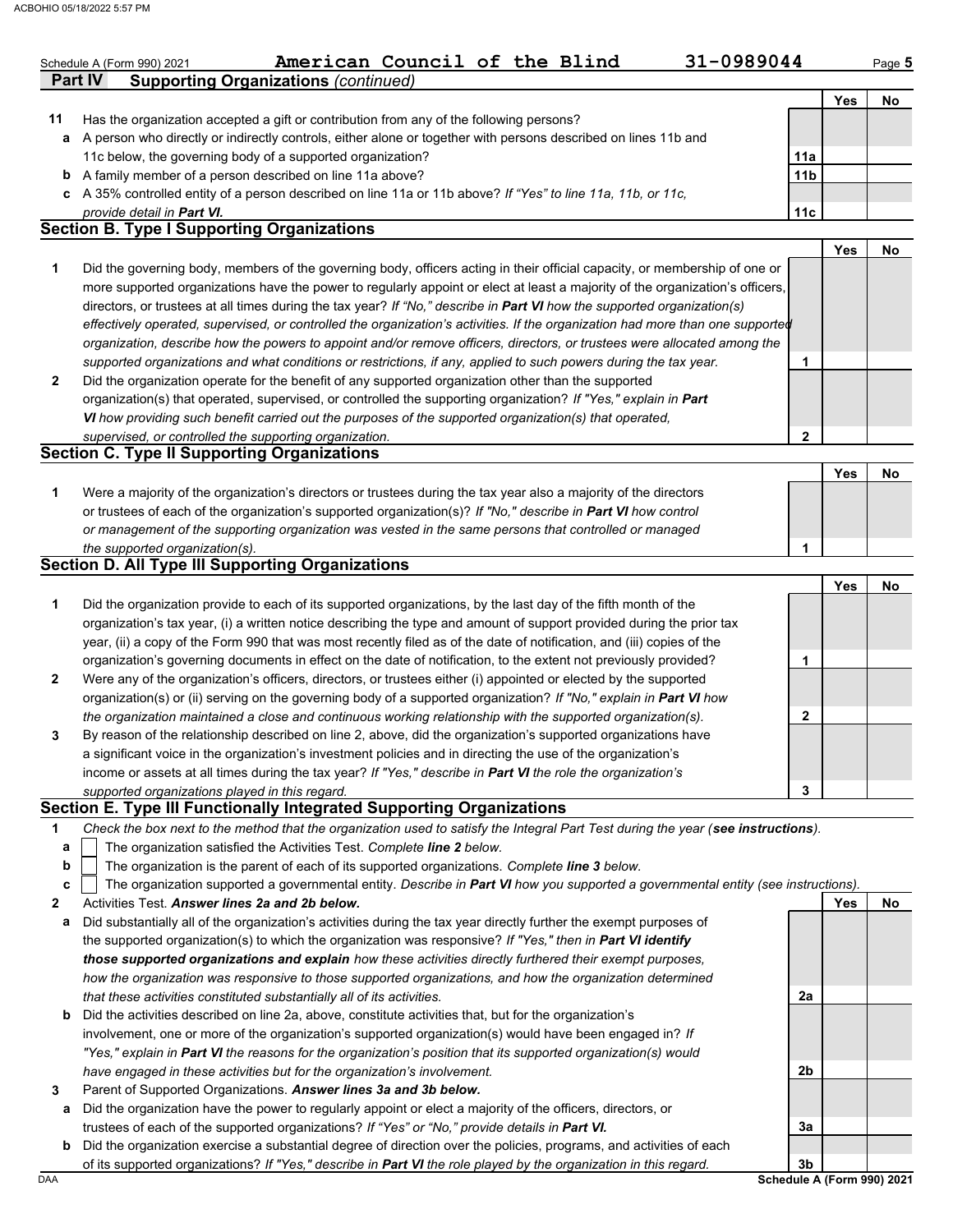|    | American Council of the Blind<br>31-0989044<br>Schedule A (Form 990) 2021<br><b>Supporting Organizations (continued)</b><br>Part IV |                 |     | Page 5 |
|----|-------------------------------------------------------------------------------------------------------------------------------------|-----------------|-----|--------|
|    |                                                                                                                                     |                 | Yes | No     |
| 11 | Has the organization accepted a gift or contribution from any of the following persons?                                             |                 |     |        |
| а  | A person who directly or indirectly controls, either alone or together with persons described on lines 11b and                      |                 |     |        |
|    | 11c below, the governing body of a supported organization?                                                                          | 11a             |     |        |
|    | <b>b</b> A family member of a person described on line 11a above?                                                                   | 11 <sub>b</sub> |     |        |
|    | c A 35% controlled entity of a person described on line 11a or 11b above? If "Yes" to line 11a, 11b, or 11c,                        |                 |     |        |
|    | provide detail in Part VI.                                                                                                          | 11c             |     |        |
|    | <b>Section B. Type I Supporting Organizations</b>                                                                                   |                 |     |        |
|    |                                                                                                                                     |                 | Yes | No     |
| 1  | Did the governing body, members of the governing body, officers acting in their official capacity, or membership of one or          |                 |     |        |
|    | more supported organizations have the power to regularly appoint or elect at least a majority of the organization's officers,       |                 |     |        |
|    | directors, or trustees at all times during the tax year? If "No," describe in Part VI how the supported organization(s)             |                 |     |        |
|    | effectively operated, supervised, or controlled the organization's activities. If the organization had more than one supported      |                 |     |        |
|    | organization, describe how the powers to appoint and/or remove officers, directors, or trustees were allocated among the            |                 |     |        |
|    | supported organizations and what conditions or restrictions, if any, applied to such powers during the tax year.                    | 1               |     |        |
| 2  | Did the organization operate for the benefit of any supported organization other than the supported                                 |                 |     |        |
|    | organization(s) that operated, supervised, or controlled the supporting organization? If "Yes," explain in Part                     |                 |     |        |
|    | VI how providing such benefit carried out the purposes of the supported organization(s) that operated,                              |                 |     |        |
|    | supervised, or controlled the supporting organization.                                                                              | 2               |     |        |
|    | <b>Section C. Type II Supporting Organizations</b>                                                                                  |                 |     |        |
|    |                                                                                                                                     |                 | Yes | No     |
| 1  | Were a majority of the organization's directors or trustees during the tax year also a majority of the directors                    |                 |     |        |
|    | or trustees of each of the organization's supported organization(s)? If "No," describe in Part VI how control                       |                 |     |        |
|    | or management of the supporting organization was vested in the same persons that controlled or managed                              |                 |     |        |
|    | the supported organization(s).                                                                                                      | 1               |     |        |
|    | <b>Section D. All Type III Supporting Organizations</b>                                                                             |                 |     |        |
|    |                                                                                                                                     |                 | Yes | No     |
| 1  | Did the organization provide to each of its supported organizations, by the last day of the fifth month of the                      |                 |     |        |
|    | organization's tax year, (i) a written notice describing the type and amount of support provided during the prior tax               |                 |     |        |
|    | year, (ii) a copy of the Form 990 that was most recently filed as of the date of notification, and (iii) copies of the              |                 |     |        |
|    | organization's governing documents in effect on the date of notification, to the extent not previously provided?                    | 1               |     |        |
| 2  | Were any of the organization's officers, directors, or trustees either (i) appointed or elected by the supported                    |                 |     |        |
|    | organization(s) or (ii) serving on the governing body of a supported organization? If "No," explain in Part VI how                  |                 |     |        |
|    | the organization maintained a close and continuous working relationship with the supported organization(s).                         |                 |     |        |
|    |                                                                                                                                     | 2               |     |        |
| 3  | By reason of the relationship described on line 2, above, did the organization's supported organizations have                       |                 |     |        |
|    | a significant voice in the organization's investment policies and in directing the use of the organization's                        |                 |     |        |
|    | income or assets at all times during the tax year? If "Yes," describe in Part VI the role the organization's                        |                 |     |        |
|    | supported organizations played in this regard.                                                                                      | 3               |     |        |
|    | Section E. Type III Functionally Integrated Supporting Organizations                                                                |                 |     |        |
| 1  | Check the box next to the method that the organization used to satisfy the Integral Part Test during the year (see instructions).   |                 |     |        |
| а  | The organization satisfied the Activities Test. Complete line 2 below.                                                              |                 |     |        |
| b  | The organization is the parent of each of its supported organizations. Complete line 3 below.                                       |                 |     |        |
| c  | The organization supported a governmental entity. Describe in Part VI how you supported a governmental entity (see instructions).   |                 |     |        |
| 2  | Activities Test. Answer lines 2a and 2b below.                                                                                      |                 | Yes | No     |
| а  | Did substantially all of the organization's activities during the tax year directly further the exempt purposes of                  |                 |     |        |
|    | the supported organization(s) to which the organization was responsive? If "Yes," then in Part VI identify                          |                 |     |        |
|    | those supported organizations and explain how these activities directly furthered their exempt purposes,                            |                 |     |        |
|    | how the organization was responsive to those supported organizations, and how the organization determined                           |                 |     |        |
|    | that these activities constituted substantially all of its activities.                                                              | 2a              |     |        |
| b  | Did the activities described on line 2a, above, constitute activities that, but for the organization's                              |                 |     |        |
|    | involvement, one or more of the organization's supported organization(s) would have been engaged in? If                             |                 |     |        |
|    | "Yes," explain in Part VI the reasons for the organization's position that its supported organization(s) would                      |                 |     |        |
|    | have engaged in these activities but for the organization's involvement.                                                            | 2b              |     |        |

**3a**

**3b**

DAA **Schedule A (Form 990) 2021 b** Did the organization exercise a substantial degree of direction over the policies, programs, and activities of each of its supported organizations? *If "Yes," describe in Part VI the role played by the organization in this regard.*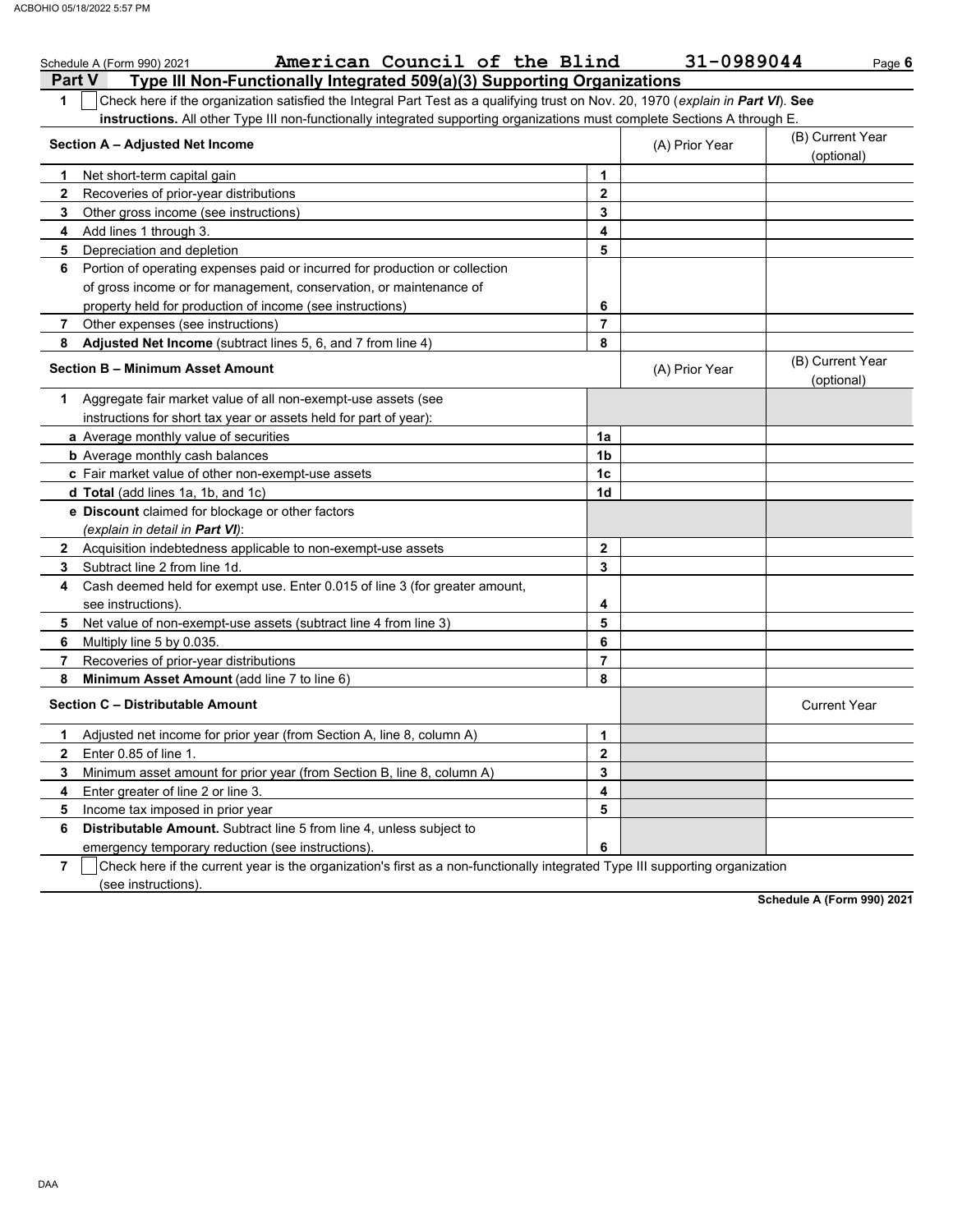|                             | American Council of the Blind<br>Schedule A (Form 990) 2021                                                                      |                | 31-0989044     | Page 6                         |
|-----------------------------|----------------------------------------------------------------------------------------------------------------------------------|----------------|----------------|--------------------------------|
|                             | <b>Part V</b><br>Type III Non-Functionally Integrated 509(a)(3) Supporting Organizations                                         |                |                |                                |
| 1                           | Check here if the organization satisfied the Integral Part Test as a qualifying trust on Nov. 20, 1970 (explain in Part VI). See |                |                |                                |
|                             | instructions. All other Type III non-functionally integrated supporting organizations must complete Sections A through E.        |                |                |                                |
|                             | Section A - Adjusted Net Income                                                                                                  |                | (A) Prior Year | (B) Current Year<br>(optional) |
| 1                           | Net short-term capital gain                                                                                                      | 1              |                |                                |
| $\mathbf{2}$                | Recoveries of prior-year distributions                                                                                           | $\overline{2}$ |                |                                |
| 3                           | Other gross income (see instructions)                                                                                            | 3              |                |                                |
| 4                           | Add lines 1 through 3.                                                                                                           | 4              |                |                                |
| 5                           | Depreciation and depletion                                                                                                       | 5              |                |                                |
| 6                           | Portion of operating expenses paid or incurred for production or collection                                                      |                |                |                                |
|                             | of gross income or for management, conservation, or maintenance of                                                               |                |                |                                |
|                             | property held for production of income (see instructions)                                                                        | 6              |                |                                |
| 7                           | Other expenses (see instructions)                                                                                                | $\overline{7}$ |                |                                |
| 8                           | <b>Adjusted Net Income</b> (subtract lines 5, 6, and 7 from line 4)                                                              | 8              |                |                                |
|                             | <b>Section B - Minimum Asset Amount</b>                                                                                          |                | (A) Prior Year | (B) Current Year<br>(optional) |
| 1                           | Aggregate fair market value of all non-exempt-use assets (see                                                                    |                |                |                                |
|                             | instructions for short tax year or assets held for part of year):                                                                |                |                |                                |
|                             | <b>a</b> Average monthly value of securities                                                                                     | 1a             |                |                                |
|                             | <b>b</b> Average monthly cash balances                                                                                           | 1 <sub>b</sub> |                |                                |
|                             | c Fair market value of other non-exempt-use assets                                                                               | 1 <sub>c</sub> |                |                                |
|                             | d Total (add lines 1a, 1b, and 1c)                                                                                               | 1d             |                |                                |
|                             | <b>e</b> Discount claimed for blockage or other factors                                                                          |                |                |                                |
|                             | (explain in detail in <b>Part VI</b> ):                                                                                          |                |                |                                |
|                             | 2 Acquisition indebtedness applicable to non-exempt-use assets                                                                   | $\mathbf{2}$   |                |                                |
| 3                           | Subtract line 2 from line 1d.                                                                                                    | 3              |                |                                |
| 4                           | Cash deemed held for exempt use. Enter 0.015 of line 3 (for greater amount,                                                      |                |                |                                |
|                             | see instructions).                                                                                                               | 4              |                |                                |
| 5                           | Net value of non-exempt-use assets (subtract line 4 from line 3)                                                                 | 5              |                |                                |
| 6                           | Multiply line 5 by 0.035.                                                                                                        | 6              |                |                                |
| 7                           | Recoveries of prior-year distributions                                                                                           | $\overline{7}$ |                |                                |
| 8                           | Minimum Asset Amount (add line 7 to line 6)                                                                                      | 8              |                |                                |
|                             | Section C - Distributable Amount                                                                                                 |                |                | <b>Current Year</b>            |
| 1                           | Adjusted net income for prior year (from Section A, line 8, column A)                                                            | 1              |                |                                |
| $\mathbf{2}$                | Enter 0.85 of line 1.                                                                                                            | $\mathbf{2}$   |                |                                |
| 3                           | Minimum asset amount for prior year (from Section B, line 8, column A)                                                           | 3              |                |                                |
| 4                           | Enter greater of line 2 or line 3.                                                                                               | 4              |                |                                |
| 5                           | Income tax imposed in prior year                                                                                                 | 5              |                |                                |
| 6                           | Distributable Amount. Subtract line 5 from line 4, unless subject to                                                             |                |                |                                |
|                             | emergency temporary reduction (see instructions).                                                                                | 6              |                |                                |
| $\rightarrow$ $\rightarrow$ | Obasic base if the summer uses in the association of first as a non-functionally integrated Tune III summarting association      |                |                |                                |

**7**  $\Box$  Check here if the current year is the organization's first as a non-functionally integrated Type III supporting organization (see instructions).

**Schedule A (Form 990) 2021**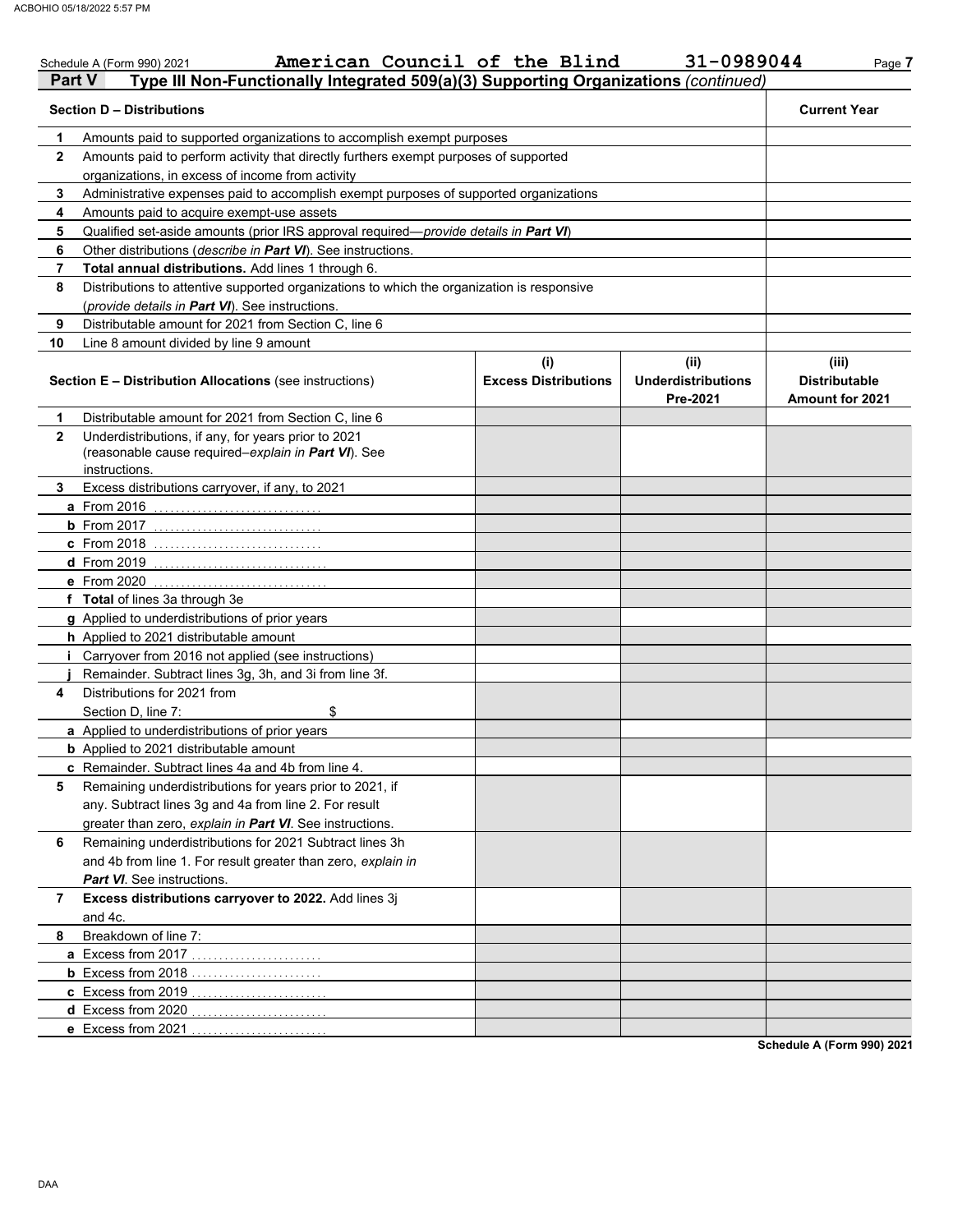|              | Schedule A (Form 990) 2021                                                                                                  | American Council of the Blind      | 31-0989044                                    | Page 7                                                  |
|--------------|-----------------------------------------------------------------------------------------------------------------------------|------------------------------------|-----------------------------------------------|---------------------------------------------------------|
| Part V       | Type III Non-Functionally Integrated 509(a)(3) Supporting Organizations (continued)                                         |                                    |                                               |                                                         |
|              | <b>Section D - Distributions</b>                                                                                            |                                    |                                               | <b>Current Year</b>                                     |
| 1            | Amounts paid to supported organizations to accomplish exempt purposes                                                       |                                    |                                               |                                                         |
| $\mathbf{2}$ | Amounts paid to perform activity that directly furthers exempt purposes of supported                                        |                                    |                                               |                                                         |
|              | organizations, in excess of income from activity                                                                            |                                    |                                               |                                                         |
| 3            | Administrative expenses paid to accomplish exempt purposes of supported organizations                                       |                                    |                                               |                                                         |
| 4            | Amounts paid to acquire exempt-use assets                                                                                   |                                    |                                               |                                                         |
| 5            | Qualified set-aside amounts (prior IRS approval required-provide details in Part VI)                                        |                                    |                                               |                                                         |
| 6            | Other distributions (describe in Part VI). See instructions.                                                                |                                    |                                               |                                                         |
| 7            | Total annual distributions. Add lines 1 through 6.                                                                          |                                    |                                               |                                                         |
| 8            | Distributions to attentive supported organizations to which the organization is responsive                                  |                                    |                                               |                                                         |
|              | (provide details in Part VI). See instructions.                                                                             |                                    |                                               |                                                         |
| 9            | Distributable amount for 2021 from Section C, line 6                                                                        |                                    |                                               |                                                         |
| 10           | Line 8 amount divided by line 9 amount                                                                                      |                                    |                                               |                                                         |
|              | <b>Section E - Distribution Allocations (see instructions)</b>                                                              | (i)<br><b>Excess Distributions</b> | (ii)<br><b>Underdistributions</b><br>Pre-2021 | (iii)<br><b>Distributable</b><br><b>Amount for 2021</b> |
| 1            | Distributable amount for 2021 from Section C, line 6                                                                        |                                    |                                               |                                                         |
| $\mathbf{2}$ | Underdistributions, if any, for years prior to 2021<br>(reasonable cause required-explain in Part VI). See<br>instructions. |                                    |                                               |                                                         |
| 3            | Excess distributions carryover, if any, to 2021                                                                             |                                    |                                               |                                                         |
|              | a From 2016                                                                                                                 |                                    |                                               |                                                         |
|              | $b$ From 2017                                                                                                               |                                    |                                               |                                                         |
|              | c From 2018                                                                                                                 |                                    |                                               |                                                         |
|              | <b>d</b> From 2019                                                                                                          |                                    |                                               |                                                         |
|              | e From 2020                                                                                                                 |                                    |                                               |                                                         |
|              | f Total of lines 3a through 3e                                                                                              |                                    |                                               |                                                         |
|              | g Applied to underdistributions of prior years                                                                              |                                    |                                               |                                                         |
|              | h Applied to 2021 distributable amount                                                                                      |                                    |                                               |                                                         |
|              | Carryover from 2016 not applied (see instructions)                                                                          |                                    |                                               |                                                         |
|              | Remainder. Subtract lines 3g, 3h, and 3i from line 3f.                                                                      |                                    |                                               |                                                         |
| 4            | Distributions for 2021 from                                                                                                 |                                    |                                               |                                                         |
|              | Section D, line 7:<br>\$                                                                                                    |                                    |                                               |                                                         |
|              | a Applied to underdistributions of prior years                                                                              |                                    |                                               |                                                         |
|              | <b>b</b> Applied to 2021 distributable amount                                                                               |                                    |                                               |                                                         |
|              | c Remainder. Subtract lines 4a and 4b from line 4.                                                                          |                                    |                                               |                                                         |
| 5            | Remaining underdistributions for years prior to 2021, if                                                                    |                                    |                                               |                                                         |
|              | any. Subtract lines 3g and 4a from line 2. For result                                                                       |                                    |                                               |                                                         |
|              | greater than zero, explain in Part VI. See instructions.                                                                    |                                    |                                               |                                                         |
| 6            | Remaining underdistributions for 2021 Subtract lines 3h                                                                     |                                    |                                               |                                                         |
|              | and 4b from line 1. For result greater than zero, explain in                                                                |                                    |                                               |                                                         |
|              | Part VI. See instructions.                                                                                                  |                                    |                                               |                                                         |
| 7            | Excess distributions carryover to 2022. Add lines 3j                                                                        |                                    |                                               |                                                         |
|              | and 4c.                                                                                                                     |                                    |                                               |                                                         |
| 8            | Breakdown of line 7:                                                                                                        |                                    |                                               |                                                         |
|              | a Excess from 2017.                                                                                                         |                                    |                                               |                                                         |
|              | <b>b</b> Excess from 2018                                                                                                   |                                    |                                               |                                                         |
|              | c Excess from 2019                                                                                                          |                                    |                                               |                                                         |
|              | d Excess from 2020.                                                                                                         |                                    |                                               |                                                         |
|              | e Excess from 2021                                                                                                          |                                    |                                               | Schedule A (Form 990) 2021                              |

DAA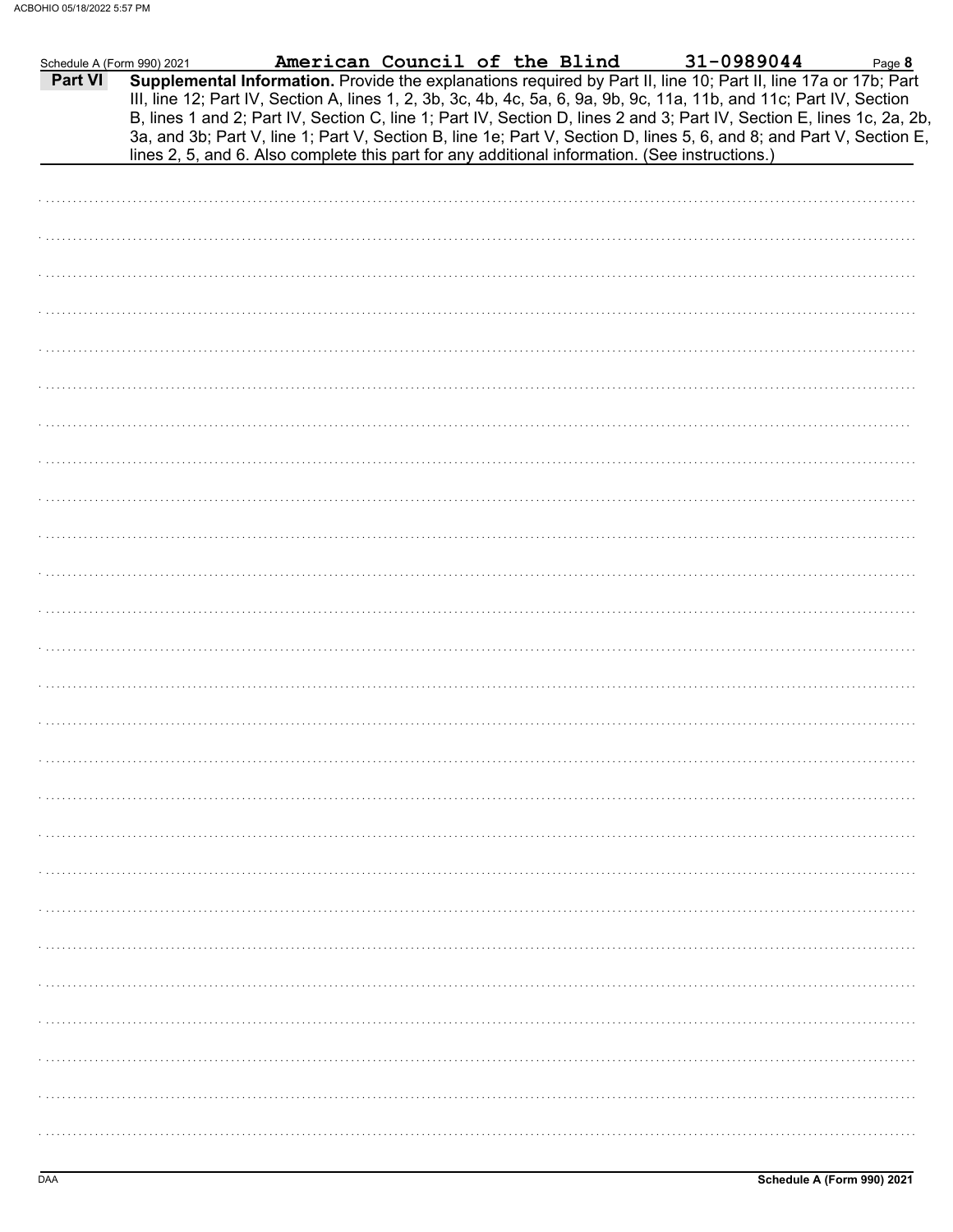| Schedule A (Form 990) 2021 | American Council of the Blind                                                                  |  | 31-0989044                                                                                                                                                                                                                                                                                                                                                                                                                                                                                | Page 8 |
|----------------------------|------------------------------------------------------------------------------------------------|--|-------------------------------------------------------------------------------------------------------------------------------------------------------------------------------------------------------------------------------------------------------------------------------------------------------------------------------------------------------------------------------------------------------------------------------------------------------------------------------------------|--------|
| Part VI                    | lines 2, 5, and 6. Also complete this part for any additional information. (See instructions.) |  | Supplemental Information. Provide the explanations required by Part II, line 10; Part II, line 17a or 17b; Part<br>III, line 12; Part IV, Section A, lines 1, 2, 3b, 3c, 4b, 4c, 5a, 6, 9a, 9b, 9c, 11a, 11b, and 11c; Part IV, Section<br>B, lines 1 and 2; Part IV, Section C, line 1; Part IV, Section D, lines 2 and 3; Part IV, Section E, lines 1c, 2a, 2b,<br>3a, and 3b; Part V, line 1; Part V, Section B, line 1e; Part V, Section D, lines 5, 6, and 8; and Part V, Section E, |        |
|                            |                                                                                                |  |                                                                                                                                                                                                                                                                                                                                                                                                                                                                                           |        |
|                            |                                                                                                |  |                                                                                                                                                                                                                                                                                                                                                                                                                                                                                           |        |
|                            |                                                                                                |  |                                                                                                                                                                                                                                                                                                                                                                                                                                                                                           |        |
|                            |                                                                                                |  |                                                                                                                                                                                                                                                                                                                                                                                                                                                                                           |        |
|                            |                                                                                                |  |                                                                                                                                                                                                                                                                                                                                                                                                                                                                                           |        |
|                            |                                                                                                |  |                                                                                                                                                                                                                                                                                                                                                                                                                                                                                           |        |
|                            |                                                                                                |  |                                                                                                                                                                                                                                                                                                                                                                                                                                                                                           |        |
|                            |                                                                                                |  |                                                                                                                                                                                                                                                                                                                                                                                                                                                                                           |        |
|                            |                                                                                                |  |                                                                                                                                                                                                                                                                                                                                                                                                                                                                                           |        |
|                            |                                                                                                |  |                                                                                                                                                                                                                                                                                                                                                                                                                                                                                           |        |
|                            |                                                                                                |  |                                                                                                                                                                                                                                                                                                                                                                                                                                                                                           |        |
|                            |                                                                                                |  |                                                                                                                                                                                                                                                                                                                                                                                                                                                                                           |        |
|                            |                                                                                                |  |                                                                                                                                                                                                                                                                                                                                                                                                                                                                                           |        |
|                            |                                                                                                |  |                                                                                                                                                                                                                                                                                                                                                                                                                                                                                           |        |
|                            |                                                                                                |  |                                                                                                                                                                                                                                                                                                                                                                                                                                                                                           |        |
|                            |                                                                                                |  |                                                                                                                                                                                                                                                                                                                                                                                                                                                                                           |        |
|                            |                                                                                                |  |                                                                                                                                                                                                                                                                                                                                                                                                                                                                                           |        |
|                            |                                                                                                |  |                                                                                                                                                                                                                                                                                                                                                                                                                                                                                           |        |
|                            |                                                                                                |  |                                                                                                                                                                                                                                                                                                                                                                                                                                                                                           |        |
|                            |                                                                                                |  |                                                                                                                                                                                                                                                                                                                                                                                                                                                                                           |        |
|                            |                                                                                                |  |                                                                                                                                                                                                                                                                                                                                                                                                                                                                                           |        |
|                            |                                                                                                |  |                                                                                                                                                                                                                                                                                                                                                                                                                                                                                           |        |
|                            |                                                                                                |  |                                                                                                                                                                                                                                                                                                                                                                                                                                                                                           |        |
|                            |                                                                                                |  |                                                                                                                                                                                                                                                                                                                                                                                                                                                                                           |        |
|                            |                                                                                                |  |                                                                                                                                                                                                                                                                                                                                                                                                                                                                                           |        |
|                            |                                                                                                |  |                                                                                                                                                                                                                                                                                                                                                                                                                                                                                           |        |
|                            |                                                                                                |  |                                                                                                                                                                                                                                                                                                                                                                                                                                                                                           |        |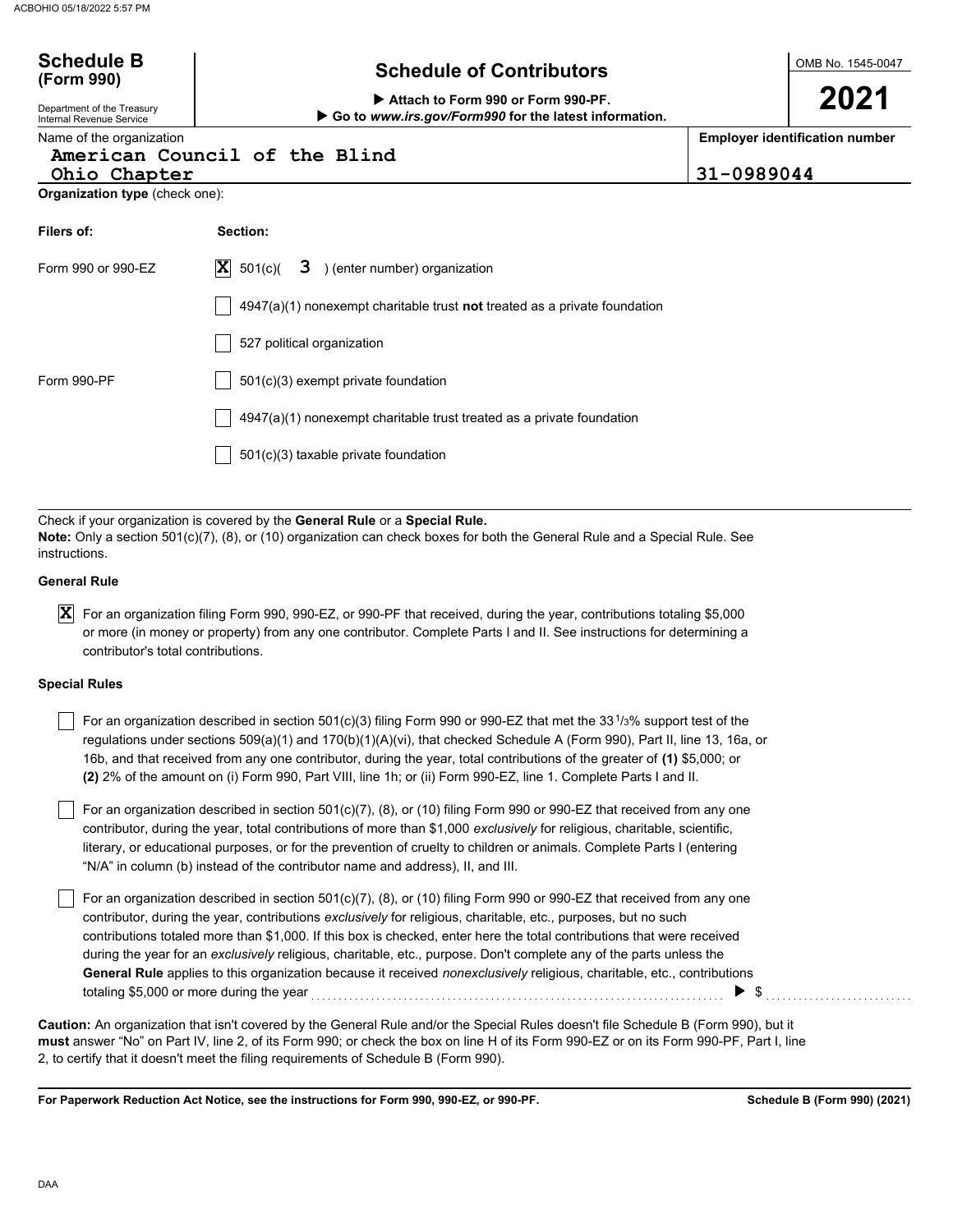| <b>Schedule B</b><br>(Form 990)                               | <b>Schedule of Contributors</b>                                                                                                                                                                                                               |            | OMB No. 1545-0047                     |
|---------------------------------------------------------------|-----------------------------------------------------------------------------------------------------------------------------------------------------------------------------------------------------------------------------------------------|------------|---------------------------------------|
| Department of the Treasury<br><b>Internal Revenue Service</b> | Attach to Form 990 or Form 990-PF.<br>Go to www.irs.gov/Form990 for the latest information.                                                                                                                                                   |            | 2021                                  |
| Name of the organization<br>Ohio Chapter                      | American Council of the Blind                                                                                                                                                                                                                 | 31-0989044 | <b>Employer identification number</b> |
| <b>Organization type (check one):</b>                         |                                                                                                                                                                                                                                               |            |                                       |
| Filers of:                                                    | Section:                                                                                                                                                                                                                                      |            |                                       |
| Form 990 or 990-EZ                                            | $ \mathbf{X} $ 501(c)(<br>3 ) (enter number) organization                                                                                                                                                                                     |            |                                       |
|                                                               | $4947(a)(1)$ nonexempt charitable trust <b>not</b> treated as a private foundation                                                                                                                                                            |            |                                       |
|                                                               | 527 political organization                                                                                                                                                                                                                    |            |                                       |
| Form 990-PF                                                   | 501(c)(3) exempt private foundation                                                                                                                                                                                                           |            |                                       |
|                                                               | 4947(a)(1) nonexempt charitable trust treated as a private foundation                                                                                                                                                                         |            |                                       |
|                                                               | 501(c)(3) taxable private foundation                                                                                                                                                                                                          |            |                                       |
|                                                               |                                                                                                                                                                                                                                               |            |                                       |
| instructions.                                                 | Check if your organization is covered by the General Rule or a Special Rule.<br>Note: Only a section 501(c)(7), (8), or (10) organization can check boxes for both the General Rule and a Special Rule. See                                   |            |                                       |
| <b>General Rule</b>                                           |                                                                                                                                                                                                                                               |            |                                       |
| $\mathbf{x}$<br>contributor's total contributions.            | For an organization filing Form 990, 990-EZ, or 990-PF that received, during the year, contributions totaling \$5,000<br>or more (in money or property) from any one contributor. Complete Parts I and II. See instructions for determining a |            |                                       |

### **Special Rules**

For an organization described in section 501(c)(3) filing Form 990 or 990-EZ that met the 33<sup>1</sup>/3% support test of the regulations under sections 509(a)(1) and 170(b)(1)(A)(vi), that checked Schedule A (Form 990), Part II, line 13, 16a, or 16b, and that received from any one contributor, during the year, total contributions of the greater of **(1)** \$5,000; or **(2)** 2% of the amount on (i) Form 990, Part VIII, line 1h; or (ii) Form 990-EZ, line 1. Complete Parts I and II.

literary, or educational purposes, or for the prevention of cruelty to children or animals. Complete Parts I (entering For an organization described in section 501(c)(7), (8), or (10) filing Form 990 or 990-EZ that received from any one contributor, during the year, total contributions of more than \$1,000 *exclusively* for religious, charitable, scientific, "N/A" in column (b) instead of the contributor name and address), II, and III.

For an organization described in section 501(c)(7), (8), or (10) filing Form 990 or 990-EZ that received from any one contributor, during the year, contributions *exclusively* for religious, charitable, etc., purposes, but no such contributions totaled more than \$1,000. If this box is checked, enter here the total contributions that were received during the year for an *exclusively* religious, charitable, etc., purpose. Don't complete any of the parts unless the **General Rule** applies to this organization because it received *nonexclusively* religious, charitable, etc., contributions totaling \$5,000 or more during the year . . . . . . . . . . . . . . . . . . . . . . . . . . . . . . . . . . . . . . . . . . . . . . . . . . . . . . . . . . . . . . . . . . . . . . . . . . . . \$ . . . . . . . . . . . . . . . . . . . . . . . . . . .

**must** answer "No" on Part IV, line 2, of its Form 990; or check the box on line H of its Form 990-EZ or on its Form 990-PF, Part I, line 2, to certify that it doesn't meet the filing requirements of Schedule B (Form 990). **Caution:** An organization that isn't covered by the General Rule and/or the Special Rules doesn't file Schedule B (Form 990), but it

**For Paperwork Reduction Act Notice, see the instructions for Form 990, 990-EZ, or 990-PF.**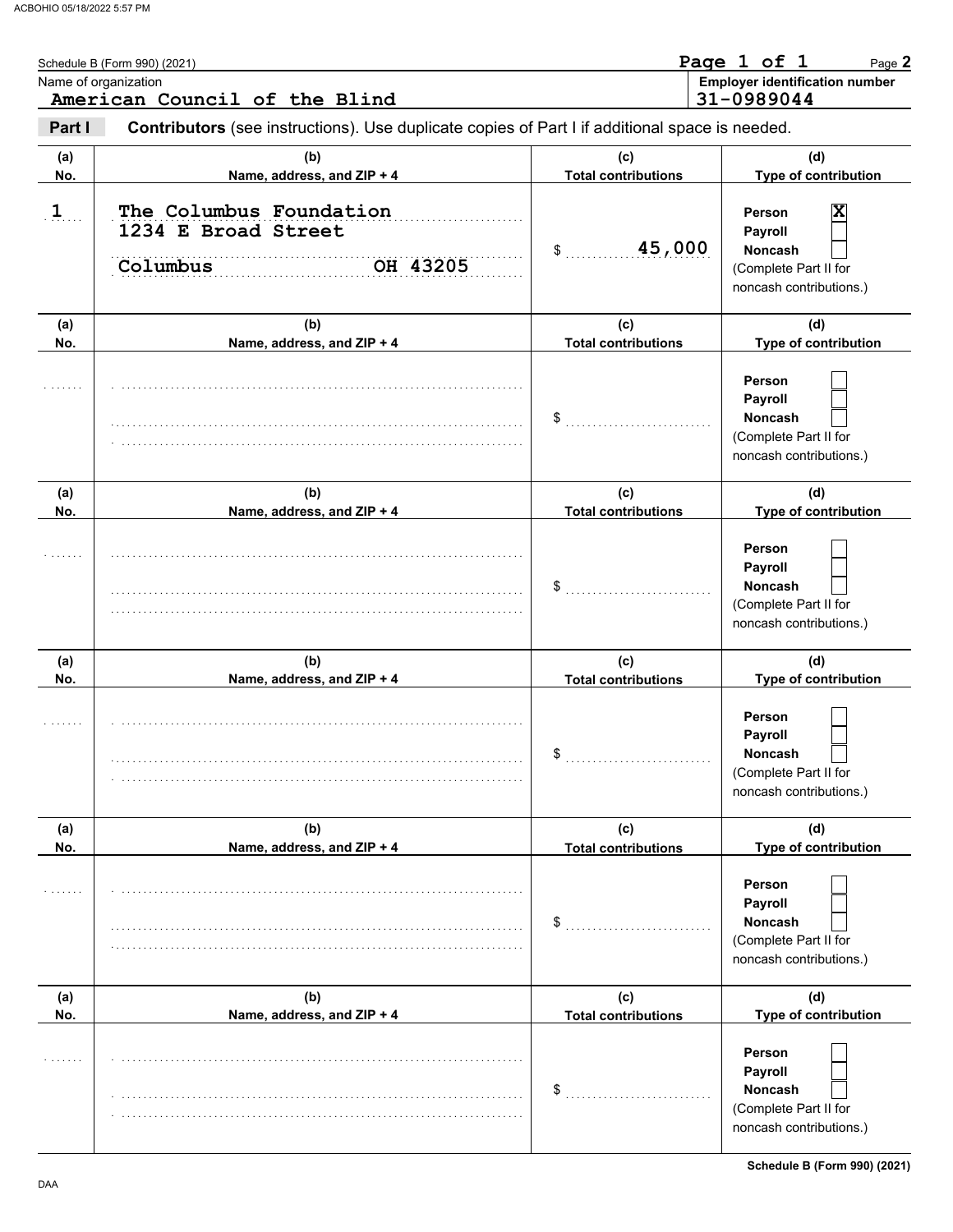|            | Schedule B (Form 990) (2021)<br>Name of organization<br>American Council of the Blind          |                                   | Page 1 of 1<br>Page 2<br><b>Employer identification number</b><br>31-0989044                                              |
|------------|------------------------------------------------------------------------------------------------|-----------------------------------|---------------------------------------------------------------------------------------------------------------------------|
| Part I     | Contributors (see instructions). Use duplicate copies of Part I if additional space is needed. |                                   |                                                                                                                           |
| (a)<br>No. | (b)<br>Name, address, and ZIP + 4                                                              | (c)<br><b>Total contributions</b> | (d)<br>Type of contribution                                                                                               |
| $1$        | The Columbus Foundation<br>1234 E Broad Street<br>OH 43205<br>Columbus                         | 45,000<br>\$                      | $\overline{\mathbf{x}}$<br><b>Person</b><br>Payroll<br><b>Noncash</b><br>(Complete Part II for<br>noncash contributions.) |
| (a)<br>No. | (b)<br>Name, address, and ZIP + 4                                                              | (c)<br><b>Total contributions</b> | (d)<br>Type of contribution                                                                                               |
|            |                                                                                                |                                   | Person<br>Payroll<br><b>Noncash</b><br>(Complete Part II for<br>noncash contributions.)                                   |
| (a)<br>No. | (b)<br>Name, address, and ZIP + 4                                                              | (c)<br><b>Total contributions</b> | (d)<br>Type of contribution                                                                                               |
|            |                                                                                                | $\mathsf{\$}$                     | Person<br>Payroll<br><b>Noncash</b><br>(Complete Part II for<br>noncash contributions.)                                   |
| (a)<br>No. | (b)<br>Name, address, and ZIP + 4                                                              | (c)<br><b>Total contributions</b> | (d)<br>Type of contribution                                                                                               |
|            |                                                                                                | \$                                | <b>Person</b><br><b>Payroll</b><br>Noncash<br>(Complete Part II for<br>noncash contributions.)                            |
| (a)<br>No. | (b)<br>Name, address, and ZIP + 4                                                              | (c)<br><b>Total contributions</b> | (d)<br>Type of contribution                                                                                               |
|            |                                                                                                | \$                                | Person<br>Payroll<br>Noncash<br>(Complete Part II for<br>noncash contributions.)                                          |
| (a)<br>No. | (b)<br>Name, address, and ZIP + 4                                                              | (c)<br><b>Total contributions</b> | (d)<br>Type of contribution                                                                                               |
|            |                                                                                                | \$                                | <b>Person</b><br>Payroll<br>Noncash<br>(Complete Part II for<br>noncash contributions.)                                   |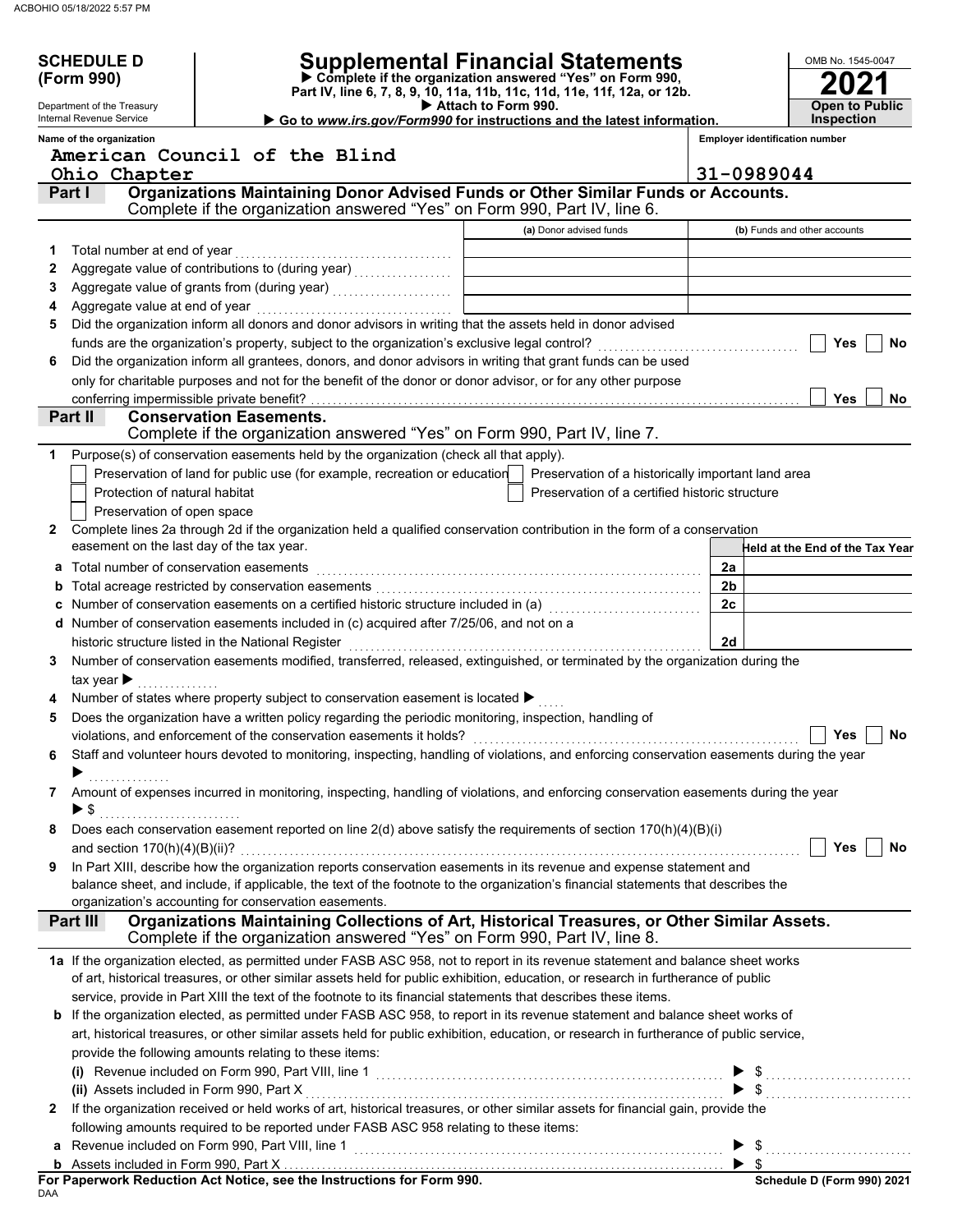|              | <b>SCHEDULE D</b>                         |                                                                                                                                                                | Supplemental Financial Statements                                                               |                                       | OMB No. 1545-0047                |
|--------------|-------------------------------------------|----------------------------------------------------------------------------------------------------------------------------------------------------------------|-------------------------------------------------------------------------------------------------|---------------------------------------|----------------------------------|
|              | (Form 990)                                |                                                                                                                                                                | Complete if the organization answered "Yes" on Form 990,                                        |                                       |                                  |
|              | Department of the Treasury                |                                                                                                                                                                | Part IV, line 6, 7, 8, 9, 10, 11a, 11b, 11c, 11d, 11e, 11f, 12a, or 12b.<br>Attach to Form 990. |                                       | <b>Open to Public</b>            |
|              | Internal Revenue Service                  |                                                                                                                                                                | Go to www.irs.gov/Form990 for instructions and the latest information.                          |                                       | <b>Inspection</b>                |
|              | Name of the organization                  |                                                                                                                                                                |                                                                                                 | <b>Employer identification number</b> |                                  |
|              |                                           | American Council of the Blind                                                                                                                                  |                                                                                                 |                                       |                                  |
|              | Ohio Chapter                              |                                                                                                                                                                |                                                                                                 | 31-0989044                            |                                  |
|              | Part I                                    | Organizations Maintaining Donor Advised Funds or Other Similar Funds or Accounts.<br>Complete if the organization answered "Yes" on Form 990, Part IV, line 6. |                                                                                                 |                                       |                                  |
|              |                                           |                                                                                                                                                                | (a) Donor advised funds                                                                         |                                       | (b) Funds and other accounts     |
| 1            |                                           |                                                                                                                                                                |                                                                                                 |                                       |                                  |
| 2            |                                           |                                                                                                                                                                |                                                                                                 |                                       |                                  |
| 3            |                                           |                                                                                                                                                                |                                                                                                 |                                       |                                  |
|              |                                           |                                                                                                                                                                |                                                                                                 |                                       |                                  |
| 5            |                                           | Did the organization inform all donors and donor advisors in writing that the assets held in donor advised                                                     |                                                                                                 |                                       |                                  |
|              |                                           |                                                                                                                                                                |                                                                                                 |                                       | Yes<br>No                        |
| 6            |                                           | Did the organization inform all grantees, donors, and donor advisors in writing that grant funds can be used                                                   |                                                                                                 |                                       |                                  |
|              |                                           | only for charitable purposes and not for the benefit of the donor or donor advisor, or for any other purpose                                                   |                                                                                                 |                                       |                                  |
|              | conferring impermissible private benefit? |                                                                                                                                                                |                                                                                                 |                                       | <b>Yes</b><br>No.                |
|              | Part II                                   | <b>Conservation Easements.</b>                                                                                                                                 |                                                                                                 |                                       |                                  |
|              |                                           | Complete if the organization answered "Yes" on Form 990, Part IV, line 7.                                                                                      |                                                                                                 |                                       |                                  |
|              |                                           | Purpose(s) of conservation easements held by the organization (check all that apply).                                                                          |                                                                                                 |                                       |                                  |
|              |                                           | Preservation of land for public use (for example, recreation or education                                                                                      | Preservation of a historically important land area                                              |                                       |                                  |
|              | Protection of natural habitat             |                                                                                                                                                                | Preservation of a certified historic structure                                                  |                                       |                                  |
|              | Preservation of open space                | Complete lines 2a through 2d if the organization held a qualified conservation contribution in the form of a conservation                                      |                                                                                                 |                                       |                                  |
| 2            | easement on the last day of the tax year. |                                                                                                                                                                |                                                                                                 |                                       | -leld at the End of the Tax Year |
|              | Total number of conservation easements    |                                                                                                                                                                |                                                                                                 | 2a                                    |                                  |
| а            |                                           |                                                                                                                                                                |                                                                                                 | 2 <sub>b</sub>                        |                                  |
|              |                                           | Number of conservation easements on a certified historic structure included in (a) [[[[[[[[[[[[[[[[[[[[[[[[[[                                                  |                                                                                                 | 2c                                    |                                  |
|              |                                           | d Number of conservation easements included in (c) acquired after 7/25/06, and not on a                                                                        |                                                                                                 |                                       |                                  |
|              |                                           |                                                                                                                                                                |                                                                                                 | 2d                                    |                                  |
| 3            |                                           | Number of conservation easements modified, transferred, released, extinguished, or terminated by the organization during the                                   |                                                                                                 |                                       |                                  |
|              | tax year $\blacktriangleright$            |                                                                                                                                                                |                                                                                                 |                                       |                                  |
|              |                                           | Number of states where property subject to conservation easement is located ▶                                                                                  |                                                                                                 |                                       |                                  |
| 5            |                                           | Does the organization have a written policy regarding the periodic monitoring, inspection, handling of                                                         |                                                                                                 |                                       |                                  |
|              |                                           |                                                                                                                                                                |                                                                                                 |                                       | ┌──<br>No<br>Yes                 |
| 6            |                                           | Staff and volunteer hours devoted to monitoring, inspecting, handling of violations, and enforcing conservation easements during the year                      |                                                                                                 |                                       |                                  |
|              | ▶<br>. <b>.</b> .                         |                                                                                                                                                                |                                                                                                 |                                       |                                  |
| 7            |                                           | Amount of expenses incurred in monitoring, inspecting, handling of violations, and enforcing conservation easements during the year                            |                                                                                                 |                                       |                                  |
|              | $\blacktriangleright$ \$                  |                                                                                                                                                                |                                                                                                 |                                       |                                  |
| 8            |                                           | Does each conservation easement reported on line $2(d)$ above satisfy the requirements of section $170(h)(4)(B)(i)$                                            |                                                                                                 |                                       |                                  |
|              |                                           |                                                                                                                                                                |                                                                                                 |                                       | Yes<br>No                        |
| 9            |                                           | In Part XIII, describe how the organization reports conservation easements in its revenue and expense statement and                                            |                                                                                                 |                                       |                                  |
|              |                                           | balance sheet, and include, if applicable, the text of the footnote to the organization's financial statements that describes the                              |                                                                                                 |                                       |                                  |
|              | Part III                                  | organization's accounting for conservation easements.<br>Organizations Maintaining Collections of Art, Historical Treasures, or Other Similar Assets.          |                                                                                                 |                                       |                                  |
|              |                                           | Complete if the organization answered "Yes" on Form 990, Part IV, line 8.                                                                                      |                                                                                                 |                                       |                                  |
|              |                                           | 1a If the organization elected, as permitted under FASB ASC 958, not to report in its revenue statement and balance sheet works                                |                                                                                                 |                                       |                                  |
|              |                                           | of art, historical treasures, or other similar assets held for public exhibition, education, or research in furtherance of public                              |                                                                                                 |                                       |                                  |
|              |                                           | service, provide in Part XIII the text of the footnote to its financial statements that describes these items.                                                 |                                                                                                 |                                       |                                  |
|              |                                           | b If the organization elected, as permitted under FASB ASC 958, to report in its revenue statement and balance sheet works of                                  |                                                                                                 |                                       |                                  |
|              |                                           | art, historical treasures, or other similar assets held for public exhibition, education, or research in furtherance of public service,                        |                                                                                                 |                                       |                                  |
|              |                                           | provide the following amounts relating to these items:                                                                                                         |                                                                                                 |                                       |                                  |
|              |                                           |                                                                                                                                                                |                                                                                                 |                                       |                                  |
|              |                                           |                                                                                                                                                                |                                                                                                 |                                       | $\blacktriangleright$ \$         |
| $\mathbf{2}$ |                                           | If the organization received or held works of art, historical treasures, or other similar assets for financial gain, provide the                               |                                                                                                 |                                       |                                  |
|              |                                           | following amounts required to be reported under FASB ASC 958 relating to these items:                                                                          |                                                                                                 |                                       |                                  |
|              |                                           | a Revenue included on Form 990, Part VIII, line 1 <b>Constitution Construct Construct Construct</b> > \$                                                       |                                                                                                 |                                       |                                  |
|              |                                           |                                                                                                                                                                |                                                                                                 |                                       |                                  |
|              |                                           |                                                                                                                                                                |                                                                                                 |                                       | Schedule D (Form 990) 2021       |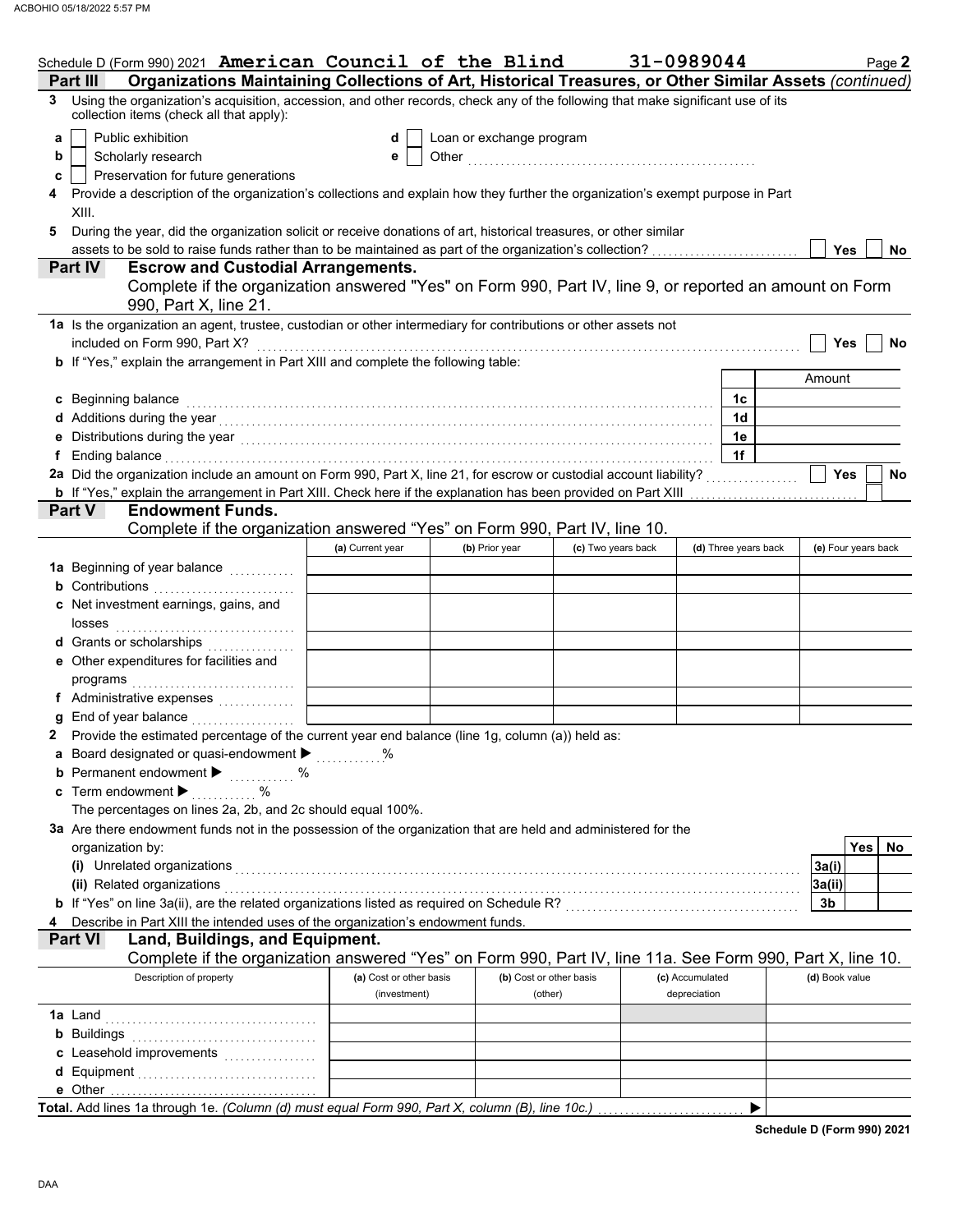| Organizations Maintaining Collections of Art, Historical Treasures, or Other Similar Assets (continued)<br>Part III<br>Using the organization's acquisition, accession, and other records, check any of the following that make significant use of its<br>3<br>collection items (check all that apply):<br>Public exhibition<br>Loan or exchange program<br>d<br>a<br>Scholarly research<br>b<br>е<br>Preservation for future generations<br>c<br>Provide a description of the organization's collections and explain how they further the organization's exempt purpose in Part<br>XIII.<br>During the year, did the organization solicit or receive donations of art, historical treasures, or other similar<br>5<br>Yes<br>No<br><b>Part IV</b><br><b>Escrow and Custodial Arrangements.</b><br>Complete if the organization answered "Yes" on Form 990, Part IV, line 9, or reported an amount on Form<br>990, Part X, line 21.<br>1a Is the organization an agent, trustee, custodian or other intermediary for contributions or other assets not<br>included on Form 990, Part X?<br>Yes<br><b>No</b><br>b If "Yes," explain the arrangement in Part XIII and complete the following table:<br>Amount<br>c Beginning balance<br>1c<br>1 <sub>d</sub><br>d Additions during the year with the contract of the set of the set of the set of the set of the set of the set of the set of the set of the set of the set of the set of the set of the set of the set of the set of the set<br>1e<br>1f<br>f Ending balance encourance and account of the contract of the contract of the contract of the contract of the contract of the contract of the contract of the contract of the contract of the contract of the contract of the<br>2a Did the organization include an amount on Form 990, Part X, line 21, for escrow or custodial account liability?<br><b>Yes</b><br>No<br><b>b</b> If "Yes," explain the arrangement in Part XIII. Check here if the explanation has been provided on Part XIII<br><b>Endowment Funds.</b><br>Part V<br>Complete if the organization answered "Yes" on Form 990, Part IV, line 10.<br>(d) Three years back<br>(e) Four years back<br>(a) Current year<br>(b) Prior year<br>(c) Two years back<br>1a Beginning of year balance<br><b>b</b> Contributions <b>contributions</b><br>c Net investment earnings, gains, and<br>d Grants or scholarships<br>e Other expenditures for facilities and<br>f Administrative expenses<br>End of year balance manufactured<br>2 Provide the estimated percentage of the current year end balance (line 1g, column (a)) held as:<br>a Board designated or quasi-endowment ><br><b>b</b> Permanent endowment $\blacktriangleright$<br>. %<br>c Term endowment $\blacktriangleright$<br>%<br>The percentages on lines 2a, 2b, and 2c should equal 100%.<br>3a Are there endowment funds not in the possession of the organization that are held and administered for the<br>Yes  <br>No.<br>organization by:<br>(i) Unrelated organizations <b>constructions</b> and all the construction of the construction of the construction of the construction of the construction of the construction of the construction of the construction of the constr<br>3a(i)<br>(ii) Related organizations [11] Related organizations [11] Related organizations [11] Related organizations [11] $\sim$<br>3a(ii)<br>3b<br>Describe in Part XIII the intended uses of the organization's endowment funds.<br><b>Part VI</b><br>Land, Buildings, and Equipment.<br>Complete if the organization answered "Yes" on Form 990, Part IV, line 11a. See Form 990, Part X, line 10.<br>Description of property<br>(a) Cost or other basis<br>(b) Cost or other basis<br>(c) Accumulated<br>(d) Book value<br>(investment)<br>depreciation<br>(other)<br>Total. Add lines 1a through 1e. (Column (d) must equal Form 990, Part X, column (B), line 10c.) | Schedule D (Form 990) 2021 American Council of the Blind |  | 31-0989044 | Page 2 |
|---------------------------------------------------------------------------------------------------------------------------------------------------------------------------------------------------------------------------------------------------------------------------------------------------------------------------------------------------------------------------------------------------------------------------------------------------------------------------------------------------------------------------------------------------------------------------------------------------------------------------------------------------------------------------------------------------------------------------------------------------------------------------------------------------------------------------------------------------------------------------------------------------------------------------------------------------------------------------------------------------------------------------------------------------------------------------------------------------------------------------------------------------------------------------------------------------------------------------------------------------------------------------------------------------------------------------------------------------------------------------------------------------------------------------------------------------------------------------------------------------------------------------------------------------------------------------------------------------------------------------------------------------------------------------------------------------------------------------------------------------------------------------------------------------------------------------------------------------------------------------------------------------------------------------------------------------------------------------------------------------------------------------------------------------------------------------------------------------------------------------------------------------------------------------------------------------------------------------------------------------------------------------------------------------------------------------------------------------------------------------------------------------------------------------------------------------------------------------------------------------------------------------------------------------------------------------------------------------------------------------------------------------------------------------------------------------------------------------------------------------------------------------------------------------------------------------------------------------------------------------------------------------------------------------------------------------------------------------------------------------------------------------------------------------------------------------------------------------------------------------------------------------------------------------------------------------------------------------------------------------------------------------------------------------------------------------------------------------------------------------------------------------------------------------------------------------------------------------------------------------------------------------------------------------------------------------------------------------------------------------------------------------------------------------------------------------------------------------------------------------------------------------------------------------------------------------------------------------------------------------------------------------------------|----------------------------------------------------------|--|------------|--------|
|                                                                                                                                                                                                                                                                                                                                                                                                                                                                                                                                                                                                                                                                                                                                                                                                                                                                                                                                                                                                                                                                                                                                                                                                                                                                                                                                                                                                                                                                                                                                                                                                                                                                                                                                                                                                                                                                                                                                                                                                                                                                                                                                                                                                                                                                                                                                                                                                                                                                                                                                                                                                                                                                                                                                                                                                                                                                                                                                                                                                                                                                                                                                                                                                                                                                                                                                                                                                                                                                                                                                                                                                                                                                                                                                                                                                                                                                                                               |                                                          |  |            |        |
|                                                                                                                                                                                                                                                                                                                                                                                                                                                                                                                                                                                                                                                                                                                                                                                                                                                                                                                                                                                                                                                                                                                                                                                                                                                                                                                                                                                                                                                                                                                                                                                                                                                                                                                                                                                                                                                                                                                                                                                                                                                                                                                                                                                                                                                                                                                                                                                                                                                                                                                                                                                                                                                                                                                                                                                                                                                                                                                                                                                                                                                                                                                                                                                                                                                                                                                                                                                                                                                                                                                                                                                                                                                                                                                                                                                                                                                                                                               |                                                          |  |            |        |
|                                                                                                                                                                                                                                                                                                                                                                                                                                                                                                                                                                                                                                                                                                                                                                                                                                                                                                                                                                                                                                                                                                                                                                                                                                                                                                                                                                                                                                                                                                                                                                                                                                                                                                                                                                                                                                                                                                                                                                                                                                                                                                                                                                                                                                                                                                                                                                                                                                                                                                                                                                                                                                                                                                                                                                                                                                                                                                                                                                                                                                                                                                                                                                                                                                                                                                                                                                                                                                                                                                                                                                                                                                                                                                                                                                                                                                                                                                               |                                                          |  |            |        |
|                                                                                                                                                                                                                                                                                                                                                                                                                                                                                                                                                                                                                                                                                                                                                                                                                                                                                                                                                                                                                                                                                                                                                                                                                                                                                                                                                                                                                                                                                                                                                                                                                                                                                                                                                                                                                                                                                                                                                                                                                                                                                                                                                                                                                                                                                                                                                                                                                                                                                                                                                                                                                                                                                                                                                                                                                                                                                                                                                                                                                                                                                                                                                                                                                                                                                                                                                                                                                                                                                                                                                                                                                                                                                                                                                                                                                                                                                                               |                                                          |  |            |        |
|                                                                                                                                                                                                                                                                                                                                                                                                                                                                                                                                                                                                                                                                                                                                                                                                                                                                                                                                                                                                                                                                                                                                                                                                                                                                                                                                                                                                                                                                                                                                                                                                                                                                                                                                                                                                                                                                                                                                                                                                                                                                                                                                                                                                                                                                                                                                                                                                                                                                                                                                                                                                                                                                                                                                                                                                                                                                                                                                                                                                                                                                                                                                                                                                                                                                                                                                                                                                                                                                                                                                                                                                                                                                                                                                                                                                                                                                                                               |                                                          |  |            |        |
|                                                                                                                                                                                                                                                                                                                                                                                                                                                                                                                                                                                                                                                                                                                                                                                                                                                                                                                                                                                                                                                                                                                                                                                                                                                                                                                                                                                                                                                                                                                                                                                                                                                                                                                                                                                                                                                                                                                                                                                                                                                                                                                                                                                                                                                                                                                                                                                                                                                                                                                                                                                                                                                                                                                                                                                                                                                                                                                                                                                                                                                                                                                                                                                                                                                                                                                                                                                                                                                                                                                                                                                                                                                                                                                                                                                                                                                                                                               |                                                          |  |            |        |
|                                                                                                                                                                                                                                                                                                                                                                                                                                                                                                                                                                                                                                                                                                                                                                                                                                                                                                                                                                                                                                                                                                                                                                                                                                                                                                                                                                                                                                                                                                                                                                                                                                                                                                                                                                                                                                                                                                                                                                                                                                                                                                                                                                                                                                                                                                                                                                                                                                                                                                                                                                                                                                                                                                                                                                                                                                                                                                                                                                                                                                                                                                                                                                                                                                                                                                                                                                                                                                                                                                                                                                                                                                                                                                                                                                                                                                                                                                               |                                                          |  |            |        |
|                                                                                                                                                                                                                                                                                                                                                                                                                                                                                                                                                                                                                                                                                                                                                                                                                                                                                                                                                                                                                                                                                                                                                                                                                                                                                                                                                                                                                                                                                                                                                                                                                                                                                                                                                                                                                                                                                                                                                                                                                                                                                                                                                                                                                                                                                                                                                                                                                                                                                                                                                                                                                                                                                                                                                                                                                                                                                                                                                                                                                                                                                                                                                                                                                                                                                                                                                                                                                                                                                                                                                                                                                                                                                                                                                                                                                                                                                                               |                                                          |  |            |        |
|                                                                                                                                                                                                                                                                                                                                                                                                                                                                                                                                                                                                                                                                                                                                                                                                                                                                                                                                                                                                                                                                                                                                                                                                                                                                                                                                                                                                                                                                                                                                                                                                                                                                                                                                                                                                                                                                                                                                                                                                                                                                                                                                                                                                                                                                                                                                                                                                                                                                                                                                                                                                                                                                                                                                                                                                                                                                                                                                                                                                                                                                                                                                                                                                                                                                                                                                                                                                                                                                                                                                                                                                                                                                                                                                                                                                                                                                                                               |                                                          |  |            |        |
|                                                                                                                                                                                                                                                                                                                                                                                                                                                                                                                                                                                                                                                                                                                                                                                                                                                                                                                                                                                                                                                                                                                                                                                                                                                                                                                                                                                                                                                                                                                                                                                                                                                                                                                                                                                                                                                                                                                                                                                                                                                                                                                                                                                                                                                                                                                                                                                                                                                                                                                                                                                                                                                                                                                                                                                                                                                                                                                                                                                                                                                                                                                                                                                                                                                                                                                                                                                                                                                                                                                                                                                                                                                                                                                                                                                                                                                                                                               |                                                          |  |            |        |
|                                                                                                                                                                                                                                                                                                                                                                                                                                                                                                                                                                                                                                                                                                                                                                                                                                                                                                                                                                                                                                                                                                                                                                                                                                                                                                                                                                                                                                                                                                                                                                                                                                                                                                                                                                                                                                                                                                                                                                                                                                                                                                                                                                                                                                                                                                                                                                                                                                                                                                                                                                                                                                                                                                                                                                                                                                                                                                                                                                                                                                                                                                                                                                                                                                                                                                                                                                                                                                                                                                                                                                                                                                                                                                                                                                                                                                                                                                               |                                                          |  |            |        |
|                                                                                                                                                                                                                                                                                                                                                                                                                                                                                                                                                                                                                                                                                                                                                                                                                                                                                                                                                                                                                                                                                                                                                                                                                                                                                                                                                                                                                                                                                                                                                                                                                                                                                                                                                                                                                                                                                                                                                                                                                                                                                                                                                                                                                                                                                                                                                                                                                                                                                                                                                                                                                                                                                                                                                                                                                                                                                                                                                                                                                                                                                                                                                                                                                                                                                                                                                                                                                                                                                                                                                                                                                                                                                                                                                                                                                                                                                                               |                                                          |  |            |        |
|                                                                                                                                                                                                                                                                                                                                                                                                                                                                                                                                                                                                                                                                                                                                                                                                                                                                                                                                                                                                                                                                                                                                                                                                                                                                                                                                                                                                                                                                                                                                                                                                                                                                                                                                                                                                                                                                                                                                                                                                                                                                                                                                                                                                                                                                                                                                                                                                                                                                                                                                                                                                                                                                                                                                                                                                                                                                                                                                                                                                                                                                                                                                                                                                                                                                                                                                                                                                                                                                                                                                                                                                                                                                                                                                                                                                                                                                                                               |                                                          |  |            |        |
|                                                                                                                                                                                                                                                                                                                                                                                                                                                                                                                                                                                                                                                                                                                                                                                                                                                                                                                                                                                                                                                                                                                                                                                                                                                                                                                                                                                                                                                                                                                                                                                                                                                                                                                                                                                                                                                                                                                                                                                                                                                                                                                                                                                                                                                                                                                                                                                                                                                                                                                                                                                                                                                                                                                                                                                                                                                                                                                                                                                                                                                                                                                                                                                                                                                                                                                                                                                                                                                                                                                                                                                                                                                                                                                                                                                                                                                                                                               |                                                          |  |            |        |
|                                                                                                                                                                                                                                                                                                                                                                                                                                                                                                                                                                                                                                                                                                                                                                                                                                                                                                                                                                                                                                                                                                                                                                                                                                                                                                                                                                                                                                                                                                                                                                                                                                                                                                                                                                                                                                                                                                                                                                                                                                                                                                                                                                                                                                                                                                                                                                                                                                                                                                                                                                                                                                                                                                                                                                                                                                                                                                                                                                                                                                                                                                                                                                                                                                                                                                                                                                                                                                                                                                                                                                                                                                                                                                                                                                                                                                                                                                               |                                                          |  |            |        |
|                                                                                                                                                                                                                                                                                                                                                                                                                                                                                                                                                                                                                                                                                                                                                                                                                                                                                                                                                                                                                                                                                                                                                                                                                                                                                                                                                                                                                                                                                                                                                                                                                                                                                                                                                                                                                                                                                                                                                                                                                                                                                                                                                                                                                                                                                                                                                                                                                                                                                                                                                                                                                                                                                                                                                                                                                                                                                                                                                                                                                                                                                                                                                                                                                                                                                                                                                                                                                                                                                                                                                                                                                                                                                                                                                                                                                                                                                                               |                                                          |  |            |        |
|                                                                                                                                                                                                                                                                                                                                                                                                                                                                                                                                                                                                                                                                                                                                                                                                                                                                                                                                                                                                                                                                                                                                                                                                                                                                                                                                                                                                                                                                                                                                                                                                                                                                                                                                                                                                                                                                                                                                                                                                                                                                                                                                                                                                                                                                                                                                                                                                                                                                                                                                                                                                                                                                                                                                                                                                                                                                                                                                                                                                                                                                                                                                                                                                                                                                                                                                                                                                                                                                                                                                                                                                                                                                                                                                                                                                                                                                                                               |                                                          |  |            |        |
|                                                                                                                                                                                                                                                                                                                                                                                                                                                                                                                                                                                                                                                                                                                                                                                                                                                                                                                                                                                                                                                                                                                                                                                                                                                                                                                                                                                                                                                                                                                                                                                                                                                                                                                                                                                                                                                                                                                                                                                                                                                                                                                                                                                                                                                                                                                                                                                                                                                                                                                                                                                                                                                                                                                                                                                                                                                                                                                                                                                                                                                                                                                                                                                                                                                                                                                                                                                                                                                                                                                                                                                                                                                                                                                                                                                                                                                                                                               |                                                          |  |            |        |
|                                                                                                                                                                                                                                                                                                                                                                                                                                                                                                                                                                                                                                                                                                                                                                                                                                                                                                                                                                                                                                                                                                                                                                                                                                                                                                                                                                                                                                                                                                                                                                                                                                                                                                                                                                                                                                                                                                                                                                                                                                                                                                                                                                                                                                                                                                                                                                                                                                                                                                                                                                                                                                                                                                                                                                                                                                                                                                                                                                                                                                                                                                                                                                                                                                                                                                                                                                                                                                                                                                                                                                                                                                                                                                                                                                                                                                                                                                               |                                                          |  |            |        |
|                                                                                                                                                                                                                                                                                                                                                                                                                                                                                                                                                                                                                                                                                                                                                                                                                                                                                                                                                                                                                                                                                                                                                                                                                                                                                                                                                                                                                                                                                                                                                                                                                                                                                                                                                                                                                                                                                                                                                                                                                                                                                                                                                                                                                                                                                                                                                                                                                                                                                                                                                                                                                                                                                                                                                                                                                                                                                                                                                                                                                                                                                                                                                                                                                                                                                                                                                                                                                                                                                                                                                                                                                                                                                                                                                                                                                                                                                                               |                                                          |  |            |        |
|                                                                                                                                                                                                                                                                                                                                                                                                                                                                                                                                                                                                                                                                                                                                                                                                                                                                                                                                                                                                                                                                                                                                                                                                                                                                                                                                                                                                                                                                                                                                                                                                                                                                                                                                                                                                                                                                                                                                                                                                                                                                                                                                                                                                                                                                                                                                                                                                                                                                                                                                                                                                                                                                                                                                                                                                                                                                                                                                                                                                                                                                                                                                                                                                                                                                                                                                                                                                                                                                                                                                                                                                                                                                                                                                                                                                                                                                                                               |                                                          |  |            |        |
|                                                                                                                                                                                                                                                                                                                                                                                                                                                                                                                                                                                                                                                                                                                                                                                                                                                                                                                                                                                                                                                                                                                                                                                                                                                                                                                                                                                                                                                                                                                                                                                                                                                                                                                                                                                                                                                                                                                                                                                                                                                                                                                                                                                                                                                                                                                                                                                                                                                                                                                                                                                                                                                                                                                                                                                                                                                                                                                                                                                                                                                                                                                                                                                                                                                                                                                                                                                                                                                                                                                                                                                                                                                                                                                                                                                                                                                                                                               |                                                          |  |            |        |
|                                                                                                                                                                                                                                                                                                                                                                                                                                                                                                                                                                                                                                                                                                                                                                                                                                                                                                                                                                                                                                                                                                                                                                                                                                                                                                                                                                                                                                                                                                                                                                                                                                                                                                                                                                                                                                                                                                                                                                                                                                                                                                                                                                                                                                                                                                                                                                                                                                                                                                                                                                                                                                                                                                                                                                                                                                                                                                                                                                                                                                                                                                                                                                                                                                                                                                                                                                                                                                                                                                                                                                                                                                                                                                                                                                                                                                                                                                               |                                                          |  |            |        |
|                                                                                                                                                                                                                                                                                                                                                                                                                                                                                                                                                                                                                                                                                                                                                                                                                                                                                                                                                                                                                                                                                                                                                                                                                                                                                                                                                                                                                                                                                                                                                                                                                                                                                                                                                                                                                                                                                                                                                                                                                                                                                                                                                                                                                                                                                                                                                                                                                                                                                                                                                                                                                                                                                                                                                                                                                                                                                                                                                                                                                                                                                                                                                                                                                                                                                                                                                                                                                                                                                                                                                                                                                                                                                                                                                                                                                                                                                                               |                                                          |  |            |        |
|                                                                                                                                                                                                                                                                                                                                                                                                                                                                                                                                                                                                                                                                                                                                                                                                                                                                                                                                                                                                                                                                                                                                                                                                                                                                                                                                                                                                                                                                                                                                                                                                                                                                                                                                                                                                                                                                                                                                                                                                                                                                                                                                                                                                                                                                                                                                                                                                                                                                                                                                                                                                                                                                                                                                                                                                                                                                                                                                                                                                                                                                                                                                                                                                                                                                                                                                                                                                                                                                                                                                                                                                                                                                                                                                                                                                                                                                                                               |                                                          |  |            |        |
|                                                                                                                                                                                                                                                                                                                                                                                                                                                                                                                                                                                                                                                                                                                                                                                                                                                                                                                                                                                                                                                                                                                                                                                                                                                                                                                                                                                                                                                                                                                                                                                                                                                                                                                                                                                                                                                                                                                                                                                                                                                                                                                                                                                                                                                                                                                                                                                                                                                                                                                                                                                                                                                                                                                                                                                                                                                                                                                                                                                                                                                                                                                                                                                                                                                                                                                                                                                                                                                                                                                                                                                                                                                                                                                                                                                                                                                                                                               |                                                          |  |            |        |
|                                                                                                                                                                                                                                                                                                                                                                                                                                                                                                                                                                                                                                                                                                                                                                                                                                                                                                                                                                                                                                                                                                                                                                                                                                                                                                                                                                                                                                                                                                                                                                                                                                                                                                                                                                                                                                                                                                                                                                                                                                                                                                                                                                                                                                                                                                                                                                                                                                                                                                                                                                                                                                                                                                                                                                                                                                                                                                                                                                                                                                                                                                                                                                                                                                                                                                                                                                                                                                                                                                                                                                                                                                                                                                                                                                                                                                                                                                               |                                                          |  |            |        |
|                                                                                                                                                                                                                                                                                                                                                                                                                                                                                                                                                                                                                                                                                                                                                                                                                                                                                                                                                                                                                                                                                                                                                                                                                                                                                                                                                                                                                                                                                                                                                                                                                                                                                                                                                                                                                                                                                                                                                                                                                                                                                                                                                                                                                                                                                                                                                                                                                                                                                                                                                                                                                                                                                                                                                                                                                                                                                                                                                                                                                                                                                                                                                                                                                                                                                                                                                                                                                                                                                                                                                                                                                                                                                                                                                                                                                                                                                                               |                                                          |  |            |        |
|                                                                                                                                                                                                                                                                                                                                                                                                                                                                                                                                                                                                                                                                                                                                                                                                                                                                                                                                                                                                                                                                                                                                                                                                                                                                                                                                                                                                                                                                                                                                                                                                                                                                                                                                                                                                                                                                                                                                                                                                                                                                                                                                                                                                                                                                                                                                                                                                                                                                                                                                                                                                                                                                                                                                                                                                                                                                                                                                                                                                                                                                                                                                                                                                                                                                                                                                                                                                                                                                                                                                                                                                                                                                                                                                                                                                                                                                                                               |                                                          |  |            |        |
|                                                                                                                                                                                                                                                                                                                                                                                                                                                                                                                                                                                                                                                                                                                                                                                                                                                                                                                                                                                                                                                                                                                                                                                                                                                                                                                                                                                                                                                                                                                                                                                                                                                                                                                                                                                                                                                                                                                                                                                                                                                                                                                                                                                                                                                                                                                                                                                                                                                                                                                                                                                                                                                                                                                                                                                                                                                                                                                                                                                                                                                                                                                                                                                                                                                                                                                                                                                                                                                                                                                                                                                                                                                                                                                                                                                                                                                                                                               |                                                          |  |            |        |
|                                                                                                                                                                                                                                                                                                                                                                                                                                                                                                                                                                                                                                                                                                                                                                                                                                                                                                                                                                                                                                                                                                                                                                                                                                                                                                                                                                                                                                                                                                                                                                                                                                                                                                                                                                                                                                                                                                                                                                                                                                                                                                                                                                                                                                                                                                                                                                                                                                                                                                                                                                                                                                                                                                                                                                                                                                                                                                                                                                                                                                                                                                                                                                                                                                                                                                                                                                                                                                                                                                                                                                                                                                                                                                                                                                                                                                                                                                               |                                                          |  |            |        |
|                                                                                                                                                                                                                                                                                                                                                                                                                                                                                                                                                                                                                                                                                                                                                                                                                                                                                                                                                                                                                                                                                                                                                                                                                                                                                                                                                                                                                                                                                                                                                                                                                                                                                                                                                                                                                                                                                                                                                                                                                                                                                                                                                                                                                                                                                                                                                                                                                                                                                                                                                                                                                                                                                                                                                                                                                                                                                                                                                                                                                                                                                                                                                                                                                                                                                                                                                                                                                                                                                                                                                                                                                                                                                                                                                                                                                                                                                                               |                                                          |  |            |        |
|                                                                                                                                                                                                                                                                                                                                                                                                                                                                                                                                                                                                                                                                                                                                                                                                                                                                                                                                                                                                                                                                                                                                                                                                                                                                                                                                                                                                                                                                                                                                                                                                                                                                                                                                                                                                                                                                                                                                                                                                                                                                                                                                                                                                                                                                                                                                                                                                                                                                                                                                                                                                                                                                                                                                                                                                                                                                                                                                                                                                                                                                                                                                                                                                                                                                                                                                                                                                                                                                                                                                                                                                                                                                                                                                                                                                                                                                                                               |                                                          |  |            |        |
|                                                                                                                                                                                                                                                                                                                                                                                                                                                                                                                                                                                                                                                                                                                                                                                                                                                                                                                                                                                                                                                                                                                                                                                                                                                                                                                                                                                                                                                                                                                                                                                                                                                                                                                                                                                                                                                                                                                                                                                                                                                                                                                                                                                                                                                                                                                                                                                                                                                                                                                                                                                                                                                                                                                                                                                                                                                                                                                                                                                                                                                                                                                                                                                                                                                                                                                                                                                                                                                                                                                                                                                                                                                                                                                                                                                                                                                                                                               |                                                          |  |            |        |
|                                                                                                                                                                                                                                                                                                                                                                                                                                                                                                                                                                                                                                                                                                                                                                                                                                                                                                                                                                                                                                                                                                                                                                                                                                                                                                                                                                                                                                                                                                                                                                                                                                                                                                                                                                                                                                                                                                                                                                                                                                                                                                                                                                                                                                                                                                                                                                                                                                                                                                                                                                                                                                                                                                                                                                                                                                                                                                                                                                                                                                                                                                                                                                                                                                                                                                                                                                                                                                                                                                                                                                                                                                                                                                                                                                                                                                                                                                               |                                                          |  |            |        |
|                                                                                                                                                                                                                                                                                                                                                                                                                                                                                                                                                                                                                                                                                                                                                                                                                                                                                                                                                                                                                                                                                                                                                                                                                                                                                                                                                                                                                                                                                                                                                                                                                                                                                                                                                                                                                                                                                                                                                                                                                                                                                                                                                                                                                                                                                                                                                                                                                                                                                                                                                                                                                                                                                                                                                                                                                                                                                                                                                                                                                                                                                                                                                                                                                                                                                                                                                                                                                                                                                                                                                                                                                                                                                                                                                                                                                                                                                                               |                                                          |  |            |        |
|                                                                                                                                                                                                                                                                                                                                                                                                                                                                                                                                                                                                                                                                                                                                                                                                                                                                                                                                                                                                                                                                                                                                                                                                                                                                                                                                                                                                                                                                                                                                                                                                                                                                                                                                                                                                                                                                                                                                                                                                                                                                                                                                                                                                                                                                                                                                                                                                                                                                                                                                                                                                                                                                                                                                                                                                                                                                                                                                                                                                                                                                                                                                                                                                                                                                                                                                                                                                                                                                                                                                                                                                                                                                                                                                                                                                                                                                                                               |                                                          |  |            |        |
|                                                                                                                                                                                                                                                                                                                                                                                                                                                                                                                                                                                                                                                                                                                                                                                                                                                                                                                                                                                                                                                                                                                                                                                                                                                                                                                                                                                                                                                                                                                                                                                                                                                                                                                                                                                                                                                                                                                                                                                                                                                                                                                                                                                                                                                                                                                                                                                                                                                                                                                                                                                                                                                                                                                                                                                                                                                                                                                                                                                                                                                                                                                                                                                                                                                                                                                                                                                                                                                                                                                                                                                                                                                                                                                                                                                                                                                                                                               |                                                          |  |            |        |
|                                                                                                                                                                                                                                                                                                                                                                                                                                                                                                                                                                                                                                                                                                                                                                                                                                                                                                                                                                                                                                                                                                                                                                                                                                                                                                                                                                                                                                                                                                                                                                                                                                                                                                                                                                                                                                                                                                                                                                                                                                                                                                                                                                                                                                                                                                                                                                                                                                                                                                                                                                                                                                                                                                                                                                                                                                                                                                                                                                                                                                                                                                                                                                                                                                                                                                                                                                                                                                                                                                                                                                                                                                                                                                                                                                                                                                                                                                               |                                                          |  |            |        |
|                                                                                                                                                                                                                                                                                                                                                                                                                                                                                                                                                                                                                                                                                                                                                                                                                                                                                                                                                                                                                                                                                                                                                                                                                                                                                                                                                                                                                                                                                                                                                                                                                                                                                                                                                                                                                                                                                                                                                                                                                                                                                                                                                                                                                                                                                                                                                                                                                                                                                                                                                                                                                                                                                                                                                                                                                                                                                                                                                                                                                                                                                                                                                                                                                                                                                                                                                                                                                                                                                                                                                                                                                                                                                                                                                                                                                                                                                                               |                                                          |  |            |        |
|                                                                                                                                                                                                                                                                                                                                                                                                                                                                                                                                                                                                                                                                                                                                                                                                                                                                                                                                                                                                                                                                                                                                                                                                                                                                                                                                                                                                                                                                                                                                                                                                                                                                                                                                                                                                                                                                                                                                                                                                                                                                                                                                                                                                                                                                                                                                                                                                                                                                                                                                                                                                                                                                                                                                                                                                                                                                                                                                                                                                                                                                                                                                                                                                                                                                                                                                                                                                                                                                                                                                                                                                                                                                                                                                                                                                                                                                                                               |                                                          |  |            |        |
|                                                                                                                                                                                                                                                                                                                                                                                                                                                                                                                                                                                                                                                                                                                                                                                                                                                                                                                                                                                                                                                                                                                                                                                                                                                                                                                                                                                                                                                                                                                                                                                                                                                                                                                                                                                                                                                                                                                                                                                                                                                                                                                                                                                                                                                                                                                                                                                                                                                                                                                                                                                                                                                                                                                                                                                                                                                                                                                                                                                                                                                                                                                                                                                                                                                                                                                                                                                                                                                                                                                                                                                                                                                                                                                                                                                                                                                                                                               |                                                          |  |            |        |
|                                                                                                                                                                                                                                                                                                                                                                                                                                                                                                                                                                                                                                                                                                                                                                                                                                                                                                                                                                                                                                                                                                                                                                                                                                                                                                                                                                                                                                                                                                                                                                                                                                                                                                                                                                                                                                                                                                                                                                                                                                                                                                                                                                                                                                                                                                                                                                                                                                                                                                                                                                                                                                                                                                                                                                                                                                                                                                                                                                                                                                                                                                                                                                                                                                                                                                                                                                                                                                                                                                                                                                                                                                                                                                                                                                                                                                                                                                               |                                                          |  |            |        |
|                                                                                                                                                                                                                                                                                                                                                                                                                                                                                                                                                                                                                                                                                                                                                                                                                                                                                                                                                                                                                                                                                                                                                                                                                                                                                                                                                                                                                                                                                                                                                                                                                                                                                                                                                                                                                                                                                                                                                                                                                                                                                                                                                                                                                                                                                                                                                                                                                                                                                                                                                                                                                                                                                                                                                                                                                                                                                                                                                                                                                                                                                                                                                                                                                                                                                                                                                                                                                                                                                                                                                                                                                                                                                                                                                                                                                                                                                                               |                                                          |  |            |        |
|                                                                                                                                                                                                                                                                                                                                                                                                                                                                                                                                                                                                                                                                                                                                                                                                                                                                                                                                                                                                                                                                                                                                                                                                                                                                                                                                                                                                                                                                                                                                                                                                                                                                                                                                                                                                                                                                                                                                                                                                                                                                                                                                                                                                                                                                                                                                                                                                                                                                                                                                                                                                                                                                                                                                                                                                                                                                                                                                                                                                                                                                                                                                                                                                                                                                                                                                                                                                                                                                                                                                                                                                                                                                                                                                                                                                                                                                                                               |                                                          |  |            |        |
|                                                                                                                                                                                                                                                                                                                                                                                                                                                                                                                                                                                                                                                                                                                                                                                                                                                                                                                                                                                                                                                                                                                                                                                                                                                                                                                                                                                                                                                                                                                                                                                                                                                                                                                                                                                                                                                                                                                                                                                                                                                                                                                                                                                                                                                                                                                                                                                                                                                                                                                                                                                                                                                                                                                                                                                                                                                                                                                                                                                                                                                                                                                                                                                                                                                                                                                                                                                                                                                                                                                                                                                                                                                                                                                                                                                                                                                                                                               |                                                          |  |            |        |
|                                                                                                                                                                                                                                                                                                                                                                                                                                                                                                                                                                                                                                                                                                                                                                                                                                                                                                                                                                                                                                                                                                                                                                                                                                                                                                                                                                                                                                                                                                                                                                                                                                                                                                                                                                                                                                                                                                                                                                                                                                                                                                                                                                                                                                                                                                                                                                                                                                                                                                                                                                                                                                                                                                                                                                                                                                                                                                                                                                                                                                                                                                                                                                                                                                                                                                                                                                                                                                                                                                                                                                                                                                                                                                                                                                                                                                                                                                               |                                                          |  |            |        |
|                                                                                                                                                                                                                                                                                                                                                                                                                                                                                                                                                                                                                                                                                                                                                                                                                                                                                                                                                                                                                                                                                                                                                                                                                                                                                                                                                                                                                                                                                                                                                                                                                                                                                                                                                                                                                                                                                                                                                                                                                                                                                                                                                                                                                                                                                                                                                                                                                                                                                                                                                                                                                                                                                                                                                                                                                                                                                                                                                                                                                                                                                                                                                                                                                                                                                                                                                                                                                                                                                                                                                                                                                                                                                                                                                                                                                                                                                                               |                                                          |  |            |        |
|                                                                                                                                                                                                                                                                                                                                                                                                                                                                                                                                                                                                                                                                                                                                                                                                                                                                                                                                                                                                                                                                                                                                                                                                                                                                                                                                                                                                                                                                                                                                                                                                                                                                                                                                                                                                                                                                                                                                                                                                                                                                                                                                                                                                                                                                                                                                                                                                                                                                                                                                                                                                                                                                                                                                                                                                                                                                                                                                                                                                                                                                                                                                                                                                                                                                                                                                                                                                                                                                                                                                                                                                                                                                                                                                                                                                                                                                                                               |                                                          |  |            |        |
|                                                                                                                                                                                                                                                                                                                                                                                                                                                                                                                                                                                                                                                                                                                                                                                                                                                                                                                                                                                                                                                                                                                                                                                                                                                                                                                                                                                                                                                                                                                                                                                                                                                                                                                                                                                                                                                                                                                                                                                                                                                                                                                                                                                                                                                                                                                                                                                                                                                                                                                                                                                                                                                                                                                                                                                                                                                                                                                                                                                                                                                                                                                                                                                                                                                                                                                                                                                                                                                                                                                                                                                                                                                                                                                                                                                                                                                                                                               |                                                          |  |            |        |
|                                                                                                                                                                                                                                                                                                                                                                                                                                                                                                                                                                                                                                                                                                                                                                                                                                                                                                                                                                                                                                                                                                                                                                                                                                                                                                                                                                                                                                                                                                                                                                                                                                                                                                                                                                                                                                                                                                                                                                                                                                                                                                                                                                                                                                                                                                                                                                                                                                                                                                                                                                                                                                                                                                                                                                                                                                                                                                                                                                                                                                                                                                                                                                                                                                                                                                                                                                                                                                                                                                                                                                                                                                                                                                                                                                                                                                                                                                               |                                                          |  |            |        |

**Schedule D (Form 990) 2021**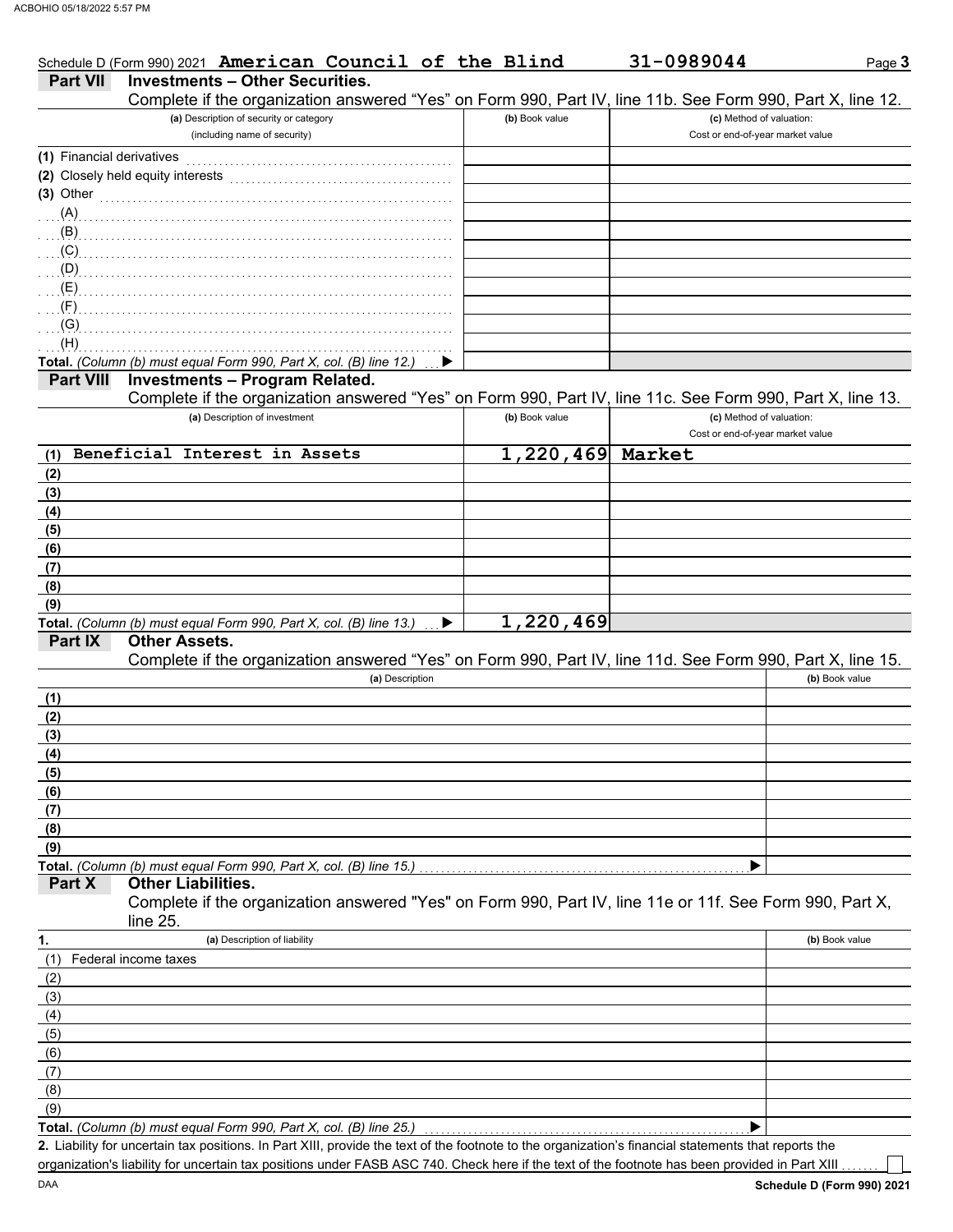|                           | Schedule D (Form 990) 2021 American Council of the Blind                                                                                             |                | 31-0989044                                                   | Page 3         |
|---------------------------|------------------------------------------------------------------------------------------------------------------------------------------------------|----------------|--------------------------------------------------------------|----------------|
| Part VII                  | <b>Investments - Other Securities.</b>                                                                                                               |                |                                                              |                |
|                           | Complete if the organization answered "Yes" on Form 990, Part IV, line 11b. See Form 990, Part X, line 12.                                           |                |                                                              |                |
|                           | (a) Description of security or category<br>(including name of security)                                                                              | (b) Book value | (c) Method of valuation:<br>Cost or end-of-year market value |                |
|                           |                                                                                                                                                      |                |                                                              |                |
| (1) Financial derivatives |                                                                                                                                                      |                |                                                              |                |
|                           | (2) Closely held equity interests                                                                                                                    |                |                                                              |                |
| $(3)$ Other               |                                                                                                                                                      |                |                                                              |                |
| $(A)$ .                   |                                                                                                                                                      |                |                                                              |                |
| (B)<br>(C)                |                                                                                                                                                      |                |                                                              |                |
| (D)                       |                                                                                                                                                      |                |                                                              |                |
| (E)                       |                                                                                                                                                      |                |                                                              |                |
| (F)                       |                                                                                                                                                      |                |                                                              |                |
| (G)                       |                                                                                                                                                      |                |                                                              |                |
| (H)                       |                                                                                                                                                      |                |                                                              |                |
|                           | Total. (Column (b) must equal Form 990, Part X, col. (B) line 12.)                                                                                   |                |                                                              |                |
| <b>Part VIII</b>          | <b>Investments - Program Related.</b>                                                                                                                |                |                                                              |                |
|                           | Complete if the organization answered "Yes" on Form 990, Part IV, line 11c. See Form 990, Part X, line 13.                                           |                |                                                              |                |
|                           | (a) Description of investment                                                                                                                        | (b) Book value | (c) Method of valuation:                                     |                |
|                           |                                                                                                                                                      |                | Cost or end-of-year market value                             |                |
| (1)                       | Beneficial Interest in Assets                                                                                                                        | 1,220,469      | Market                                                       |                |
| (2)                       |                                                                                                                                                      |                |                                                              |                |
| (3)                       |                                                                                                                                                      |                |                                                              |                |
| (4)                       |                                                                                                                                                      |                |                                                              |                |
| (5)                       |                                                                                                                                                      |                |                                                              |                |
| (6)                       |                                                                                                                                                      |                |                                                              |                |
| (7)                       |                                                                                                                                                      |                |                                                              |                |
| (8)                       |                                                                                                                                                      |                |                                                              |                |
| (9)                       |                                                                                                                                                      |                |                                                              |                |
|                           | Total. (Column (b) must equal Form 990, Part X, col. (B) line 13.)<br>▶                                                                              | 1,220,469      |                                                              |                |
| Part IX                   | <b>Other Assets.</b><br>Complete if the organization answered "Yes" on Form 990, Part IV, line 11d. See Form 990, Part X, line 15.                   |                |                                                              |                |
|                           | (a) Description                                                                                                                                      |                |                                                              | (b) Book value |
| (1)                       |                                                                                                                                                      |                |                                                              |                |
| (2)                       |                                                                                                                                                      |                |                                                              |                |
| (3)                       |                                                                                                                                                      |                |                                                              |                |
| (4)                       |                                                                                                                                                      |                |                                                              |                |
| (5)                       |                                                                                                                                                      |                |                                                              |                |
| (6)                       |                                                                                                                                                      |                |                                                              |                |
| (7)                       |                                                                                                                                                      |                |                                                              |                |
| (8)                       |                                                                                                                                                      |                |                                                              |                |
| (9)                       |                                                                                                                                                      |                |                                                              |                |
|                           | Total. (Column (b) must equal Form 990, Part X, col. (B) line 15.)                                                                                   |                |                                                              |                |
| Part X                    | <b>Other Liabilities.</b>                                                                                                                            |                |                                                              |                |
|                           | Complete if the organization answered "Yes" on Form 990, Part IV, line 11e or 11f. See Form 990, Part X,<br>line 25.                                 |                |                                                              |                |
| 1.                        | (a) Description of liability                                                                                                                         |                |                                                              | (b) Book value |
| (1)                       | Federal income taxes                                                                                                                                 |                |                                                              |                |
| (2)                       |                                                                                                                                                      |                |                                                              |                |
| (3)                       |                                                                                                                                                      |                |                                                              |                |
| (4)                       |                                                                                                                                                      |                |                                                              |                |
| (5)                       |                                                                                                                                                      |                |                                                              |                |
| (6)                       |                                                                                                                                                      |                |                                                              |                |
| (7)                       |                                                                                                                                                      |                |                                                              |                |
| (8)                       |                                                                                                                                                      |                |                                                              |                |
| (9)                       |                                                                                                                                                      |                |                                                              |                |
|                           | Total. (Column (b) must equal Form 990, Part X, col. (B) line 25.)                                                                                   |                |                                                              |                |
|                           | 2. Liability for uncertain tax positions. In Part XIII, provide the text of the footnote to the organization's financial statements that reports the |                |                                                              |                |

organization's liability for uncertain tax positions under FASB ASC 740. Check here if the text of the footnote has been provided in Part XIII . . . . . . .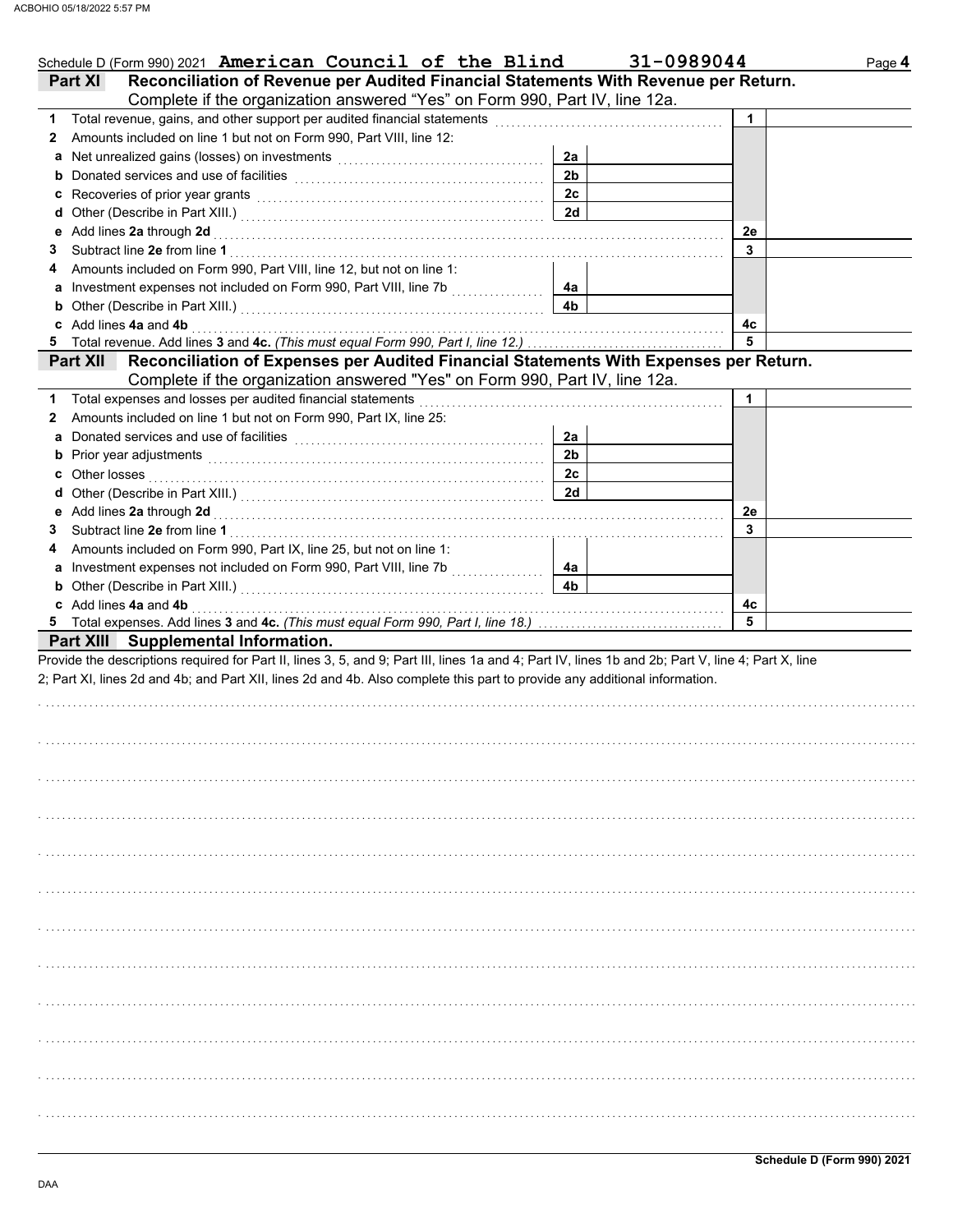| Schedule D (Form 990) 2021 American Council of the Blind                                                                                                                                                                            |                | 31-0989044 | Page 4 |
|-------------------------------------------------------------------------------------------------------------------------------------------------------------------------------------------------------------------------------------|----------------|------------|--------|
| Reconciliation of Revenue per Audited Financial Statements With Revenue per Return.<br><b>Part XI</b>                                                                                                                               |                |            |        |
| Complete if the organization answered "Yes" on Form 990, Part IV, line 12a.                                                                                                                                                         |                |            |        |
|                                                                                                                                                                                                                                     |                | 1          |        |
| Amounts included on line 1 but not on Form 990, Part VIII, line 12:<br>$\mathbf{2}$                                                                                                                                                 |                |            |        |
|                                                                                                                                                                                                                                     | 2a             |            |        |
|                                                                                                                                                                                                                                     | 2 <sub>b</sub> |            |        |
|                                                                                                                                                                                                                                     | 2c             |            |        |
|                                                                                                                                                                                                                                     | 2d             |            |        |
| e Add lines 2a through 2d [11] [12] [12] And The Add lines 2a through the Add lines 2a through 2d [11] [12] $\sim$                                                                                                                  |                | 2е         |        |
| 3                                                                                                                                                                                                                                   |                | 3          |        |
| Amounts included on Form 990, Part VIII, line 12, but not on line 1:<br>4                                                                                                                                                           |                |            |        |
| a Investment expenses not included on Form 990, Part VIII, line 7b [[[[[[[[[[[[[[[[[[[[[[[[[[[[[[[[[                                                                                                                                | 4а             |            |        |
| <b>b</b> Other (Describe in Part XIII.) <b>CONSIDENT DESCRIPTION DESCRIPTION DESCRIPTION DESCRIPTION DESCRIPTION DESCRIPTION DESCRIPTION DESCRIPTION DESCRIPTION DESCRIPTION DESCRIPTION DESCRIPTION DESCRI</b>                     | 4 <sub>b</sub> |            |        |
| c Add lines 4a and 4b                                                                                                                                                                                                               |                | 4с         |        |
|                                                                                                                                                                                                                                     |                | 5          |        |
| Part XII Reconciliation of Expenses per Audited Financial Statements With Expenses per Return.                                                                                                                                      |                |            |        |
| Complete if the organization answered "Yes" on Form 990, Part IV, line 12a.                                                                                                                                                         |                |            |        |
| Total expenses and losses per audited financial statements<br>1.                                                                                                                                                                    |                | 1          |        |
| Amounts included on line 1 but not on Form 990, Part IX, line 25:<br>$\mathbf{2}$                                                                                                                                                   |                |            |        |
|                                                                                                                                                                                                                                     | 2a             |            |        |
|                                                                                                                                                                                                                                     | 2 <sub>b</sub> |            |        |
| c Other losses <b>contracts</b> and the contract of the contract of the contract of the contract of the contract of the contract of the contract of the contract of the contract of the contract of the contract of the contract of | 2c             |            |        |
|                                                                                                                                                                                                                                     | 2d             |            |        |
|                                                                                                                                                                                                                                     |                | 2e         |        |
| 3                                                                                                                                                                                                                                   |                | 3          |        |
| Amounts included on Form 990, Part IX, line 25, but not on line 1:<br>4                                                                                                                                                             |                |            |        |
|                                                                                                                                                                                                                                     | 4а             |            |        |
| <b>b</b> Other (Describe in Part XIII.) <b>CONSIDENT DESCRIPTION DESCRIPTION DESCRIPTION DESCRIPTION DESCRIPTION DESCRIPTION DESCRIPTION DESCRIPTION DESCRIPTION DESCRIPTION DESCRIPTION DESCRIPTION DESCRI</b>                     | 4b             |            |        |
| c Add lines 4a and 4b                                                                                                                                                                                                               |                | 4с         |        |
|                                                                                                                                                                                                                                     |                | 5          |        |
| Part XIII Supplemental Information.                                                                                                                                                                                                 |                |            |        |
| Provide the descriptions required for Part II, lines 3, 5, and 9; Part III, lines 1a and 4; Part IV, lines 1b and 2b; Part V, line 4; Part X, line                                                                                  |                |            |        |
| 2; Part XI, lines 2d and 4b; and Part XII, lines 2d and 4b. Also complete this part to provide any additional information.                                                                                                          |                |            |        |
|                                                                                                                                                                                                                                     |                |            |        |
|                                                                                                                                                                                                                                     |                |            |        |
|                                                                                                                                                                                                                                     |                |            |        |
|                                                                                                                                                                                                                                     |                |            |        |
|                                                                                                                                                                                                                                     |                |            |        |
|                                                                                                                                                                                                                                     |                |            |        |
|                                                                                                                                                                                                                                     |                |            |        |
|                                                                                                                                                                                                                                     |                |            |        |
|                                                                                                                                                                                                                                     |                |            |        |
|                                                                                                                                                                                                                                     |                |            |        |
|                                                                                                                                                                                                                                     |                |            |        |
|                                                                                                                                                                                                                                     |                |            |        |
|                                                                                                                                                                                                                                     |                |            |        |
|                                                                                                                                                                                                                                     |                |            |        |
|                                                                                                                                                                                                                                     |                |            |        |
|                                                                                                                                                                                                                                     |                |            |        |
|                                                                                                                                                                                                                                     |                |            |        |
|                                                                                                                                                                                                                                     |                |            |        |
|                                                                                                                                                                                                                                     |                |            |        |
|                                                                                                                                                                                                                                     |                |            |        |
|                                                                                                                                                                                                                                     |                |            |        |
|                                                                                                                                                                                                                                     |                |            |        |
|                                                                                                                                                                                                                                     |                |            |        |
|                                                                                                                                                                                                                                     |                |            |        |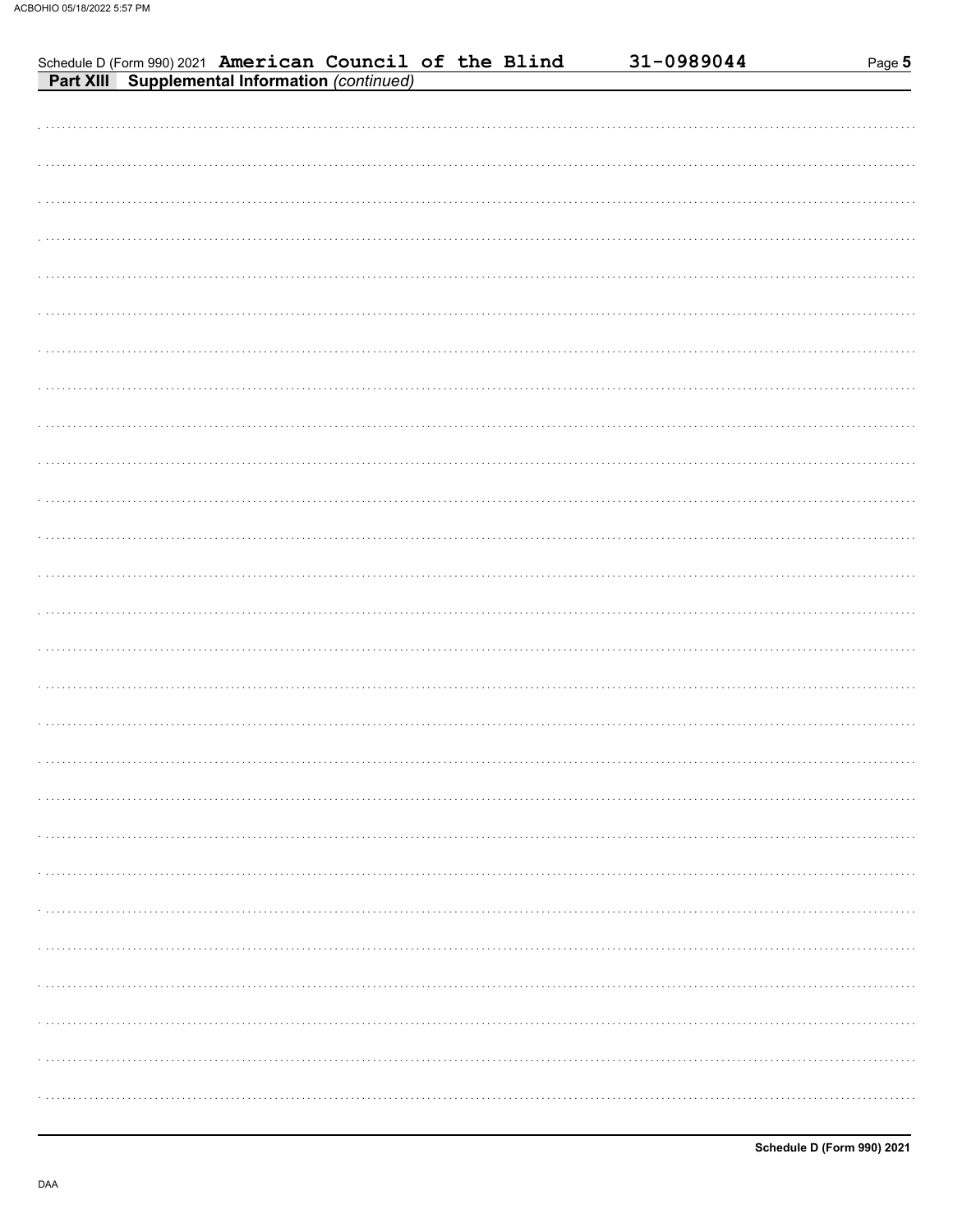| Schedule D (Form 990) 2021 American Council of the Blind<br>Part XIII Supplemental Information (continued) | 31-0989044<br>Page 5 |
|------------------------------------------------------------------------------------------------------------|----------------------|
|                                                                                                            |                      |
|                                                                                                            |                      |
|                                                                                                            |                      |
|                                                                                                            |                      |
|                                                                                                            |                      |
|                                                                                                            |                      |
|                                                                                                            |                      |
|                                                                                                            |                      |
|                                                                                                            |                      |
|                                                                                                            |                      |
|                                                                                                            |                      |
|                                                                                                            |                      |
|                                                                                                            |                      |
|                                                                                                            |                      |
|                                                                                                            |                      |
|                                                                                                            |                      |
|                                                                                                            |                      |
|                                                                                                            |                      |
|                                                                                                            |                      |
|                                                                                                            |                      |
|                                                                                                            |                      |
|                                                                                                            |                      |
|                                                                                                            |                      |
|                                                                                                            |                      |
|                                                                                                            |                      |
|                                                                                                            |                      |
|                                                                                                            |                      |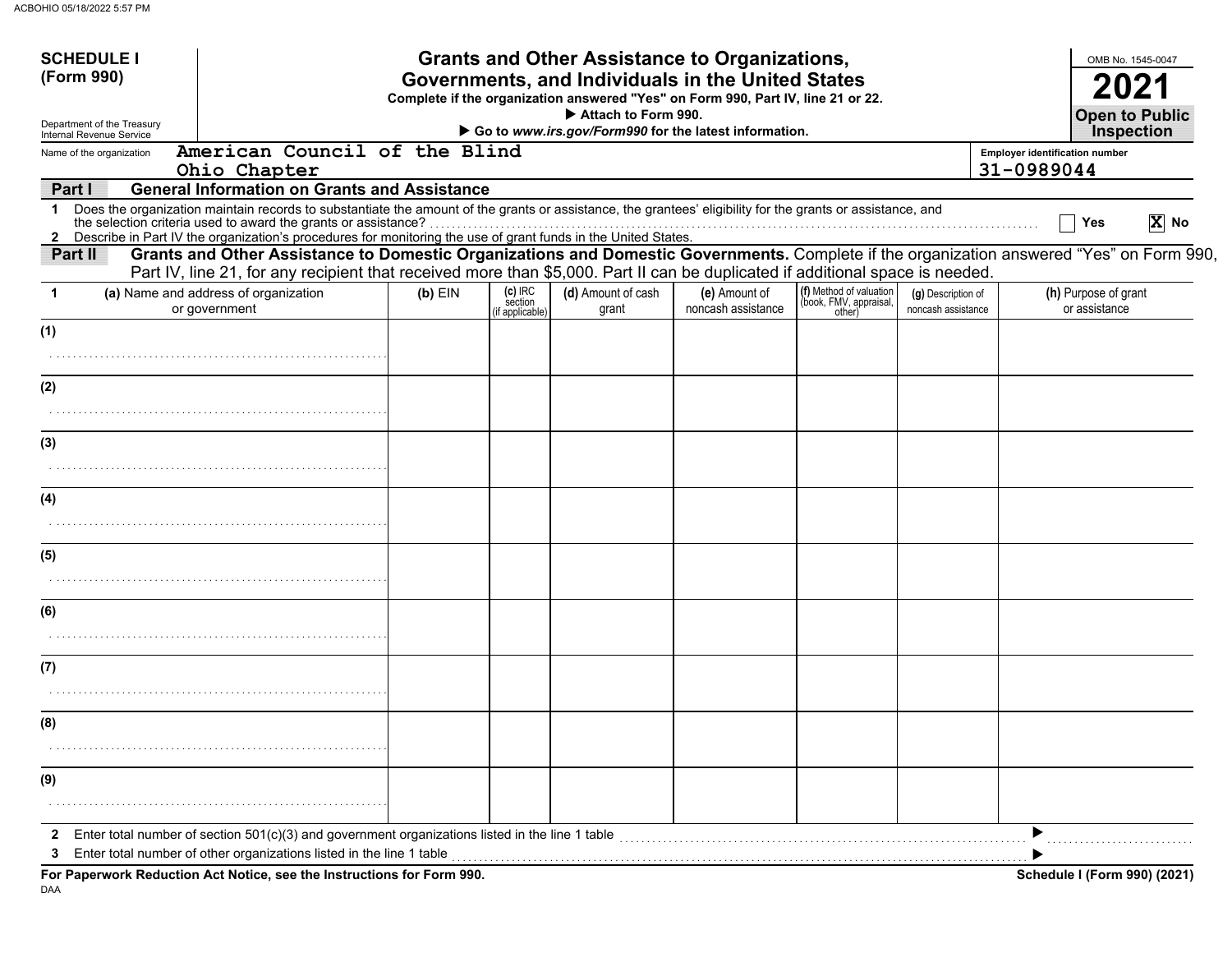| <b>SCHEDULE I</b>                                      |                                                                                                                                                                                                                                                                                 |                                                                              |                                       | <b>Grants and Other Assistance to Organizations,</b> |                                     |                                                             |                                          |                                                     | OMB No. 1545-0047                          |          |
|--------------------------------------------------------|---------------------------------------------------------------------------------------------------------------------------------------------------------------------------------------------------------------------------------------------------------------------------------|------------------------------------------------------------------------------|---------------------------------------|------------------------------------------------------|-------------------------------------|-------------------------------------------------------------|------------------------------------------|-----------------------------------------------------|--------------------------------------------|----------|
| (Form 990)                                             | Governments, and Individuals in the United States<br>Complete if the organization answered "Yes" on Form 990, Part IV, line 21 or 22.                                                                                                                                           |                                                                              |                                       |                                                      |                                     |                                                             |                                          |                                                     |                                            |          |
| Department of the Treasury<br>Internal Revenue Service |                                                                                                                                                                                                                                                                                 | Attach to Form 990.<br>Go to www.irs.gov/Form990 for the latest information. |                                       |                                                      |                                     |                                                             |                                          |                                                     | <b>Open to Public</b><br><b>Inspection</b> |          |
| Name of the organization                               | American Council of the Blind<br>Ohio Chapter                                                                                                                                                                                                                                   |                                                                              |                                       |                                                      |                                     |                                                             |                                          | <b>Employer identification number</b><br>31-0989044 |                                            |          |
| Part I                                                 | <b>General Information on Grants and Assistance</b>                                                                                                                                                                                                                             |                                                                              |                                       |                                                      |                                     |                                                             |                                          |                                                     |                                            |          |
|                                                        | 1 Does the organization maintain records to substantiate the amount of the grants or assistance, the grantees' eligibility for the grants or assistance, and<br>2 Describe in Part IV the organization's procedures for monitoring the use of grant funds in the United States. |                                                                              |                                       |                                                      |                                     |                                                             |                                          |                                                     | Yes                                        | $ X $ No |
| Part II                                                | Grants and Other Assistance to Domestic Organizations and Domestic Governments. Complete if the organization answered "Yes" on Form 990,<br>Part IV, line 21, for any recipient that received more than \$5,000. Part II can be duplicated if additional space is needed.       |                                                                              |                                       |                                                      |                                     |                                                             |                                          |                                                     |                                            |          |
| 1                                                      | (a) Name and address of organization<br>or government                                                                                                                                                                                                                           | $(b)$ EIN                                                                    | (c) IRC<br>section<br>(if applicable) | (d) Amount of cash<br>grant                          | (e) Amount of<br>noncash assistance | (f) Method of valuation<br>(book, FMV, appraisal,<br>other) | (g) Description of<br>noncash assistance |                                                     | (h) Purpose of grant<br>or assistance      |          |
| (1)                                                    |                                                                                                                                                                                                                                                                                 |                                                                              |                                       |                                                      |                                     |                                                             |                                          |                                                     |                                            |          |
|                                                        |                                                                                                                                                                                                                                                                                 |                                                                              |                                       |                                                      |                                     |                                                             |                                          |                                                     |                                            |          |
| (2)                                                    |                                                                                                                                                                                                                                                                                 |                                                                              |                                       |                                                      |                                     |                                                             |                                          |                                                     |                                            |          |
|                                                        |                                                                                                                                                                                                                                                                                 |                                                                              |                                       |                                                      |                                     |                                                             |                                          |                                                     |                                            |          |
| (3)                                                    |                                                                                                                                                                                                                                                                                 |                                                                              |                                       |                                                      |                                     |                                                             |                                          |                                                     |                                            |          |
|                                                        |                                                                                                                                                                                                                                                                                 |                                                                              |                                       |                                                      |                                     |                                                             |                                          |                                                     |                                            |          |
| (4)                                                    |                                                                                                                                                                                                                                                                                 |                                                                              |                                       |                                                      |                                     |                                                             |                                          |                                                     |                                            |          |
|                                                        |                                                                                                                                                                                                                                                                                 |                                                                              |                                       |                                                      |                                     |                                                             |                                          |                                                     |                                            |          |
| (5)                                                    |                                                                                                                                                                                                                                                                                 |                                                                              |                                       |                                                      |                                     |                                                             |                                          |                                                     |                                            |          |
|                                                        |                                                                                                                                                                                                                                                                                 |                                                                              |                                       |                                                      |                                     |                                                             |                                          |                                                     |                                            |          |
| (6)                                                    |                                                                                                                                                                                                                                                                                 |                                                                              |                                       |                                                      |                                     |                                                             |                                          |                                                     |                                            |          |
|                                                        |                                                                                                                                                                                                                                                                                 |                                                                              |                                       |                                                      |                                     |                                                             |                                          |                                                     |                                            |          |
| (7)                                                    |                                                                                                                                                                                                                                                                                 |                                                                              |                                       |                                                      |                                     |                                                             |                                          |                                                     |                                            |          |
|                                                        |                                                                                                                                                                                                                                                                                 |                                                                              |                                       |                                                      |                                     |                                                             |                                          |                                                     |                                            |          |
| (8)                                                    |                                                                                                                                                                                                                                                                                 |                                                                              |                                       |                                                      |                                     |                                                             |                                          |                                                     |                                            |          |
|                                                        |                                                                                                                                                                                                                                                                                 |                                                                              |                                       |                                                      |                                     |                                                             |                                          |                                                     |                                            |          |
| (9)                                                    |                                                                                                                                                                                                                                                                                 |                                                                              |                                       |                                                      |                                     |                                                             |                                          |                                                     |                                            |          |
|                                                        |                                                                                                                                                                                                                                                                                 |                                                                              |                                       |                                                      |                                     |                                                             |                                          |                                                     |                                            |          |
| 2                                                      | Enter total number of section 501(c)(3) and government organizations listed in the line 1 table                                                                                                                                                                                 |                                                                              |                                       |                                                      |                                     |                                                             |                                          |                                                     |                                            |          |
| 3                                                      | Enter total number of other organizations listed in the line 1 table                                                                                                                                                                                                            |                                                                              |                                       |                                                      |                                     |                                                             |                                          |                                                     |                                            |          |
|                                                        | For Paperwork Reduction Act Notice, see the Instructions for Form 990.                                                                                                                                                                                                          |                                                                              |                                       |                                                      |                                     |                                                             |                                          |                                                     | Schedule I (Form 990) (2021)               |          |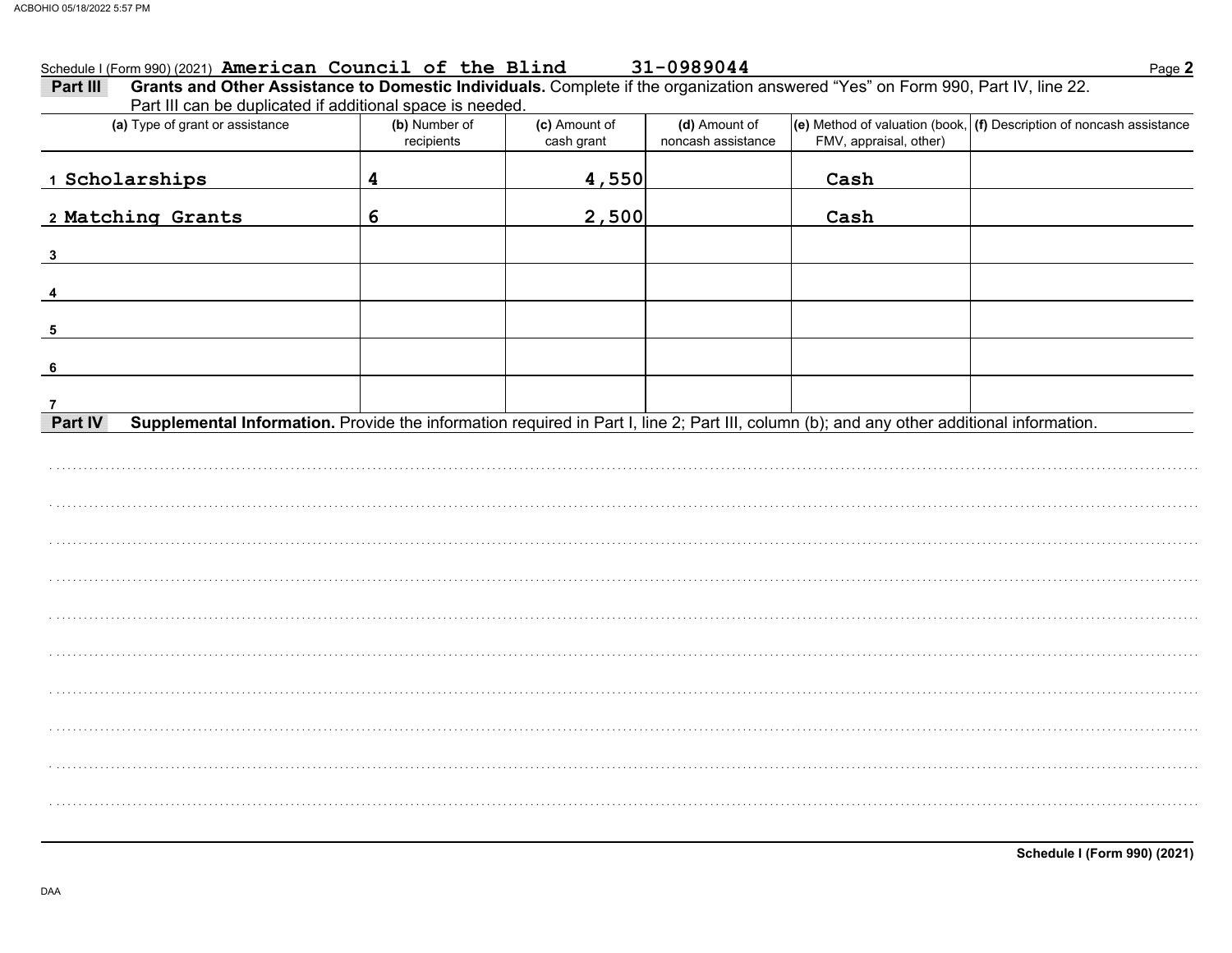#### Schedule I (Form 990) (2021) American Council of the Blind 31-0989044

| Grants and Other Assistance to Domestic Individuals. Complete if the organization answered "Yes" on Form 990, Part IV, line 22.<br>Part III<br>Part III can be duplicated if additional space is needed. |                             |                             |                                     |                        |                                                                                      |  |
|----------------------------------------------------------------------------------------------------------------------------------------------------------------------------------------------------------|-----------------------------|-----------------------------|-------------------------------------|------------------------|--------------------------------------------------------------------------------------|--|
| (a) Type of grant or assistance                                                                                                                                                                          | (b) Number of<br>recipients | (c) Amount of<br>cash grant | (d) Amount of<br>noncash assistance | FMV, appraisal, other) | $\vert$ (e) Method of valuation (book, $\vert$ (f) Description of noncash assistance |  |
| 1 Scholarships                                                                                                                                                                                           | 4                           | 4,550                       |                                     | Cash                   |                                                                                      |  |
| 2 Matching Grants                                                                                                                                                                                        | 6                           | 2,500                       |                                     | Cash                   |                                                                                      |  |
| $\mathbf{3}$                                                                                                                                                                                             |                             |                             |                                     |                        |                                                                                      |  |
| $\overline{4}$                                                                                                                                                                                           |                             |                             |                                     |                        |                                                                                      |  |
| 5                                                                                                                                                                                                        |                             |                             |                                     |                        |                                                                                      |  |
| 6                                                                                                                                                                                                        |                             |                             |                                     |                        |                                                                                      |  |
| 7                                                                                                                                                                                                        |                             |                             |                                     |                        |                                                                                      |  |
| Supplemental Information. Provide the information required in Part I, line 2; Part III, column (b); and any other additional information.<br>Part IV                                                     |                             |                             |                                     |                        |                                                                                      |  |
|                                                                                                                                                                                                          |                             |                             |                                     |                        |                                                                                      |  |
|                                                                                                                                                                                                          |                             |                             |                                     |                        |                                                                                      |  |
|                                                                                                                                                                                                          |                             |                             |                                     |                        |                                                                                      |  |
|                                                                                                                                                                                                          |                             |                             |                                     |                        |                                                                                      |  |
|                                                                                                                                                                                                          |                             |                             |                                     |                        |                                                                                      |  |
|                                                                                                                                                                                                          |                             |                             |                                     |                        |                                                                                      |  |
|                                                                                                                                                                                                          |                             |                             |                                     |                        |                                                                                      |  |
|                                                                                                                                                                                                          |                             |                             |                                     |                        |                                                                                      |  |
|                                                                                                                                                                                                          |                             |                             |                                     |                        |                                                                                      |  |
|                                                                                                                                                                                                          |                             |                             |                                     |                        |                                                                                      |  |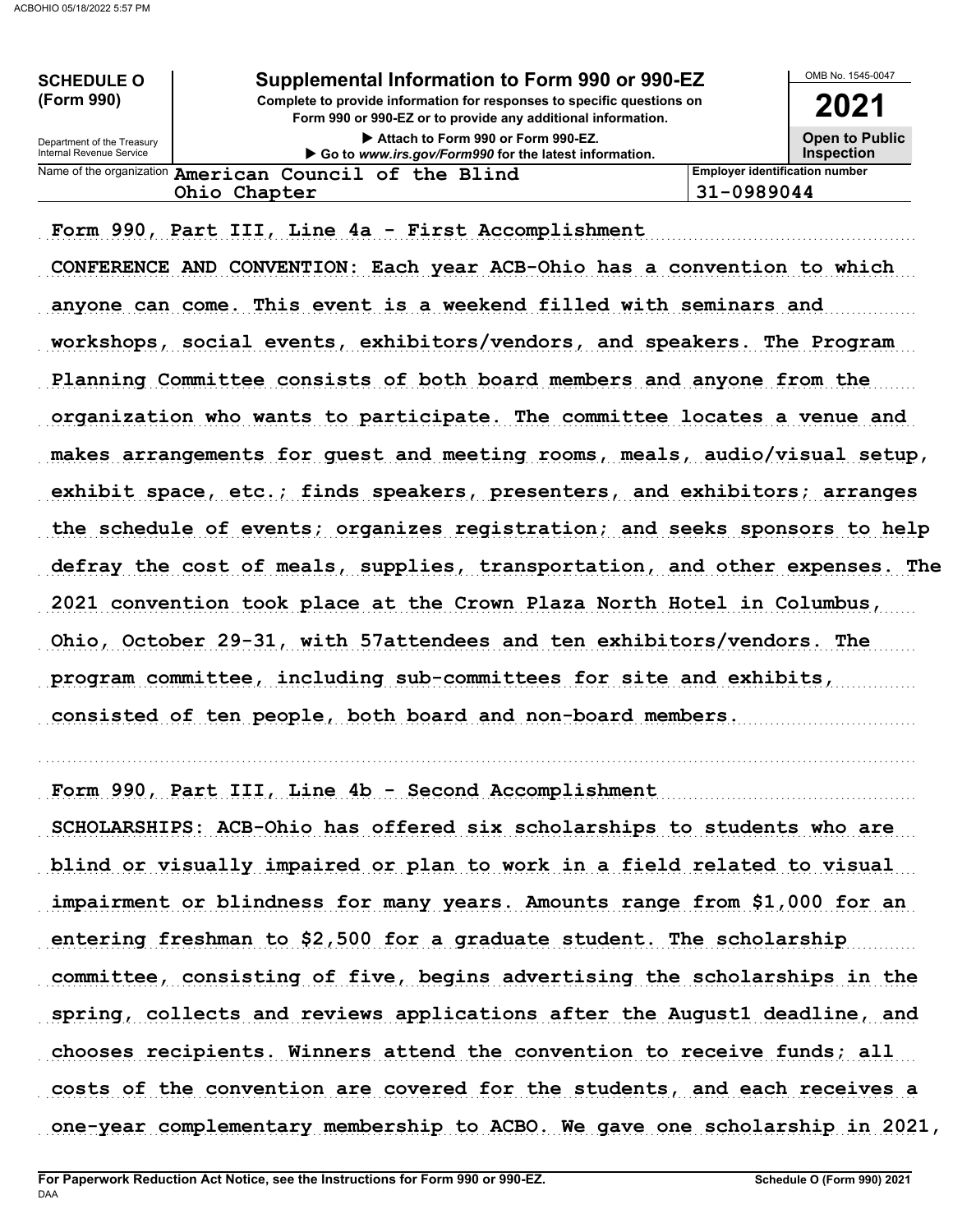| <b>SCHEDULE O</b>                                      | Supplemental Information to Form 990 or 990-EZ                                                                                         |                                            | OMB No. 1545-0047 |
|--------------------------------------------------------|----------------------------------------------------------------------------------------------------------------------------------------|--------------------------------------------|-------------------|
| (Form 990)                                             | Complete to provide information for responses to specific questions on<br>Form 990 or 990-EZ or to provide any additional information. | 2021                                       |                   |
| Department of the Treasury<br>Internal Revenue Service | Attach to Form 990 or Form 990-EZ.<br>Go to www.irs.gov/Form990 for the latest information.                                            | <b>Open to Public</b><br><b>Inspection</b> |                   |
|                                                        | Name of the organization American Council of the Blind                                                                                 | <b>Employer identification number</b>      |                   |
|                                                        | Ohio Chapter                                                                                                                           | 31-0989044                                 |                   |
|                                                        |                                                                                                                                        |                                            |                   |

Form 990, Part III, Line 4a - First Accomplishment

CONFERENCE AND CONVENTION: Each year ACB-Ohio has a convention to which anyone can come. This event is a weekend filled with seminars and workshops, social events, exhibitors/vendors, and speakers. The Program Planning Committee consists of both board members and anyone from the organization who wants to participate. The committee locates a venue and makes arrangements for guest and meeting rooms, meals, audio/visual setup, exhibit space, etc.; finds speakers, presenters, and exhibitors; arranges the schedule of events; organizes registration; and seeks sponsors to help defray the cost of meals, supplies, transportation, and other expenses. The 2021 convention took place at the Crown Plaza North Hotel in Columbus, Ohio, October 29-31, with 57attendees and ten exhibitors/vendors. The program committee, including sub-committees for site and exhibits, consisted of ten people, both board and non-board members.

Form 990, Part III, Line 4b - Second Accomplishment

SCHOLARSHIPS: ACB-Ohio has offered six scholarships to students who are blind or visually impaired or plan to work in a field related to visual impairment or blindness for many years. Amounts range from \$1,000 for an entering freshman to \$2,500 for a graduate student. The scholarship committee, consisting of five, begins advertising the scholarships in the spring, collects and reviews applications after the August1 deadline, and chooses recipients. Winners attend the convention to receive funds; all costs of the convention are covered for the students, and each receives a one-year complementary membership to ACBO. We gave one scholarship in 2021,

. . . . . . . . . . . . . . . . . . . . . . . . . . . . . . . . . . . . . . . . . . . . . . . . . . . . . . . . . . . . . . . . . . . . . . . . . . . . . . . . . . . . . . . . . . . . . . . . . . . . . . . . . . . . . . . . . . . . . . . . . . . . . . . . . . . . . . . . . . . . . . . . . . . . . . . . . . . . . . . . .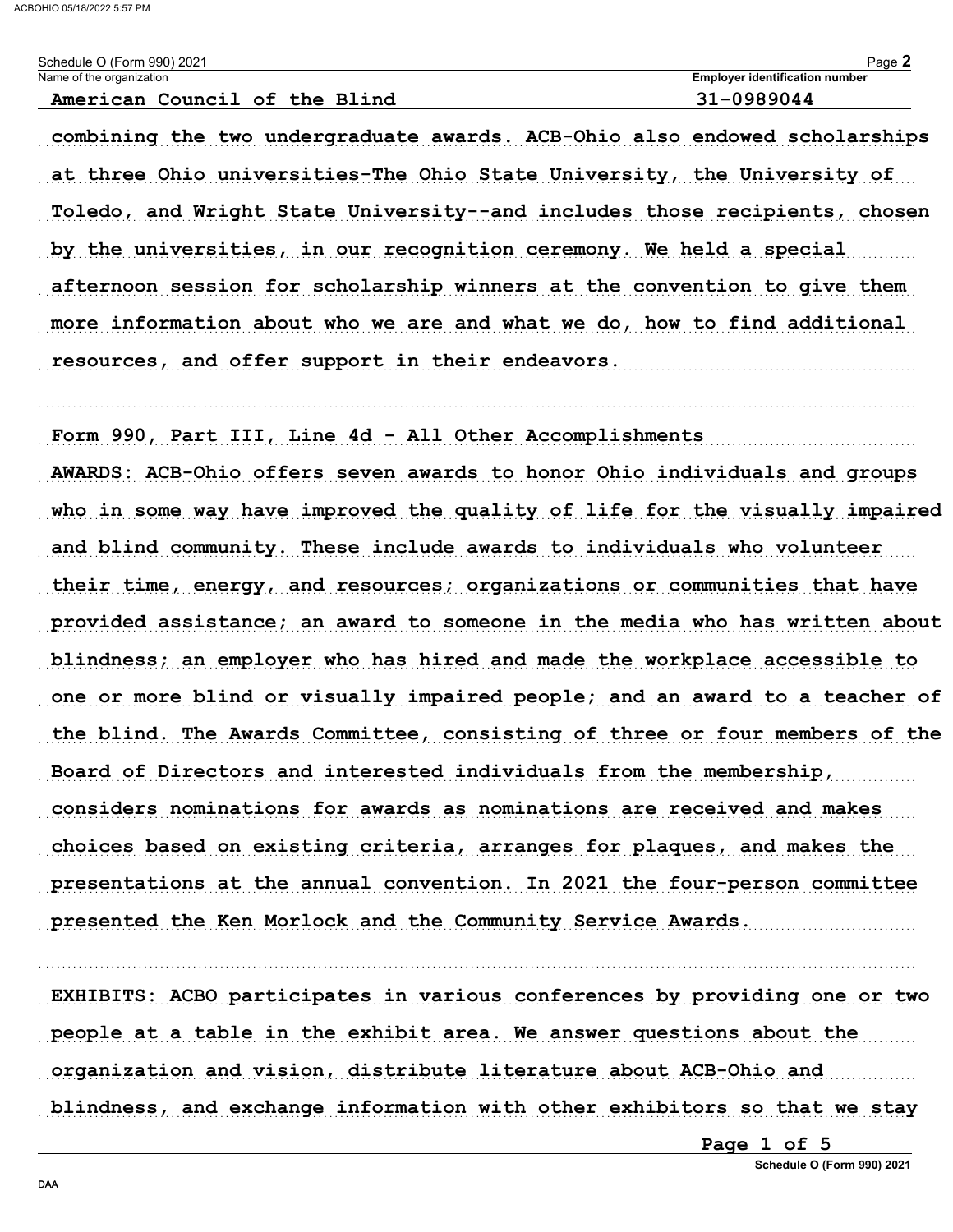| Schedule O (Form 990) 2021       | Page.                                 |
|----------------------------------|---------------------------------------|
| Name of the organization         | <b>Employer identification number</b> |
| American Council of the<br>Blind | 31-0989044                            |

combining the two undergraduate awards. ACB-Ohio also endowed scholarships at three Ohio universities-The Ohio State University, the University of Toledo, and Wright State University--and includes those recipients, chosen by the universities, in our recognition ceremony. We held a special afternoon session for scholarship winners at the convention to give them more information about who we are and what we do, how to find additional resources, and offer support in their endeavors.

Form 990, Part III, Line 4d - All Other Accomplishments AWARDS: ACB-Ohio offers seven awards to honor Ohio individuals and groups who in some way have improved the quality of life for the visually impaired and blind community. These include awards to individuals who volunteer their time, energy, and resources; organizations or communities that have provided assistance; an award to someone in the media who has written about blindness; an employer who has hired and made the workplace accessible to one or more blind or visually impaired people; and an award to a teacher of the blind. The Awards Committee, consisting of three or four members of the Board of Directors and interested individuals from the membership, considers nominations for awards as nominations are received and makes choices based on existing criteria, arranges for plaques, and makes the presentations at the annual convention. In 2021 the four-person committee presented the Ken Morlock and the Community Service Awards.

EXHIBITS: ACBO participates in various conferences by providing one or two people at a table in the exhibit area. We answer questions about the organization and vision, distribute literature about ACB-Ohio and blindness, and exchange information with other exhibitors so that we stay

Page 1 of 5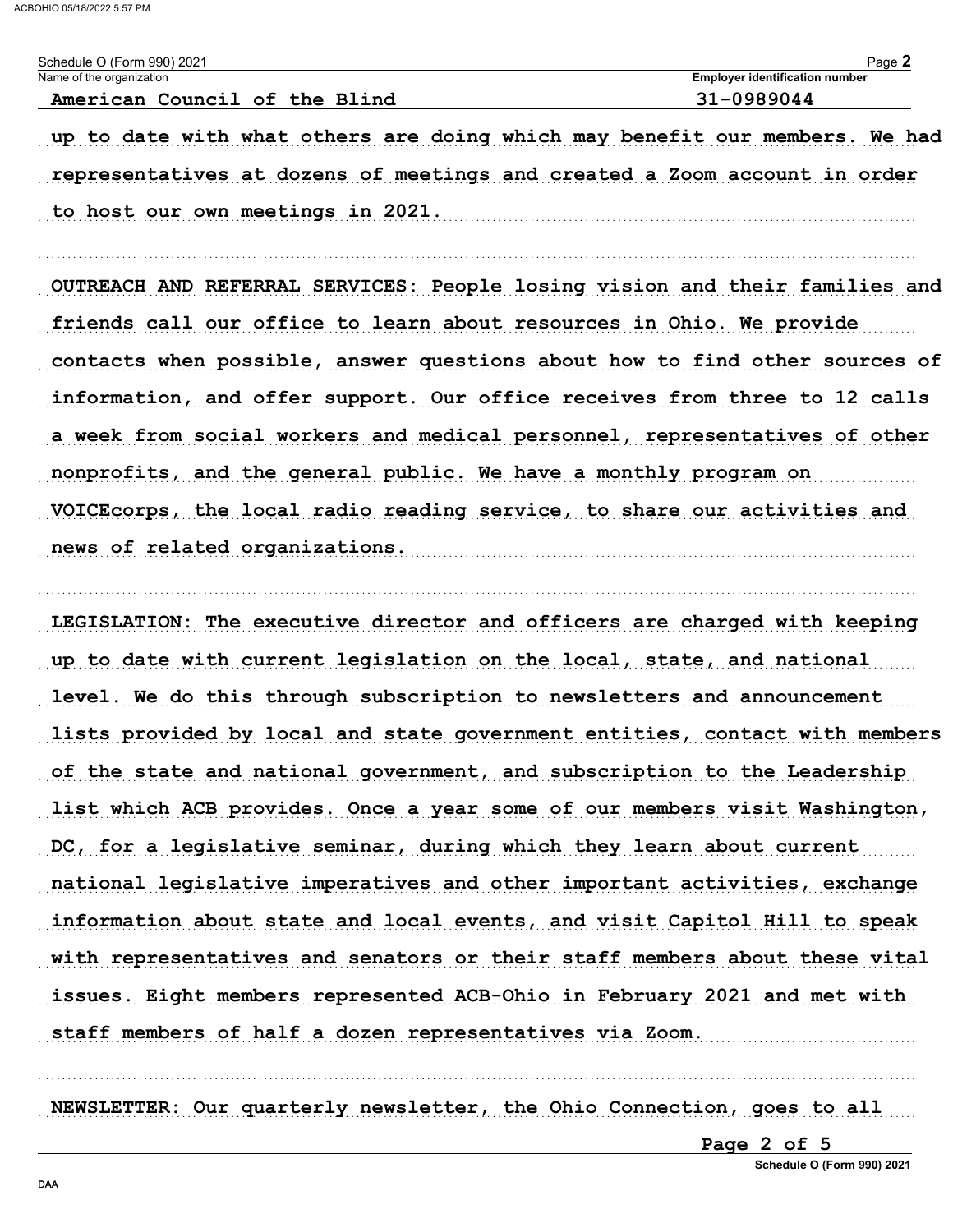| Schedule O (Form 990) 2021    | ⊃ാറല<br>-due -                        |
|-------------------------------|---------------------------------------|
| Name of the organization      | <b>Employer identification number</b> |
| American Council of the Blind | $31 - 0989044$                        |

up to date with what others are doing which may benefit our members. We had representatives at dozens of meetings and created a Zoom account in order to host our own meetings in 2021.

OUTREACH AND REFERRAL SERVICES: People losing vision and their families and friends call our office to learn about resources in Ohio. We provide contacts when possible, answer questions about how to find other sources of information, and offer support. Our office receives from three to 12 calls a week from social workers and medical personnel, representatives of other nonprofits, and the general public. We have a monthly program on VOICE corps, the local radio reading service, to share our activities and news of related organizations.

LEGISLATION: The executive director and officers are charged with keeping up to date with current legislation on the local, state, and national level. We do this through subscription to newsletters and announcement lists provided by local and state government entities, contact with members of the state and national government, and subscription to the Leadership list which ACB provides. Once a year some of our members visit Washington, DC, for a legislative seminar, during which they learn about current national legislative imperatives and other important activities, exchange information about state and local events, and visit Capitol Hill to speak with representatives and senators or their staff members about these vital issues. Eight members represented ACB-Ohio in February 2021 and met with staff members of half a dozen representatives via Zoom.

NEWSLETTER: Our quarterly newsletter, the Ohio Connection, goes to all

Page 2 of 5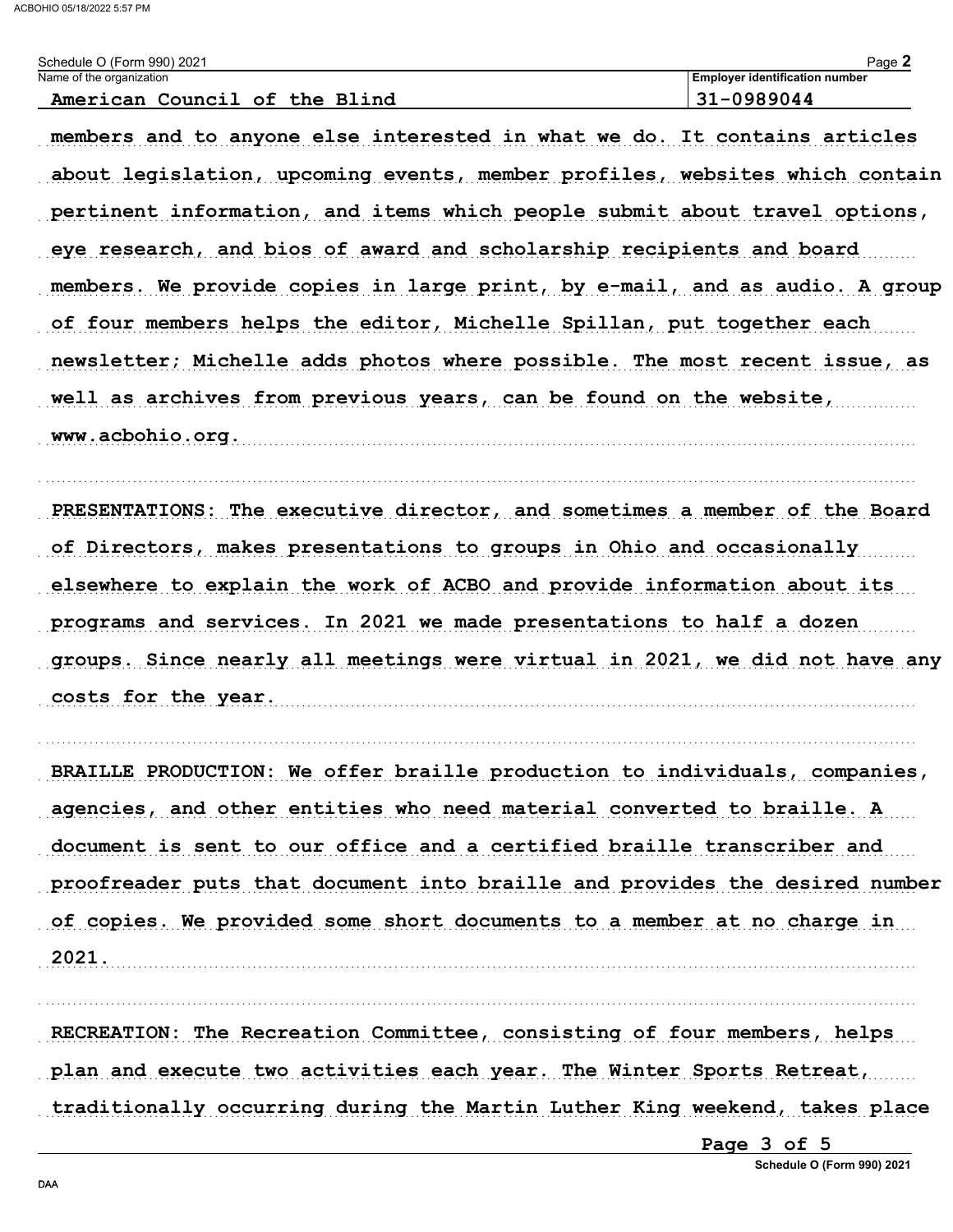| Schedule O (Form 990) 2021                                                  | Page 2                                |
|-----------------------------------------------------------------------------|---------------------------------------|
| Name of the organization                                                    | <b>Employer identification number</b> |
| American Council of the Blind                                               | $31 - 0989044$                        |
| members and to anyone else interested in what we do. It contains articles   |                                       |
| about legislation, upcoming events, member profiles, websites which contain |                                       |
| pertinent information, and items which people submit about travel options,  |                                       |
| eye research, and bios of award and scholarship recipients and board        |                                       |
| members. We provide copies in large print, by e-mail, and as audio. A group |                                       |
| of four members helps the editor, Michelle Spillan, put together each       |                                       |
| newsletter; Michelle adds photos where possible. The most recent issue, as  |                                       |
| well as archives from previous years, can be found on the website,          |                                       |
| $w w$ achobio org                                                           |                                       |

PRESENTATIONS: The executive director, and sometimes a member of the Board of Directors, makes presentations to groups in Ohio and occasionally elsewhere to explain the work of ACBO and provide information about its programs and services. In 2021 we made presentations to half a dozen groups. Since nearly all meetings were virtual in 2021, we did not have any costs for the year.

BRAILLE PRODUCTION: We offer braille production to individuals, companies, agencies, and other entities who need material converted to braille. A document is sent to our office and a certified braille transcriber and proofreader puts that document into braille and provides the desired number of copies. We provided some short documents to a member at no charge in 2021.

RECREATION: The Recreation Committee, consisting of four members, helps plan and execute two activities each year. The Winter Sports Retreat, traditionally occurring during the Martin Luther King weekend, takes place

Page 3 of 5

Schedule O (Form 990) 2021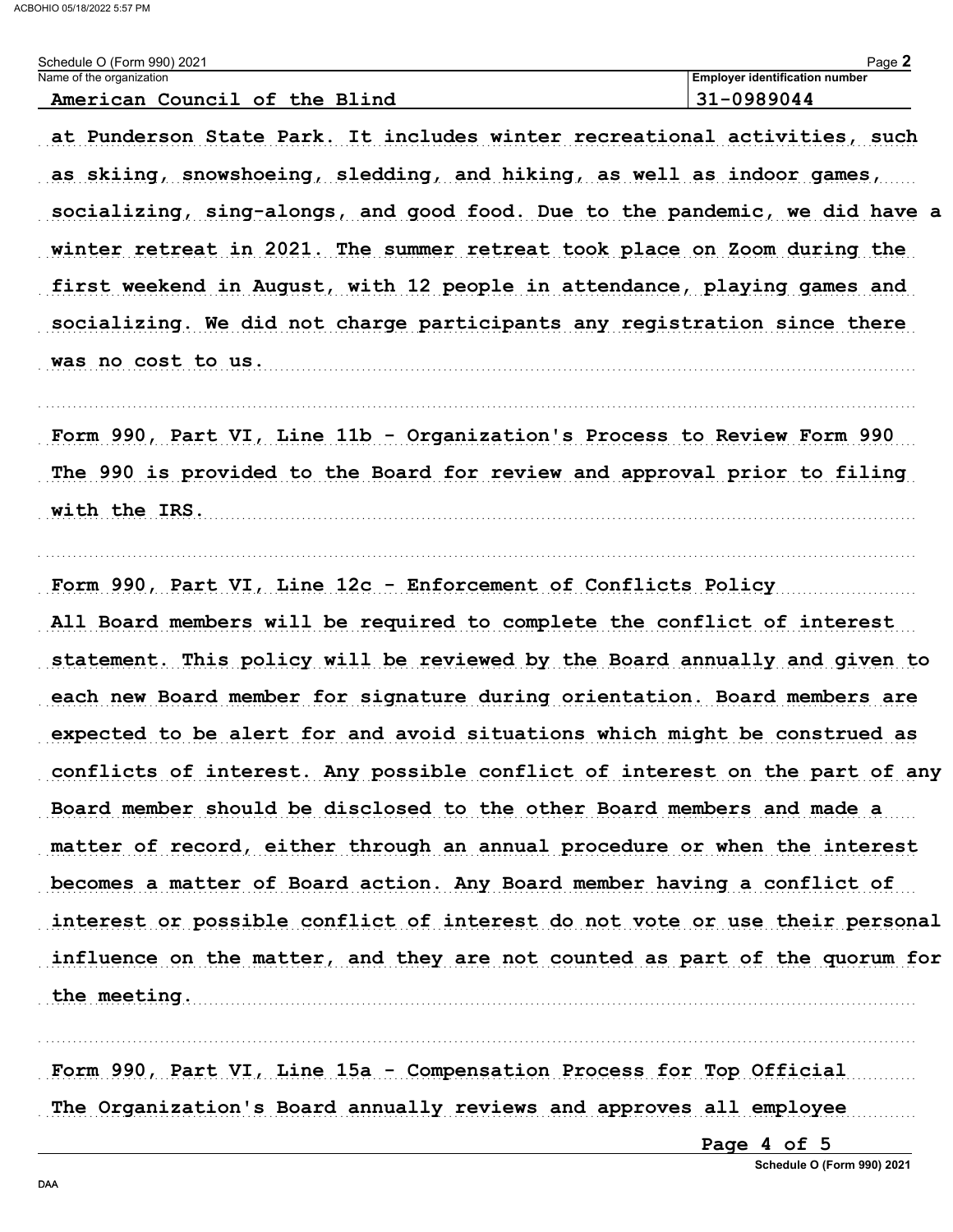| Schedule O (Form 990) 2021                                                                                                                                                                                                                                                                                     | Page 2                                |  |  |  |  |  |                                                                                                                                                      |  |  |  |  |  |
|----------------------------------------------------------------------------------------------------------------------------------------------------------------------------------------------------------------------------------------------------------------------------------------------------------------|---------------------------------------|--|--|--|--|--|------------------------------------------------------------------------------------------------------------------------------------------------------|--|--|--|--|--|
| Name of the organization                                                                                                                                                                                                                                                                                       | <b>Employer identification number</b> |  |  |  |  |  |                                                                                                                                                      |  |  |  |  |  |
| American Council of the Blind                                                                                                                                                                                                                                                                                  | 31-0989044                            |  |  |  |  |  |                                                                                                                                                      |  |  |  |  |  |
| at Punderson State Park. It includes winter recreational activities, such<br>as skiing, snowshoeing, sledding, and hiking, as well as indoor games,<br>socializing, sing-alongs, and good food. Due to the pandemic, we did have a<br>winter retreat in 2021. The summer retreat took place on Zoom during the |                                       |  |  |  |  |  |                                                                                                                                                      |  |  |  |  |  |
|                                                                                                                                                                                                                                                                                                                |                                       |  |  |  |  |  | first weekend in August, with 12 people in attendance, playing games and<br>socializing. We did not charge participants any registration since there |  |  |  |  |  |
|                                                                                                                                                                                                                                                                                                                |                                       |  |  |  |  |  |                                                                                                                                                      |  |  |  |  |  |
|                                                                                                                                                                                                                                                                                                                |                                       |  |  |  |  |  | Form 990, Part VI, Line 11b - Organization's Process to Review Form 990                                                                              |  |  |  |  |  |
| The 990 is provided to the Board for review and approval prior to filing                                                                                                                                                                                                                                       |                                       |  |  |  |  |  |                                                                                                                                                      |  |  |  |  |  |
| with the IRS.                                                                                                                                                                                                                                                                                                  |                                       |  |  |  |  |  |                                                                                                                                                      |  |  |  |  |  |
| Form 990, Part VI, Line 12c - Enforcement of Conflicts Policy                                                                                                                                                                                                                                                  |                                       |  |  |  |  |  |                                                                                                                                                      |  |  |  |  |  |
| All Board members will be required to complete the conflict of interest                                                                                                                                                                                                                                        |                                       |  |  |  |  |  |                                                                                                                                                      |  |  |  |  |  |
| statement. This policy will be reviewed by the Board annually and given to                                                                                                                                                                                                                                     |                                       |  |  |  |  |  |                                                                                                                                                      |  |  |  |  |  |
| each new Board member for signature during orientation. Board members are                                                                                                                                                                                                                                      |                                       |  |  |  |  |  |                                                                                                                                                      |  |  |  |  |  |
| expected to be alert for and avoid situations which might be construed as                                                                                                                                                                                                                                      |                                       |  |  |  |  |  |                                                                                                                                                      |  |  |  |  |  |
| conflicts of interest. Any possible conflict of interest on the part of any                                                                                                                                                                                                                                    |                                       |  |  |  |  |  |                                                                                                                                                      |  |  |  |  |  |
| Board member should be disclosed to the other Board members and made a                                                                                                                                                                                                                                         |                                       |  |  |  |  |  |                                                                                                                                                      |  |  |  |  |  |
| matter of record, either through an annual procedure or when the interest                                                                                                                                                                                                                                      |                                       |  |  |  |  |  |                                                                                                                                                      |  |  |  |  |  |
| becomes a matter of Board action. Any Board member having a conflict of                                                                                                                                                                                                                                        |                                       |  |  |  |  |  |                                                                                                                                                      |  |  |  |  |  |
| interest or possible conflict of interest do not vote or use their personal                                                                                                                                                                                                                                    |                                       |  |  |  |  |  |                                                                                                                                                      |  |  |  |  |  |
| influence on the matter, and they are not counted as part of the quorum for                                                                                                                                                                                                                                    |                                       |  |  |  |  |  |                                                                                                                                                      |  |  |  |  |  |
| the meeting.                                                                                                                                                                                                                                                                                                   |                                       |  |  |  |  |  |                                                                                                                                                      |  |  |  |  |  |

Form 990, Part VI, Line 15a - Compensation Process for Top Official The Organization's Board annually reviews and approves all employee

Page 4 of 5

Schedule O (Form 990) 2021